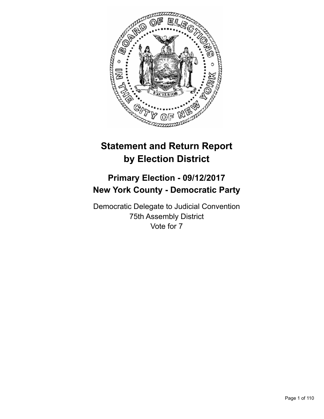

# **Statement and Return Report by Election District**

## **Primary Election - 09/12/2017 New York County - Democratic Party**

Democratic Delegate to Judicial Convention 75th Assembly District Vote for 7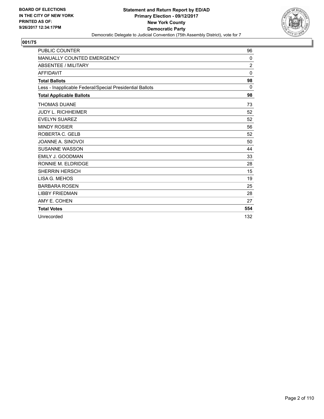

| <b>PUBLIC COUNTER</b>                                    | 96           |
|----------------------------------------------------------|--------------|
| MANUALLY COUNTED EMERGENCY                               | 0            |
| <b>ABSENTEE / MILITARY</b>                               | 2            |
| <b>AFFIDAVIT</b>                                         | $\mathbf{0}$ |
| <b>Total Ballots</b>                                     | 98           |
| Less - Inapplicable Federal/Special Presidential Ballots | $\mathbf{0}$ |
| <b>Total Applicable Ballots</b>                          | 98           |
| <b>THOMAS DUANE</b>                                      | 73           |
| <b>JUDY L. RICHHEIMER</b>                                | 52           |
| <b>EVELYN SUAREZ</b>                                     | 52           |
| <b>MINDY ROSIER</b>                                      | 56           |
| ROBERTA C. GELB                                          | 52           |
| JOANNE A. SINOVOI                                        | 50           |
| <b>SUSANNE WASSON</b>                                    | 44           |
| <b>EMILY J. GOODMAN</b>                                  | 33           |
| RONNIE M. ELDRIDGE                                       | 28           |
| <b>SHERRIN HERSCH</b>                                    | 15           |
| LISA G. MEHOS                                            | 19           |
| <b>BARBARA ROSEN</b>                                     | 25           |
| <b>LIBBY FRIEDMAN</b>                                    | 28           |
| AMY E. COHEN                                             | 27           |
| <b>Total Votes</b>                                       | 554          |
| Unrecorded                                               | 132          |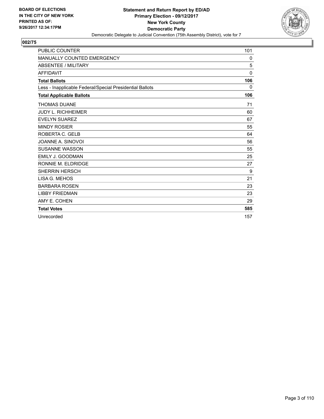

| <b>PUBLIC COUNTER</b>                                    | 101          |
|----------------------------------------------------------|--------------|
| <b>MANUALLY COUNTED EMERGENCY</b>                        | 0            |
| <b>ABSENTEE / MILITARY</b>                               | 5            |
| <b>AFFIDAVIT</b>                                         | $\mathbf{0}$ |
| <b>Total Ballots</b>                                     | 106          |
| Less - Inapplicable Federal/Special Presidential Ballots | 0            |
| <b>Total Applicable Ballots</b>                          | 106          |
| <b>THOMAS DUANE</b>                                      | 71           |
| <b>JUDY L. RICHHEIMER</b>                                | 60           |
| <b>EVELYN SUAREZ</b>                                     | 67           |
| <b>MINDY ROSIER</b>                                      | 55           |
| ROBERTA C. GELB                                          | 64           |
| JOANNE A. SINOVOI                                        | 56           |
| <b>SUSANNE WASSON</b>                                    | 55           |
| EMILY J. GOODMAN                                         | 25           |
| RONNIE M. ELDRIDGE                                       | 27           |
| <b>SHERRIN HERSCH</b>                                    | 9            |
| LISA G. MEHOS                                            | 21           |
| <b>BARBARA ROSEN</b>                                     | 23           |
| <b>LIBBY FRIEDMAN</b>                                    | 23           |
| AMY E. COHEN                                             | 29           |
| <b>Total Votes</b>                                       | 585          |
| Unrecorded                                               | 157          |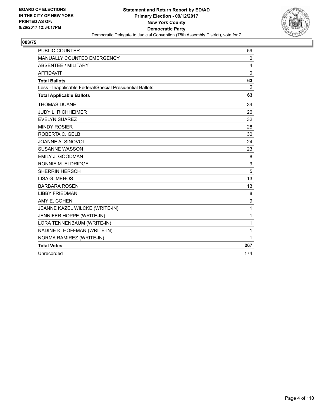

| <b>PUBLIC COUNTER</b>                                    | 59           |
|----------------------------------------------------------|--------------|
| MANUALLY COUNTED EMERGENCY                               | 0            |
| <b>ABSENTEE / MILITARY</b>                               | 4            |
| <b>AFFIDAVIT</b>                                         | 0            |
| <b>Total Ballots</b>                                     | 63           |
| Less - Inapplicable Federal/Special Presidential Ballots | $\mathbf{0}$ |
| <b>Total Applicable Ballots</b>                          | 63           |
| <b>THOMAS DUANE</b>                                      | 34           |
| <b>JUDY L. RICHHEIMER</b>                                | 26           |
| <b>EVELYN SUAREZ</b>                                     | 32           |
| <b>MINDY ROSIER</b>                                      | 28           |
| ROBERTA C. GELB                                          | 30           |
| JOANNE A. SINOVOI                                        | 24           |
| <b>SUSANNE WASSON</b>                                    | 23           |
| EMILY J. GOODMAN                                         | 8            |
| RONNIE M. ELDRIDGE                                       | 9            |
| <b>SHERRIN HERSCH</b>                                    | 5            |
| LISA G. MEHOS                                            | 13           |
| <b>BARBARA ROSEN</b>                                     | 13           |
| <b>LIBBY FRIEDMAN</b>                                    | 8            |
| AMY E. COHEN                                             | 9            |
| JEANNE KAZEL WILCKE (WRITE-IN)                           | 1            |
| JENNIFER HOPPE (WRITE-IN)                                | 1            |
| LORA TENNENBAUM (WRITE-IN)                               | 1            |
| NADINE K. HOFFMAN (WRITE-IN)                             | $\mathbf{1}$ |
| NORMA RAMIREZ (WRITE-IN)                                 | 1            |
| <b>Total Votes</b>                                       | 267          |
| Unrecorded                                               | 174          |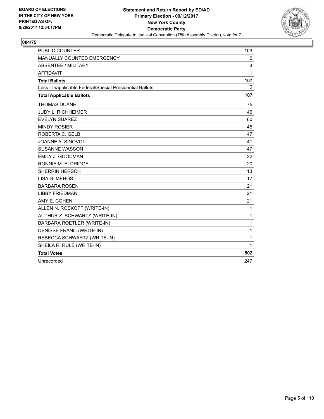

| <b>PUBLIC COUNTER</b>                                    | 103          |
|----------------------------------------------------------|--------------|
| <b>MANUALLY COUNTED EMERGENCY</b>                        | $\mathbf{0}$ |
| <b>ABSENTEE / MILITARY</b>                               | 3            |
| <b>AFFIDAVIT</b>                                         | 1            |
| <b>Total Ballots</b>                                     | 107          |
| Less - Inapplicable Federal/Special Presidential Ballots | $\mathbf{0}$ |
| <b>Total Applicable Ballots</b>                          | 107          |
| <b>THOMAS DUANE</b>                                      | 75           |
| <b>JUDY L. RICHHEIMER</b>                                | 46           |
| <b>EVELYN SUAREZ</b>                                     | 60           |
| <b>MINDY ROSIER</b>                                      | 45           |
| ROBERTA C. GELB                                          | 47           |
| JOANNE A. SINOVOI                                        | 41           |
| <b>SUSANNE WASSON</b>                                    | 47           |
| <b>EMILY J. GOODMAN</b>                                  | 22           |
| RONNIE M. ELDRIDGE                                       | 20           |
| <b>SHERRIN HERSCH</b>                                    | 13           |
| LISA G. MEHOS                                            | 17           |
| <b>BARBARA ROSEN</b>                                     | 21           |
| <b>LIBBY FRIEDMAN</b>                                    | 21           |
| AMY E. COHEN                                             | 21           |
| ALLEN N. ROSKOFF (WRITE-IN)                              | 1            |
| AUTHUR Z. SCHWARTZ (WRITE-IN)                            | 1            |
| BARBARA ROETLER (WRITE-IN)                               | 1            |
| DENISSE FRANIL (WRITE-IN)                                | 1            |
| REBECCA SCHWARTZ (WRITE-IN)                              | 1            |
| SHEILA R. RULE (WRITE-IN)                                | 1            |
| <b>Total Votes</b>                                       | 502          |
| Unrecorded                                               | 247          |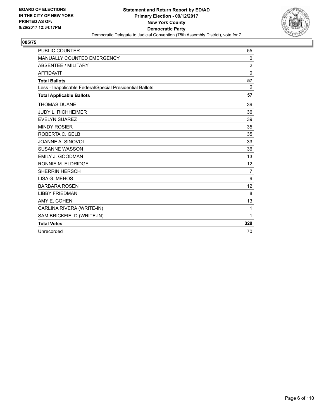

| <b>PUBLIC COUNTER</b>                                    | 55             |
|----------------------------------------------------------|----------------|
| <b>MANUALLY COUNTED EMERGENCY</b>                        | 0              |
| <b>ABSENTEE / MILITARY</b>                               | $\overline{2}$ |
| <b>AFFIDAVIT</b>                                         | 0              |
| <b>Total Ballots</b>                                     | 57             |
| Less - Inapplicable Federal/Special Presidential Ballots | 0              |
| <b>Total Applicable Ballots</b>                          | 57             |
| <b>THOMAS DUANE</b>                                      | 39             |
| <b>JUDY L. RICHHEIMER</b>                                | 36             |
| <b>EVELYN SUAREZ</b>                                     | 39             |
| <b>MINDY ROSIER</b>                                      | 35             |
| ROBERTA C. GELB                                          | 35             |
| JOANNE A. SINOVOI                                        | 33             |
| <b>SUSANNE WASSON</b>                                    | 36             |
| <b>EMILY J. GOODMAN</b>                                  | 13             |
| RONNIE M. ELDRIDGE                                       | 12             |
| <b>SHERRIN HERSCH</b>                                    | $\overline{7}$ |
| LISA G. MEHOS                                            | 9              |
| <b>BARBARA ROSEN</b>                                     | 12             |
| <b>LIBBY FRIEDMAN</b>                                    | 8              |
| AMY E. COHEN                                             | 13             |
| CARLINA RIVERA (WRITE-IN)                                | 1              |
| SAM BRICKFIELD (WRITE-IN)                                | 1              |
| <b>Total Votes</b>                                       | 329            |
| Unrecorded                                               | 70             |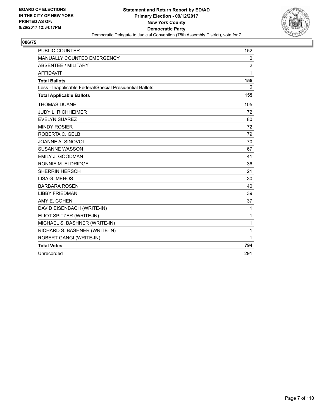

| <b>PUBLIC COUNTER</b>                                    | 152            |
|----------------------------------------------------------|----------------|
| MANUALLY COUNTED EMERGENCY                               | 0              |
| <b>ABSENTEE / MILITARY</b>                               | $\overline{2}$ |
| <b>AFFIDAVIT</b>                                         | 1              |
| <b>Total Ballots</b>                                     | 155            |
| Less - Inapplicable Federal/Special Presidential Ballots | $\mathbf{0}$   |
| <b>Total Applicable Ballots</b>                          | 155            |
| <b>THOMAS DUANE</b>                                      | 105            |
| <b>JUDY L. RICHHEIMER</b>                                | 72             |
| <b>EVELYN SUAREZ</b>                                     | 80             |
| <b>MINDY ROSIER</b>                                      | 72             |
| ROBERTA C. GELB                                          | 79             |
| JOANNE A. SINOVOI                                        | 70             |
| <b>SUSANNE WASSON</b>                                    | 67             |
| EMILY J. GOODMAN                                         | 41             |
| RONNIE M. ELDRIDGE                                       | 36             |
| <b>SHERRIN HERSCH</b>                                    | 21             |
| LISA G. MEHOS                                            | 30             |
| <b>BARBARA ROSEN</b>                                     | 40             |
| <b>LIBBY FRIEDMAN</b>                                    | 39             |
| AMY E. COHEN                                             | 37             |
| DAVID EISENBACH (WRITE-IN)                               | 1              |
| ELIOT SPITZER (WRITE-IN)                                 | 1              |
| MICHAEL S. BASHNER (WRITE-IN)                            | $\mathbf{1}$   |
| RICHARD S. BASHNER (WRITE-IN)                            | 1              |
| ROBERT GANGI (WRITE-IN)                                  | 1              |
| <b>Total Votes</b>                                       | 794            |
| Unrecorded                                               | 291            |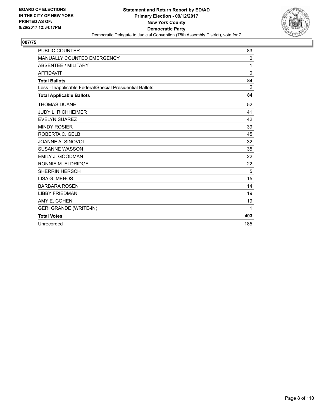

| <b>PUBLIC COUNTER</b>                                    | 83           |
|----------------------------------------------------------|--------------|
| <b>MANUALLY COUNTED EMERGENCY</b>                        | 0            |
| <b>ABSENTEE / MILITARY</b>                               | 1            |
| <b>AFFIDAVIT</b>                                         | $\mathbf{0}$ |
| <b>Total Ballots</b>                                     | 84           |
| Less - Inapplicable Federal/Special Presidential Ballots | 0            |
| <b>Total Applicable Ballots</b>                          | 84           |
| <b>THOMAS DUANE</b>                                      | 52           |
| <b>JUDY L. RICHHEIMER</b>                                | 41           |
| <b>EVELYN SUAREZ</b>                                     | 42           |
| <b>MINDY ROSIER</b>                                      | 39           |
| ROBERTA C. GELB                                          | 45           |
| JOANNE A. SINOVOI                                        | 32           |
| <b>SUSANNE WASSON</b>                                    | 35           |
| <b>EMILY J. GOODMAN</b>                                  | 22           |
| RONNIE M. ELDRIDGE                                       | 22           |
| <b>SHERRIN HERSCH</b>                                    | 5            |
| LISA G. MEHOS                                            | 15           |
| <b>BARBARA ROSEN</b>                                     | 14           |
| <b>LIBBY FRIEDMAN</b>                                    | 19           |
| AMY E. COHEN                                             | 19           |
| <b>GERI GRANDE (WRITE-IN)</b>                            | 1            |
| <b>Total Votes</b>                                       | 403          |
| Unrecorded                                               | 185          |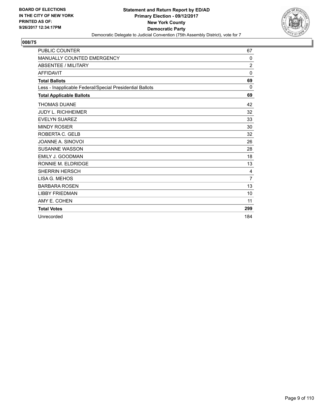

| <b>PUBLIC COUNTER</b>                                    | 67             |
|----------------------------------------------------------|----------------|
| <b>MANUALLY COUNTED EMERGENCY</b>                        | 0              |
| <b>ABSENTEE / MILITARY</b>                               | $\overline{2}$ |
| <b>AFFIDAVIT</b>                                         | $\Omega$       |
| <b>Total Ballots</b>                                     | 69             |
| Less - Inapplicable Federal/Special Presidential Ballots | 0              |
| <b>Total Applicable Ballots</b>                          | 69             |
| <b>THOMAS DUANE</b>                                      | 42             |
| <b>JUDY L. RICHHEIMER</b>                                | 32             |
| <b>EVELYN SUAREZ</b>                                     | 33             |
| <b>MINDY ROSIER</b>                                      | 30             |
| ROBERTA C. GELB                                          | 32             |
| JOANNE A. SINOVOI                                        | 26             |
| <b>SUSANNE WASSON</b>                                    | 28             |
| EMILY J. GOODMAN                                         | 18             |
| RONNIE M. ELDRIDGE                                       | 13             |
| <b>SHERRIN HERSCH</b>                                    | 4              |
| LISA G. MEHOS                                            | $\overline{7}$ |
| <b>BARBARA ROSEN</b>                                     | 13             |
| <b>LIBBY FRIEDMAN</b>                                    | 10             |
| AMY E. COHEN                                             | 11             |
| <b>Total Votes</b>                                       | 299            |
| Unrecorded                                               | 184            |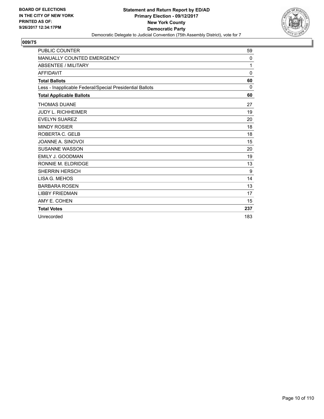

| <b>PUBLIC COUNTER</b>                                    | 59       |
|----------------------------------------------------------|----------|
| <b>MANUALLY COUNTED EMERGENCY</b>                        | 0        |
| <b>ABSENTEE / MILITARY</b>                               | 1        |
| <b>AFFIDAVIT</b>                                         | $\Omega$ |
| <b>Total Ballots</b>                                     | 60       |
| Less - Inapplicable Federal/Special Presidential Ballots | 0        |
| <b>Total Applicable Ballots</b>                          | 60       |
| <b>THOMAS DUANE</b>                                      | 27       |
| <b>JUDY L. RICHHEIMER</b>                                | 19       |
| <b>EVELYN SUAREZ</b>                                     | 20       |
| <b>MINDY ROSIER</b>                                      | 18       |
| ROBERTA C. GELB                                          | 18       |
| JOANNE A. SINOVOI                                        | 15       |
| <b>SUSANNE WASSON</b>                                    | 20       |
| <b>EMILY J. GOODMAN</b>                                  | 19       |
| RONNIE M. ELDRIDGE                                       | 13       |
| <b>SHERRIN HERSCH</b>                                    | 9        |
| LISA G. MEHOS                                            | 14       |
| <b>BARBARA ROSEN</b>                                     | 13       |
| <b>LIBBY FRIEDMAN</b>                                    | 17       |
| AMY E. COHEN                                             | 15       |
| <b>Total Votes</b>                                       | 237      |
| Unrecorded                                               | 183      |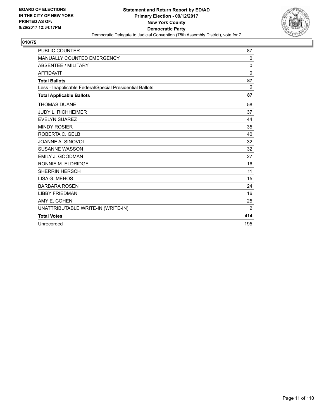

| <b>PUBLIC COUNTER</b>                                    | 87           |
|----------------------------------------------------------|--------------|
| <b>MANUALLY COUNTED EMERGENCY</b>                        | $\mathbf{0}$ |
| <b>ABSENTEE / MILITARY</b>                               | 0            |
| <b>AFFIDAVIT</b>                                         | 0            |
| <b>Total Ballots</b>                                     | 87           |
| Less - Inapplicable Federal/Special Presidential Ballots | $\Omega$     |
| <b>Total Applicable Ballots</b>                          | 87           |
| <b>THOMAS DUANE</b>                                      | 58           |
| <b>JUDY L. RICHHEIMER</b>                                | 37           |
| <b>EVELYN SUAREZ</b>                                     | 44           |
| <b>MINDY ROSIER</b>                                      | 35           |
| ROBERTA C. GELB                                          | 40           |
| JOANNE A. SINOVOI                                        | 32           |
| <b>SUSANNE WASSON</b>                                    | 32           |
| <b>EMILY J. GOODMAN</b>                                  | 27           |
| RONNIE M. ELDRIDGE                                       | 16           |
| <b>SHERRIN HERSCH</b>                                    | 11           |
| LISA G. MEHOS                                            | 15           |
| <b>BARBARA ROSEN</b>                                     | 24           |
| <b>LIBBY FRIEDMAN</b>                                    | 16           |
| AMY E. COHEN                                             | 25           |
| UNATTRIBUTABLE WRITE-IN (WRITE-IN)                       | 2            |
| <b>Total Votes</b>                                       | 414          |
| Unrecorded                                               | 195          |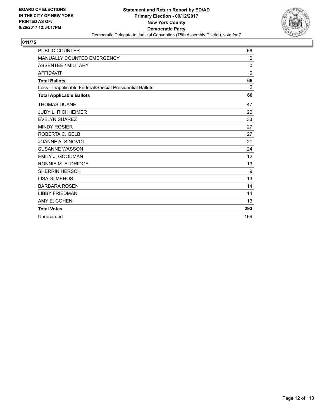

| <b>PUBLIC COUNTER</b>                                    | 66           |
|----------------------------------------------------------|--------------|
| <b>MANUALLY COUNTED EMERGENCY</b>                        | $\mathbf{0}$ |
| <b>ABSENTEE / MILITARY</b>                               | $\mathbf{0}$ |
| <b>AFFIDAVIT</b>                                         | $\Omega$     |
| <b>Total Ballots</b>                                     | 66           |
| Less - Inapplicable Federal/Special Presidential Ballots | 0            |
| <b>Total Applicable Ballots</b>                          | 66           |
| <b>THOMAS DUANE</b>                                      | 47           |
| <b>JUDY L. RICHHEIMER</b>                                | 26           |
| <b>EVELYN SUAREZ</b>                                     | 33           |
| <b>MINDY ROSIER</b>                                      | 27           |
| ROBERTA C. GELB                                          | 27           |
| JOANNE A. SINOVOI                                        | 21           |
| <b>SUSANNE WASSON</b>                                    | 24           |
| EMILY J. GOODMAN                                         | 12           |
| RONNIE M. ELDRIDGE                                       | 13           |
| <b>SHERRIN HERSCH</b>                                    | 9            |
| LISA G. MEHOS                                            | 13           |
| <b>BARBARA ROSEN</b>                                     | 14           |
| <b>LIBBY FRIEDMAN</b>                                    | 14           |
| AMY E. COHEN                                             | 13           |
| <b>Total Votes</b>                                       | 293          |
| Unrecorded                                               | 169          |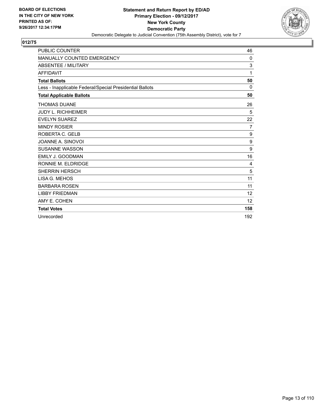

| <b>PUBLIC COUNTER</b>                                    | 46  |
|----------------------------------------------------------|-----|
| <b>MANUALLY COUNTED EMERGENCY</b>                        | 0   |
| <b>ABSENTEE / MILITARY</b>                               | 3   |
| <b>AFFIDAVIT</b>                                         | 1   |
| <b>Total Ballots</b>                                     | 50  |
| Less - Inapplicable Federal/Special Presidential Ballots | 0   |
| <b>Total Applicable Ballots</b>                          | 50  |
| <b>THOMAS DUANE</b>                                      | 26  |
| <b>JUDY L. RICHHEIMER</b>                                | 5   |
| <b>EVELYN SUAREZ</b>                                     | 22  |
| <b>MINDY ROSIER</b>                                      | 7   |
| ROBERTA C. GELB                                          | 9   |
| JOANNE A. SINOVOI                                        | 9   |
| <b>SUSANNE WASSON</b>                                    | 9   |
| <b>EMILY J. GOODMAN</b>                                  | 16  |
| RONNIE M. ELDRIDGE                                       | 4   |
| <b>SHERRIN HERSCH</b>                                    | 5   |
| LISA G. MEHOS                                            | 11  |
| <b>BARBARA ROSEN</b>                                     | 11  |
| <b>LIBBY FRIEDMAN</b>                                    | 12  |
| AMY E. COHEN                                             | 12  |
| <b>Total Votes</b>                                       | 158 |
| Unrecorded                                               | 192 |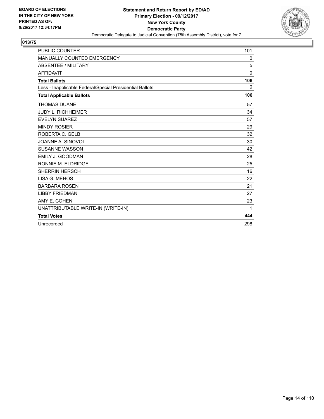

| <b>PUBLIC COUNTER</b>                                    | 101          |
|----------------------------------------------------------|--------------|
| <b>MANUALLY COUNTED EMERGENCY</b>                        | 0            |
| <b>ABSENTEE / MILITARY</b>                               | 5            |
| <b>AFFIDAVIT</b>                                         | $\mathbf{0}$ |
| <b>Total Ballots</b>                                     | 106          |
| Less - Inapplicable Federal/Special Presidential Ballots | 0            |
| <b>Total Applicable Ballots</b>                          | 106          |
| <b>THOMAS DUANE</b>                                      | 57           |
| <b>JUDY L. RICHHEIMER</b>                                | 34           |
| <b>EVELYN SUAREZ</b>                                     | 57           |
| <b>MINDY ROSIER</b>                                      | 29           |
| ROBERTA C. GELB                                          | 32           |
| JOANNE A. SINOVOI                                        | 30           |
| <b>SUSANNE WASSON</b>                                    | 42           |
| <b>EMILY J. GOODMAN</b>                                  | 28           |
| RONNIE M. ELDRIDGE                                       | 25           |
| <b>SHERRIN HERSCH</b>                                    | 16           |
| LISA G. MEHOS                                            | 22           |
| <b>BARBARA ROSEN</b>                                     | 21           |
| <b>LIBBY FRIEDMAN</b>                                    | 27           |
| AMY E. COHEN                                             | 23           |
| UNATTRIBUTABLE WRITE-IN (WRITE-IN)                       | 1            |
| <b>Total Votes</b>                                       | 444          |
| Unrecorded                                               | 298          |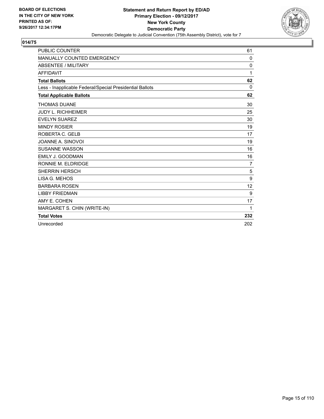

| <b>PUBLIC COUNTER</b>                                    | 61             |
|----------------------------------------------------------|----------------|
| <b>MANUALLY COUNTED EMERGENCY</b>                        | 0              |
| <b>ABSENTEE / MILITARY</b>                               | 0              |
| <b>AFFIDAVIT</b>                                         | 1              |
| <b>Total Ballots</b>                                     | 62             |
| Less - Inapplicable Federal/Special Presidential Ballots | 0              |
| <b>Total Applicable Ballots</b>                          | 62             |
| <b>THOMAS DUANE</b>                                      | 30             |
| <b>JUDY L. RICHHEIMER</b>                                | 25             |
| <b>EVELYN SUAREZ</b>                                     | 30             |
| <b>MINDY ROSIER</b>                                      | 19             |
| ROBERTA C. GELB                                          | 17             |
| JOANNE A. SINOVOI                                        | 19             |
| <b>SUSANNE WASSON</b>                                    | 16             |
| EMILY J. GOODMAN                                         | 16             |
| RONNIE M. ELDRIDGE                                       | $\overline{7}$ |
| <b>SHERRIN HERSCH</b>                                    | 5              |
| LISA G. MEHOS                                            | 9              |
| <b>BARBARA ROSEN</b>                                     | 12             |
| <b>LIBBY FRIEDMAN</b>                                    | 9              |
| AMY E. COHEN                                             | 17             |
| MARGARET S. CHIN (WRITE-IN)                              | 1              |
| <b>Total Votes</b>                                       | 232            |
| Unrecorded                                               | 202            |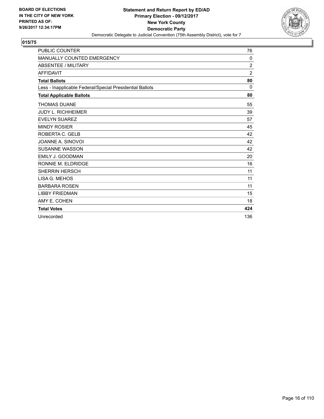

| <b>PUBLIC COUNTER</b>                                    | 76             |
|----------------------------------------------------------|----------------|
| <b>MANUALLY COUNTED EMERGENCY</b>                        | 0              |
| <b>ABSENTEE / MILITARY</b>                               | $\overline{2}$ |
| <b>AFFIDAVIT</b>                                         | 2              |
| <b>Total Ballots</b>                                     | 80             |
| Less - Inapplicable Federal/Special Presidential Ballots | 0              |
| <b>Total Applicable Ballots</b>                          | 80             |
| <b>THOMAS DUANE</b>                                      | 55             |
| <b>JUDY L. RICHHEIMER</b>                                | 39             |
| <b>EVELYN SUAREZ</b>                                     | 57             |
| <b>MINDY ROSIER</b>                                      | 45             |
| ROBERTA C. GELB                                          | 42             |
| JOANNE A. SINOVOI                                        | 42             |
| <b>SUSANNE WASSON</b>                                    | 42             |
| <b>EMILY J. GOODMAN</b>                                  | 20             |
| RONNIE M. ELDRIDGE                                       | 16             |
| <b>SHERRIN HERSCH</b>                                    | 11             |
| LISA G. MEHOS                                            | 11             |
| <b>BARBARA ROSEN</b>                                     | 11             |
| <b>LIBBY FRIEDMAN</b>                                    | 15             |
| AMY E. COHEN                                             | 18             |
| <b>Total Votes</b>                                       | 424            |
| Unrecorded                                               | 136            |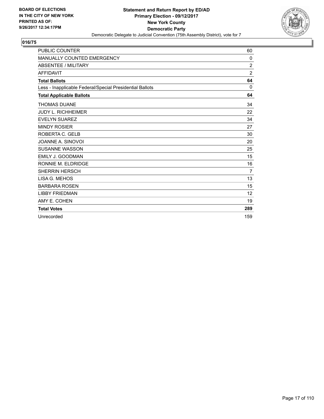

| <b>PUBLIC COUNTER</b>                                    | 60             |
|----------------------------------------------------------|----------------|
| MANUALLY COUNTED EMERGENCY                               | 0              |
| <b>ABSENTEE / MILITARY</b>                               | 2              |
| <b>AFFIDAVIT</b>                                         | $\overline{2}$ |
| <b>Total Ballots</b>                                     | 64             |
| Less - Inapplicable Federal/Special Presidential Ballots | $\mathbf{0}$   |
| <b>Total Applicable Ballots</b>                          | 64             |
| <b>THOMAS DUANE</b>                                      | 34             |
| <b>JUDY L. RICHHEIMER</b>                                | 22             |
| <b>EVELYN SUAREZ</b>                                     | 34             |
| <b>MINDY ROSIER</b>                                      | 27             |
| ROBERTA C. GELB                                          | 30             |
| JOANNE A. SINOVOI                                        | 20             |
| <b>SUSANNE WASSON</b>                                    | 25             |
| <b>EMILY J. GOODMAN</b>                                  | 15             |
| RONNIE M. ELDRIDGE                                       | 16             |
| <b>SHERRIN HERSCH</b>                                    | $\overline{7}$ |
| LISA G. MEHOS                                            | 13             |
| <b>BARBARA ROSEN</b>                                     | 15             |
| <b>LIBBY FRIEDMAN</b>                                    | 12             |
| AMY E. COHEN                                             | 19             |
| <b>Total Votes</b>                                       | 289            |
| Unrecorded                                               | 159            |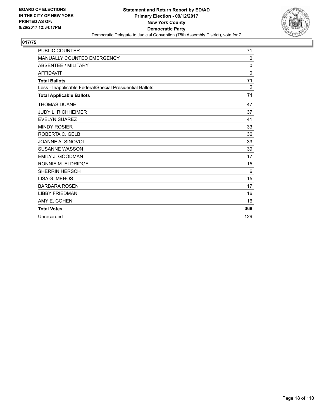

| <b>PUBLIC COUNTER</b>                                    | 71           |
|----------------------------------------------------------|--------------|
| <b>MANUALLY COUNTED EMERGENCY</b>                        | 0            |
| <b>ABSENTEE / MILITARY</b>                               | $\Omega$     |
| <b>AFFIDAVIT</b>                                         | $\mathbf{0}$ |
| <b>Total Ballots</b>                                     | 71           |
| Less - Inapplicable Federal/Special Presidential Ballots | 0            |
| <b>Total Applicable Ballots</b>                          | 71           |
| <b>THOMAS DUANE</b>                                      | 47           |
| <b>JUDY L. RICHHEIMER</b>                                | 37           |
| <b>EVELYN SUAREZ</b>                                     | 41           |
| <b>MINDY ROSIER</b>                                      | 33           |
| ROBERTA C. GELB                                          | 36           |
| JOANNE A. SINOVOI                                        | 33           |
| <b>SUSANNE WASSON</b>                                    | 39           |
| <b>EMILY J. GOODMAN</b>                                  | 17           |
| RONNIE M. ELDRIDGE                                       | 15           |
| <b>SHERRIN HERSCH</b>                                    | 6            |
| LISA G. MEHOS                                            | 15           |
| <b>BARBARA ROSEN</b>                                     | 17           |
| <b>LIBBY FRIEDMAN</b>                                    | 16           |
| AMY E. COHEN                                             | 16           |
| <b>Total Votes</b>                                       | 368          |
| Unrecorded                                               | 129          |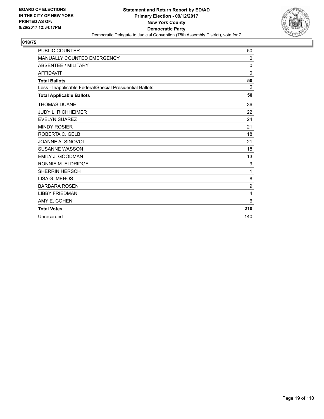

| <b>PUBLIC COUNTER</b>                                    | 50       |
|----------------------------------------------------------|----------|
| MANUALLY COUNTED EMERGENCY                               | $\Omega$ |
| <b>ABSENTEE / MILITARY</b>                               | 0        |
| <b>AFFIDAVIT</b>                                         | $\Omega$ |
| <b>Total Ballots</b>                                     | 50       |
| Less - Inapplicable Federal/Special Presidential Ballots | 0        |
| <b>Total Applicable Ballots</b>                          | 50       |
| <b>THOMAS DUANE</b>                                      | 36       |
| <b>JUDY L. RICHHEIMER</b>                                | 22       |
| <b>EVELYN SUAREZ</b>                                     | 24       |
| <b>MINDY ROSIER</b>                                      | 21       |
| ROBERTA C. GELB                                          | 18       |
| JOANNE A. SINOVOI                                        | 21       |
| <b>SUSANNE WASSON</b>                                    | 18       |
| EMILY J. GOODMAN                                         | 13       |
| RONNIE M. ELDRIDGE                                       | 9        |
| <b>SHERRIN HERSCH</b>                                    | 1        |
| LISA G. MEHOS                                            | 8        |
| <b>BARBARA ROSEN</b>                                     | 9        |
| <b>LIBBY FRIEDMAN</b>                                    | 4        |
| AMY E. COHEN                                             | 6        |
| <b>Total Votes</b>                                       | 210      |
| Unrecorded                                               | 140      |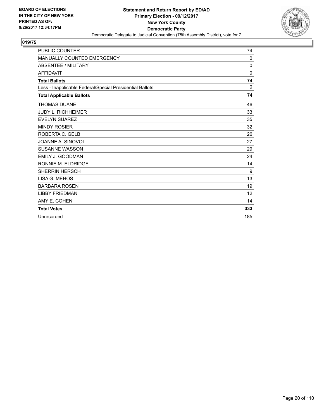

| <b>PUBLIC COUNTER</b>                                    | 74           |
|----------------------------------------------------------|--------------|
| <b>MANUALLY COUNTED EMERGENCY</b>                        | $\Omega$     |
| <b>ABSENTEE / MILITARY</b>                               | $\mathbf{0}$ |
| <b>AFFIDAVIT</b>                                         | $\mathbf{0}$ |
| <b>Total Ballots</b>                                     | 74           |
| Less - Inapplicable Federal/Special Presidential Ballots | 0            |
| <b>Total Applicable Ballots</b>                          | 74           |
| <b>THOMAS DUANE</b>                                      | 46           |
| <b>JUDY L. RICHHEIMER</b>                                | 33           |
| <b>EVELYN SUAREZ</b>                                     | 35           |
| <b>MINDY ROSIER</b>                                      | 32           |
| ROBERTA C. GELB                                          | 26           |
| JOANNE A. SINOVOI                                        | 27           |
| <b>SUSANNE WASSON</b>                                    | 29           |
| <b>EMILY J. GOODMAN</b>                                  | 24           |
| RONNIE M. ELDRIDGE                                       | 14           |
| <b>SHERRIN HERSCH</b>                                    | 9            |
| LISA G. MEHOS                                            | 13           |
| <b>BARBARA ROSEN</b>                                     | 19           |
| <b>LIBBY FRIEDMAN</b>                                    | 12           |
| AMY E. COHEN                                             | 14           |
| <b>Total Votes</b>                                       | 333          |
| Unrecorded                                               | 185          |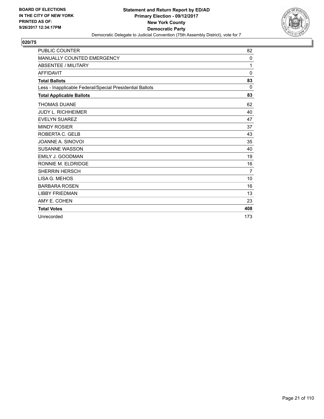

| <b>PUBLIC COUNTER</b>                                    | 82             |
|----------------------------------------------------------|----------------|
| MANUALLY COUNTED EMERGENCY                               | 0              |
| <b>ABSENTEE / MILITARY</b>                               | 1              |
| <b>AFFIDAVIT</b>                                         | $\mathbf{0}$   |
| <b>Total Ballots</b>                                     | 83             |
| Less - Inapplicable Federal/Special Presidential Ballots | $\Omega$       |
| <b>Total Applicable Ballots</b>                          | 83             |
| <b>THOMAS DUANE</b>                                      | 62             |
| <b>JUDY L. RICHHEIMER</b>                                | 40             |
| <b>EVELYN SUAREZ</b>                                     | 47             |
| <b>MINDY ROSIER</b>                                      | 37             |
| ROBERTA C. GELB                                          | 43             |
| JOANNE A. SINOVOI                                        | 35             |
| <b>SUSANNE WASSON</b>                                    | 40             |
| <b>EMILY J. GOODMAN</b>                                  | 19             |
| RONNIE M. ELDRIDGE                                       | 16             |
| <b>SHERRIN HERSCH</b>                                    | $\overline{7}$ |
| LISA G. MEHOS                                            | 10             |
| <b>BARBARA ROSEN</b>                                     | 16             |
| <b>LIBBY FRIEDMAN</b>                                    | 13             |
| AMY E. COHEN                                             | 23             |
| <b>Total Votes</b>                                       | 408            |
| Unrecorded                                               | 173            |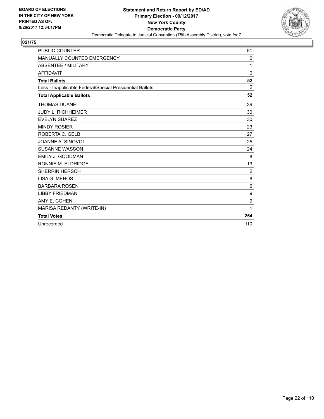

| <b>PUBLIC COUNTER</b>                                    | 51             |
|----------------------------------------------------------|----------------|
| <b>MANUALLY COUNTED EMERGENCY</b>                        | 0              |
| <b>ABSENTEE / MILITARY</b>                               | 1              |
| <b>AFFIDAVIT</b>                                         | $\Omega$       |
| <b>Total Ballots</b>                                     | 52             |
| Less - Inapplicable Federal/Special Presidential Ballots | $\Omega$       |
| <b>Total Applicable Ballots</b>                          | 52             |
| <b>THOMAS DUANE</b>                                      | 39             |
| <b>JUDY L. RICHHEIMER</b>                                | 30             |
| <b>EVELYN SUAREZ</b>                                     | 30             |
| <b>MINDY ROSIER</b>                                      | 23             |
| ROBERTA C. GELB                                          | 27             |
| JOANNE A. SINOVOI                                        | 25             |
| <b>SUSANNE WASSON</b>                                    | 24             |
| EMILY J. GOODMAN                                         | 8              |
| RONNIE M. ELDRIDGE                                       | 13             |
| <b>SHERRIN HERSCH</b>                                    | $\overline{2}$ |
| LISA G. MEHOS                                            | 8              |
| <b>BARBARA ROSEN</b>                                     | 6              |
| <b>LIBBY FRIEDMAN</b>                                    | 9              |
| AMY E. COHEN                                             | 9              |
| MARISA REDANTY (WRITE-IN)                                | 1              |
| <b>Total Votes</b>                                       | 254            |
| Unrecorded                                               | 110            |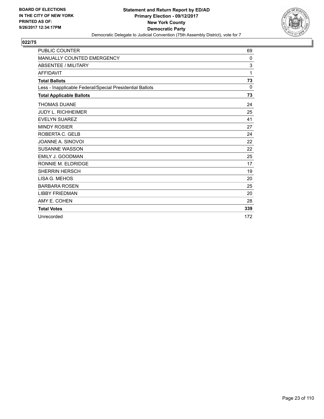

| <b>PUBLIC COUNTER</b>                                    | 69          |
|----------------------------------------------------------|-------------|
| <b>MANUALLY COUNTED EMERGENCY</b>                        | $\mathbf 0$ |
| <b>ABSENTEE / MILITARY</b>                               | 3           |
| <b>AFFIDAVIT</b>                                         | 1           |
| <b>Total Ballots</b>                                     | 73          |
| Less - Inapplicable Federal/Special Presidential Ballots | 0           |
| <b>Total Applicable Ballots</b>                          | 73          |
| <b>THOMAS DUANE</b>                                      | 24          |
| <b>JUDY L. RICHHEIMER</b>                                | 25          |
| <b>EVELYN SUAREZ</b>                                     | 41          |
| <b>MINDY ROSIER</b>                                      | 27          |
| ROBERTA C. GELB                                          | 24          |
| JOANNE A. SINOVOI                                        | 22          |
| <b>SUSANNE WASSON</b>                                    | 22          |
| <b>EMILY J. GOODMAN</b>                                  | 25          |
| RONNIE M. ELDRIDGE                                       | 17          |
| <b>SHERRIN HERSCH</b>                                    | 19          |
| LISA G. MEHOS                                            | 20          |
| <b>BARBARA ROSEN</b>                                     | 25          |
| <b>LIBBY FRIEDMAN</b>                                    | 20          |
| AMY E. COHEN                                             | 28          |
| <b>Total Votes</b>                                       | 339         |
| Unrecorded                                               | 172         |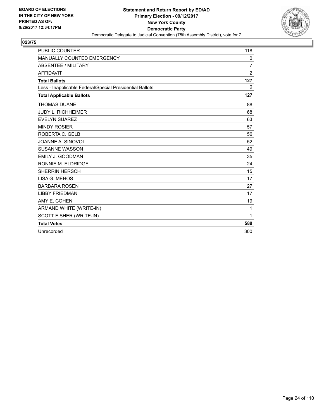

| <b>PUBLIC COUNTER</b>                                    | 118            |
|----------------------------------------------------------|----------------|
| <b>MANUALLY COUNTED EMERGENCY</b>                        | 0              |
| <b>ABSENTEE / MILITARY</b>                               | $\overline{7}$ |
| <b>AFFIDAVIT</b>                                         | $\overline{2}$ |
| <b>Total Ballots</b>                                     | 127            |
| Less - Inapplicable Federal/Special Presidential Ballots | $\mathbf{0}$   |
| <b>Total Applicable Ballots</b>                          | 127            |
| <b>THOMAS DUANE</b>                                      | 88             |
| <b>JUDY L. RICHHEIMER</b>                                | 68             |
| <b>EVELYN SUAREZ</b>                                     | 63             |
| <b>MINDY ROSIER</b>                                      | 57             |
| ROBERTA C. GELB                                          | 56             |
| JOANNE A. SINOVOI                                        | 52             |
| <b>SUSANNE WASSON</b>                                    | 49             |
| EMILY J. GOODMAN                                         | 35             |
| RONNIE M. ELDRIDGE                                       | 24             |
| <b>SHERRIN HERSCH</b>                                    | 15             |
| LISA G. MEHOS                                            | 17             |
| <b>BARBARA ROSEN</b>                                     | 27             |
| <b>LIBBY FRIEDMAN</b>                                    | 17             |
| AMY E. COHEN                                             | 19             |
| ARMAND WHITE (WRITE-IN)                                  | $\mathbf 1$    |
| SCOTT FISHER (WRITE-IN)                                  | 1              |
| <b>Total Votes</b>                                       | 589            |
| Unrecorded                                               | 300            |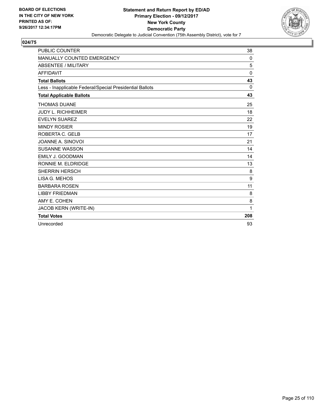

| <b>PUBLIC COUNTER</b>                                    | 38  |
|----------------------------------------------------------|-----|
| MANUALLY COUNTED EMERGENCY                               | 0   |
| <b>ABSENTEE / MILITARY</b>                               | 5   |
| <b>AFFIDAVIT</b>                                         | 0   |
| <b>Total Ballots</b>                                     | 43  |
| Less - Inapplicable Federal/Special Presidential Ballots | 0   |
| <b>Total Applicable Ballots</b>                          | 43  |
| <b>THOMAS DUANE</b>                                      | 25  |
| <b>JUDY L. RICHHEIMER</b>                                | 18  |
| <b>EVELYN SUAREZ</b>                                     | 22  |
| <b>MINDY ROSIER</b>                                      | 19  |
| ROBERTA C. GELB                                          | 17  |
| JOANNE A. SINOVOI                                        | 21  |
| <b>SUSANNE WASSON</b>                                    | 14  |
| <b>EMILY J. GOODMAN</b>                                  | 14  |
| RONNIE M. ELDRIDGE                                       | 13  |
| <b>SHERRIN HERSCH</b>                                    | 8   |
| LISA G. MEHOS                                            | 9   |
| <b>BARBARA ROSEN</b>                                     | 11  |
| <b>LIBBY FRIEDMAN</b>                                    | 8   |
| AMY E. COHEN                                             | 8   |
| JACOB KERN (WRITE-IN)                                    | 1   |
| <b>Total Votes</b>                                       | 208 |
| Unrecorded                                               | 93  |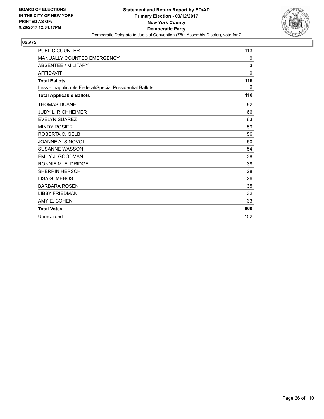

| <b>PUBLIC COUNTER</b>                                    | 113          |
|----------------------------------------------------------|--------------|
| <b>MANUALLY COUNTED EMERGENCY</b>                        | 0            |
| <b>ABSENTEE / MILITARY</b>                               | 3            |
| <b>AFFIDAVIT</b>                                         | $\mathbf{0}$ |
| <b>Total Ballots</b>                                     | 116          |
| Less - Inapplicable Federal/Special Presidential Ballots | 0            |
| <b>Total Applicable Ballots</b>                          | 116          |
| <b>THOMAS DUANE</b>                                      | 82           |
| <b>JUDY L. RICHHEIMER</b>                                | 66           |
| <b>EVELYN SUAREZ</b>                                     | 63           |
| <b>MINDY ROSIER</b>                                      | 59           |
| ROBERTA C. GELB                                          | 56           |
| JOANNE A. SINOVOI                                        | 50           |
| <b>SUSANNE WASSON</b>                                    | 54           |
| EMILY J. GOODMAN                                         | 38           |
| RONNIE M. ELDRIDGE                                       | 38           |
| <b>SHERRIN HERSCH</b>                                    | 28           |
| LISA G. MEHOS                                            | 26           |
| <b>BARBARA ROSEN</b>                                     | 35           |
| <b>LIBBY FRIEDMAN</b>                                    | 32           |
| AMY E. COHEN                                             | 33           |
| <b>Total Votes</b>                                       | 660          |
| Unrecorded                                               | 152          |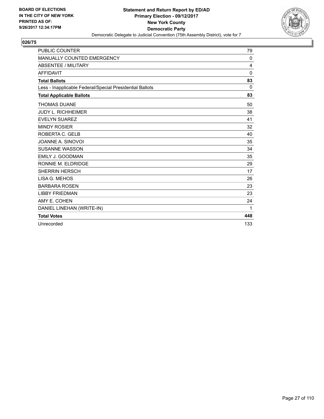

| <b>PUBLIC COUNTER</b>                                    | 79  |
|----------------------------------------------------------|-----|
| MANUALLY COUNTED EMERGENCY                               | 0   |
| <b>ABSENTEE / MILITARY</b>                               | 4   |
| <b>AFFIDAVIT</b>                                         | 0   |
| <b>Total Ballots</b>                                     | 83  |
| Less - Inapplicable Federal/Special Presidential Ballots | 0   |
| <b>Total Applicable Ballots</b>                          | 83  |
| <b>THOMAS DUANE</b>                                      | 50  |
| <b>JUDY L. RICHHEIMER</b>                                | 38  |
| <b>EVELYN SUAREZ</b>                                     | 41  |
| <b>MINDY ROSIER</b>                                      | 32  |
| ROBERTA C. GELB                                          | 40  |
| JOANNE A. SINOVOI                                        | 35  |
| <b>SUSANNE WASSON</b>                                    | 34  |
| <b>EMILY J. GOODMAN</b>                                  | 35  |
| RONNIE M. ELDRIDGE                                       | 29  |
| <b>SHERRIN HERSCH</b>                                    | 17  |
| LISA G. MEHOS                                            | 26  |
| <b>BARBARA ROSEN</b>                                     | 23  |
| <b>LIBBY FRIEDMAN</b>                                    | 23  |
| AMY E. COHEN                                             | 24  |
| DANIEL LINEHAN (WRITE-IN)                                | 1   |
| <b>Total Votes</b>                                       | 448 |
| Unrecorded                                               | 133 |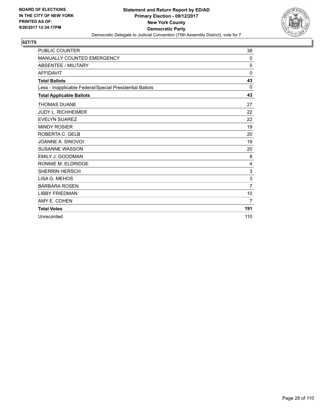

| <b>PUBLIC COUNTER</b>                                    | 38             |
|----------------------------------------------------------|----------------|
| <b>MANUALLY COUNTED EMERGENCY</b>                        | 0              |
| <b>ABSENTEE / MILITARY</b>                               | 5              |
| <b>AFFIDAVIT</b>                                         | 0              |
| <b>Total Ballots</b>                                     | 43             |
| Less - Inapplicable Federal/Special Presidential Ballots | 0              |
| <b>Total Applicable Ballots</b>                          | 43             |
| <b>THOMAS DUANE</b>                                      | 27             |
| <b>JUDY L. RICHHEIMER</b>                                | 22             |
| <b>EVELYN SUAREZ</b>                                     | 22             |
| <b>MINDY ROSIER</b>                                      | 19             |
| ROBERTA C. GELB                                          | 20             |
| JOANNE A. SINOVOI                                        | 19             |
| <b>SUSANNE WASSON</b>                                    | 20             |
| <b>EMILY J. GOODMAN</b>                                  | 8              |
| RONNIE M. ELDRIDGE                                       | 4              |
| <b>SHERRIN HERSCH</b>                                    | 3              |
| LISA G. MEHOS                                            | 3              |
| <b>BARBARA ROSEN</b>                                     | $\overline{7}$ |
| <b>LIBBY FRIEDMAN</b>                                    | 10             |
| AMY E. COHEN                                             | $\overline{7}$ |
| <b>Total Votes</b>                                       | 191            |
| Unrecorded                                               | 110            |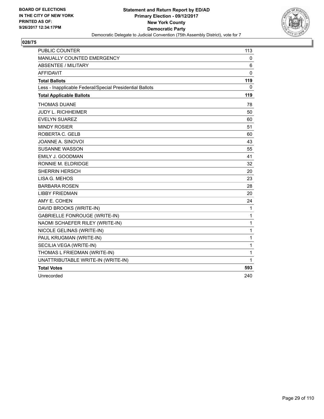

| <b>PUBLIC COUNTER</b>                                    | 113          |
|----------------------------------------------------------|--------------|
| MANUALLY COUNTED EMERGENCY                               | 0            |
| <b>ABSENTEE / MILITARY</b>                               | 6            |
| <b>AFFIDAVIT</b>                                         | 0            |
| <b>Total Ballots</b>                                     | 119          |
| Less - Inapplicable Federal/Special Presidential Ballots | 0            |
| <b>Total Applicable Ballots</b>                          | 119          |
| <b>THOMAS DUANE</b>                                      | 78           |
| JUDY L. RICHHEIMER                                       | 50           |
| <b>EVELYN SUAREZ</b>                                     | 60           |
| <b>MINDY ROSIER</b>                                      | 51           |
| ROBERTA C. GELB                                          | 60           |
| JOANNE A. SINOVOI                                        | 43           |
| <b>SUSANNE WASSON</b>                                    | 55           |
| EMILY J. GOODMAN                                         | 41           |
| RONNIE M. ELDRIDGE                                       | 32           |
| <b>SHERRIN HERSCH</b>                                    | 20           |
| LISA G. MEHOS                                            | 23           |
| <b>BARBARA ROSEN</b>                                     | 28           |
| <b>LIBBY FRIEDMAN</b>                                    | 20           |
| AMY E. COHEN                                             | 24           |
| DAVID BROOKS (WRITE-IN)                                  | $\mathbf{1}$ |
| <b>GABRIELLE FONROUGE (WRITE-IN)</b>                     | $\mathbf{1}$ |
| NAOMI SCHAEFER RILEY (WRITE-IN)                          | $\mathbf 1$  |
| NICOLE GELINAS (WRITE-IN)                                | $\mathbf{1}$ |
| PAUL KRUGMAN (WRITE-IN)                                  | $\mathbf{1}$ |
| SECILIA VEGA (WRITE-IN)                                  | $\mathbf 1$  |
| THOMAS L FRIEDMAN (WRITE-IN)                             | $\mathbf 1$  |
| UNATTRIBUTABLE WRITE-IN (WRITE-IN)                       | 1            |
| <b>Total Votes</b>                                       | 593          |
| Unrecorded                                               | 240          |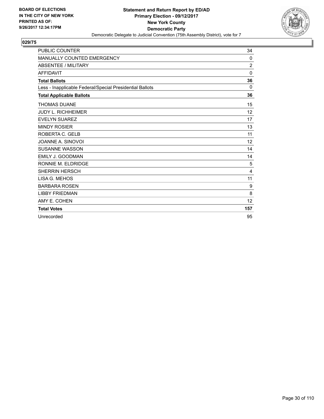

| <b>PUBLIC COUNTER</b>                                    | 34                |
|----------------------------------------------------------|-------------------|
| <b>MANUALLY COUNTED EMERGENCY</b>                        | 0                 |
| <b>ABSENTEE / MILITARY</b>                               | $\overline{2}$    |
| <b>AFFIDAVIT</b>                                         | $\Omega$          |
| <b>Total Ballots</b>                                     | 36                |
| Less - Inapplicable Federal/Special Presidential Ballots | 0                 |
| <b>Total Applicable Ballots</b>                          | 36                |
| <b>THOMAS DUANE</b>                                      | 15                |
| <b>JUDY L. RICHHEIMER</b>                                | $12 \overline{ }$ |
| <b>EVELYN SUAREZ</b>                                     | 17                |
| <b>MINDY ROSIER</b>                                      | 13                |
| ROBERTA C. GELB                                          | 11                |
| JOANNE A. SINOVOI                                        | 12                |
| <b>SUSANNE WASSON</b>                                    | 14                |
| <b>EMILY J. GOODMAN</b>                                  | 14                |
| RONNIE M. ELDRIDGE                                       | 5                 |
| <b>SHERRIN HERSCH</b>                                    | 4                 |
| LISA G. MEHOS                                            | 11                |
| <b>BARBARA ROSEN</b>                                     | 9                 |
| <b>LIBBY FRIEDMAN</b>                                    | 8                 |
| AMY E. COHEN                                             | 12                |
| <b>Total Votes</b>                                       | 157               |
| Unrecorded                                               | 95                |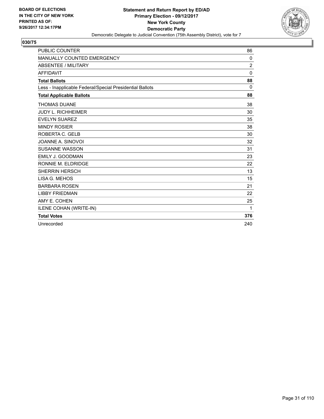

| <b>PUBLIC COUNTER</b>                                    | 86             |
|----------------------------------------------------------|----------------|
| MANUALLY COUNTED EMERGENCY                               | 0              |
| <b>ABSENTEE / MILITARY</b>                               | $\overline{2}$ |
| <b>AFFIDAVIT</b>                                         | $\mathbf{0}$   |
| <b>Total Ballots</b>                                     | 88             |
| Less - Inapplicable Federal/Special Presidential Ballots | $\Omega$       |
| <b>Total Applicable Ballots</b>                          | 88             |
| <b>THOMAS DUANE</b>                                      | 38             |
| <b>JUDY L. RICHHEIMER</b>                                | 30             |
| <b>EVELYN SUAREZ</b>                                     | 35             |
| <b>MINDY ROSIER</b>                                      | 38             |
| ROBERTA C. GELB                                          | 30             |
| JOANNE A. SINOVOI                                        | 32             |
| <b>SUSANNE WASSON</b>                                    | 31             |
| <b>EMILY J. GOODMAN</b>                                  | 23             |
| RONNIE M. ELDRIDGE                                       | 22             |
| <b>SHERRIN HERSCH</b>                                    | 13             |
| LISA G. MEHOS                                            | 15             |
| <b>BARBARA ROSEN</b>                                     | 21             |
| <b>LIBBY FRIEDMAN</b>                                    | 22             |
| AMY E. COHEN                                             | 25             |
| ILENE COHAN (WRITE-IN)                                   | 1              |
| <b>Total Votes</b>                                       | 376            |
| Unrecorded                                               | 240            |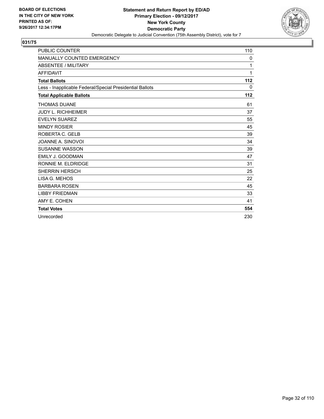

| <b>PUBLIC COUNTER</b>                                    | 110 |
|----------------------------------------------------------|-----|
| <b>MANUALLY COUNTED EMERGENCY</b>                        | 0   |
| <b>ABSENTEE / MILITARY</b>                               | 1   |
| <b>AFFIDAVIT</b>                                         | 1   |
| <b>Total Ballots</b>                                     | 112 |
| Less - Inapplicable Federal/Special Presidential Ballots | 0   |
| <b>Total Applicable Ballots</b>                          | 112 |
| <b>THOMAS DUANE</b>                                      | 61  |
| <b>JUDY L. RICHHEIMER</b>                                | 37  |
| <b>EVELYN SUAREZ</b>                                     | 55  |
| <b>MINDY ROSIER</b>                                      | 45  |
| ROBERTA C. GELB                                          | 39  |
| JOANNE A. SINOVOI                                        | 34  |
| <b>SUSANNE WASSON</b>                                    | 39  |
| <b>EMILY J. GOODMAN</b>                                  | 47  |
| RONNIE M. ELDRIDGE                                       | 31  |
| <b>SHERRIN HERSCH</b>                                    | 25  |
| LISA G. MEHOS                                            | 22  |
| <b>BARBARA ROSEN</b>                                     | 45  |
| <b>LIBBY FRIEDMAN</b>                                    | 33  |
| AMY E. COHEN                                             | 41  |
| <b>Total Votes</b>                                       | 554 |
| Unrecorded                                               | 230 |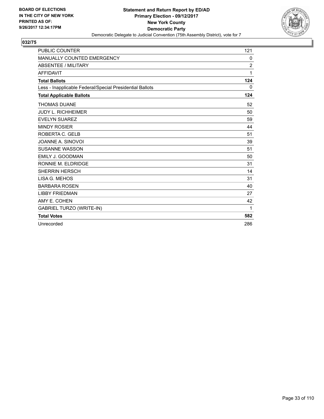

| PUBLIC COUNTER                                           | 121            |
|----------------------------------------------------------|----------------|
| <b>MANUALLY COUNTED EMERGENCY</b>                        | 0              |
| <b>ABSENTEE / MILITARY</b>                               | $\overline{2}$ |
| <b>AFFIDAVIT</b>                                         | 1              |
| <b>Total Ballots</b>                                     | 124            |
| Less - Inapplicable Federal/Special Presidential Ballots | 0              |
| <b>Total Applicable Ballots</b>                          | 124            |
| <b>THOMAS DUANE</b>                                      | 52             |
| <b>JUDY L. RICHHEIMER</b>                                | 50             |
| <b>EVELYN SUAREZ</b>                                     | 59             |
| <b>MINDY ROSIER</b>                                      | 44             |
| ROBERTA C. GELB                                          | 51             |
| JOANNE A. SINOVOI                                        | 39             |
| <b>SUSANNE WASSON</b>                                    | 51             |
| EMILY J. GOODMAN                                         | 50             |
| RONNIE M. ELDRIDGE                                       | 31             |
| <b>SHERRIN HERSCH</b>                                    | 14             |
| LISA G. MEHOS                                            | 31             |
| <b>BARBARA ROSEN</b>                                     | 40             |
| <b>LIBBY FRIEDMAN</b>                                    | 27             |
| AMY E. COHEN                                             | 42             |
| <b>GABRIEL TURZO (WRITE-IN)</b>                          | 1              |
| <b>Total Votes</b>                                       | 582            |
| Unrecorded                                               | 286            |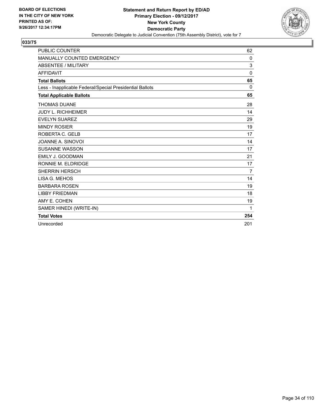

| <b>PUBLIC COUNTER</b>                                    | 62             |
|----------------------------------------------------------|----------------|
| <b>MANUALLY COUNTED EMERGENCY</b>                        | 0              |
| <b>ABSENTEE / MILITARY</b>                               | 3              |
| <b>AFFIDAVIT</b>                                         | 0              |
| <b>Total Ballots</b>                                     | 65             |
| Less - Inapplicable Federal/Special Presidential Ballots | $\Omega$       |
| <b>Total Applicable Ballots</b>                          | 65             |
| <b>THOMAS DUANE</b>                                      | 28             |
| <b>JUDY L. RICHHEIMER</b>                                | 14             |
| <b>EVELYN SUAREZ</b>                                     | 29             |
| <b>MINDY ROSIER</b>                                      | 19             |
| ROBERTA C. GELB                                          | 17             |
| JOANNE A. SINOVOI                                        | 14             |
| <b>SUSANNE WASSON</b>                                    | 17             |
| <b>EMILY J. GOODMAN</b>                                  | 21             |
| RONNIE M. ELDRIDGE                                       | 17             |
| <b>SHERRIN HERSCH</b>                                    | $\overline{7}$ |
| LISA G. MEHOS                                            | 14             |
| <b>BARBARA ROSEN</b>                                     | 19             |
| <b>LIBBY FRIEDMAN</b>                                    | 18             |
| AMY E. COHEN                                             | 19             |
| SAMER HINEDI (WRITE-IN)                                  | 1              |
| <b>Total Votes</b>                                       | 254            |
| Unrecorded                                               | 201            |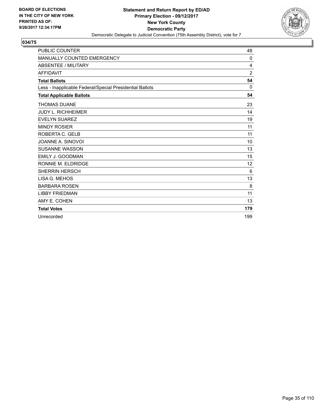

| <b>PUBLIC COUNTER</b>                                    | 48  |
|----------------------------------------------------------|-----|
| <b>MANUALLY COUNTED EMERGENCY</b>                        | 0   |
| <b>ABSENTEE / MILITARY</b>                               | 4   |
| <b>AFFIDAVIT</b>                                         | 2   |
| <b>Total Ballots</b>                                     | 54  |
| Less - Inapplicable Federal/Special Presidential Ballots | 0   |
| <b>Total Applicable Ballots</b>                          | 54  |
| <b>THOMAS DUANE</b>                                      | 23  |
| <b>JUDY L. RICHHEIMER</b>                                | 14  |
| <b>EVELYN SUAREZ</b>                                     | 19  |
| <b>MINDY ROSIER</b>                                      | 11  |
| ROBERTA C. GELB                                          | 11  |
| JOANNE A. SINOVOI                                        | 10  |
| <b>SUSANNE WASSON</b>                                    | 13  |
| EMILY J. GOODMAN                                         | 15  |
| RONNIE M. ELDRIDGE                                       | 12  |
| <b>SHERRIN HERSCH</b>                                    | 6   |
| LISA G. MEHOS                                            | 13  |
| <b>BARBARA ROSEN</b>                                     | 8   |
| <b>LIBBY FRIEDMAN</b>                                    | 11  |
| AMY E. COHEN                                             | 13  |
| <b>Total Votes</b>                                       | 179 |
| Unrecorded                                               | 199 |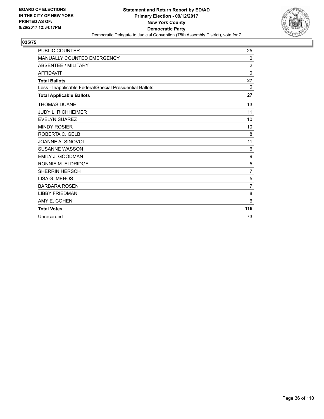

| <b>PUBLIC COUNTER</b>                                    | 25             |
|----------------------------------------------------------|----------------|
| <b>MANUALLY COUNTED EMERGENCY</b>                        | 0              |
| <b>ABSENTEE / MILITARY</b>                               | $\overline{2}$ |
| <b>AFFIDAVIT</b>                                         | $\mathbf{0}$   |
| <b>Total Ballots</b>                                     | 27             |
| Less - Inapplicable Federal/Special Presidential Ballots | 0              |
| <b>Total Applicable Ballots</b>                          | 27             |
| <b>THOMAS DUANE</b>                                      | 13             |
| <b>JUDY L. RICHHEIMER</b>                                | 11             |
| <b>EVELYN SUAREZ</b>                                     | 10             |
| <b>MINDY ROSIER</b>                                      | 10             |
| ROBERTA C. GELB                                          | 8              |
| JOANNE A. SINOVOI                                        | 11             |
| <b>SUSANNE WASSON</b>                                    | 6              |
| EMILY J. GOODMAN                                         | 9              |
| RONNIE M. ELDRIDGE                                       | 5              |
| <b>SHERRIN HERSCH</b>                                    | $\overline{7}$ |
| LISA G. MEHOS                                            | 5              |
| <b>BARBARA ROSEN</b>                                     | $\overline{7}$ |
| <b>LIBBY FRIEDMAN</b>                                    | 8              |
| AMY E. COHEN                                             | 6              |
| <b>Total Votes</b>                                       | 116            |
| Unrecorded                                               | 73             |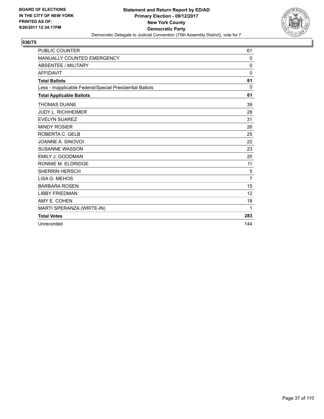

| <b>PUBLIC COUNTER</b>                                    | 61             |
|----------------------------------------------------------|----------------|
| <b>MANUALLY COUNTED EMERGENCY</b>                        | 0              |
| <b>ABSENTEE / MILITARY</b>                               | $\mathbf{0}$   |
| <b>AFFIDAVIT</b>                                         | $\Omega$       |
| <b>Total Ballots</b>                                     | 61             |
| Less - Inapplicable Federal/Special Presidential Ballots | $\Omega$       |
| <b>Total Applicable Ballots</b>                          | 61             |
| <b>THOMAS DUANE</b>                                      | 39             |
| <b>JUDY L. RICHHEIMER</b>                                | 28             |
| <b>EVELYN SUAREZ</b>                                     | 31             |
| <b>MINDY ROSIER</b>                                      | 26             |
| ROBERTA C. GELB                                          | 25             |
| JOANNE A. SINOVOI                                        | 22             |
| <b>SUSANNE WASSON</b>                                    | 23             |
| <b>EMILY J. GOODMAN</b>                                  | 20             |
| RONNIE M. ELDRIDGE                                       | 11             |
| <b>SHERRIN HERSCH</b>                                    | 5              |
| LISA G. MEHOS                                            | $\overline{7}$ |
| <b>BARBARA ROSEN</b>                                     | 15             |
| <b>LIBBY FRIEDMAN</b>                                    | 12             |
| AMY E. COHEN                                             | 18             |
| MARTI SPERANZA (WRITE-IN)                                | 1              |
| <b>Total Votes</b>                                       | 283            |
| Unrecorded                                               | 144            |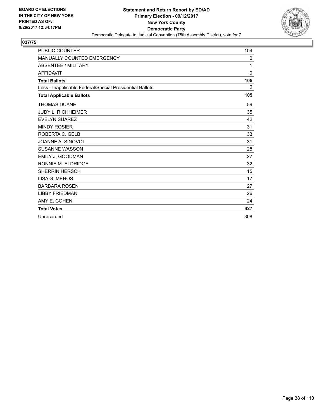

| <b>PUBLIC COUNTER</b>                                    | 104          |
|----------------------------------------------------------|--------------|
| <b>MANUALLY COUNTED EMERGENCY</b>                        | 0            |
| <b>ABSENTEE / MILITARY</b>                               | 1            |
| <b>AFFIDAVIT</b>                                         | $\mathbf{0}$ |
| <b>Total Ballots</b>                                     | 105          |
| Less - Inapplicable Federal/Special Presidential Ballots | 0            |
| <b>Total Applicable Ballots</b>                          | 105          |
| <b>THOMAS DUANE</b>                                      | 59           |
| <b>JUDY L. RICHHEIMER</b>                                | 35           |
| <b>EVELYN SUAREZ</b>                                     | 42           |
| <b>MINDY ROSIER</b>                                      | 31           |
| ROBERTA C. GELB                                          | 33           |
| JOANNE A. SINOVOI                                        | 31           |
| <b>SUSANNE WASSON</b>                                    | 28           |
| <b>EMILY J. GOODMAN</b>                                  | 27           |
| RONNIE M. ELDRIDGE                                       | 32           |
| <b>SHERRIN HERSCH</b>                                    | 15           |
| LISA G. MEHOS                                            | 17           |
| <b>BARBARA ROSEN</b>                                     | 27           |
| <b>LIBBY FRIEDMAN</b>                                    | 26           |
| AMY E. COHEN                                             | 24           |
| <b>Total Votes</b>                                       | 427          |
| Unrecorded                                               | 308          |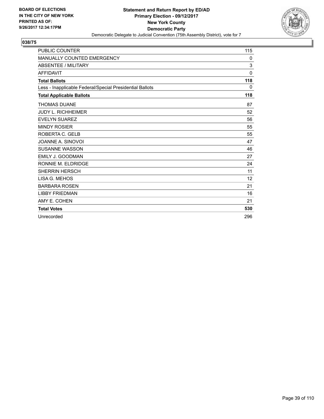

| <b>PUBLIC COUNTER</b>                                    | 115      |
|----------------------------------------------------------|----------|
| <b>MANUALLY COUNTED EMERGENCY</b>                        | 0        |
| <b>ABSENTEE / MILITARY</b>                               | 3        |
| <b>AFFIDAVIT</b>                                         | $\Omega$ |
| <b>Total Ballots</b>                                     | 118      |
| Less - Inapplicable Federal/Special Presidential Ballots | 0        |
| <b>Total Applicable Ballots</b>                          | 118      |
| <b>THOMAS DUANE</b>                                      | 87       |
| <b>JUDY L. RICHHEIMER</b>                                | 52       |
| <b>EVELYN SUAREZ</b>                                     | 56       |
| <b>MINDY ROSIER</b>                                      | 55       |
| ROBERTA C. GELB                                          | 55       |
| JOANNE A. SINOVOI                                        | 47       |
| <b>SUSANNE WASSON</b>                                    | 46       |
| EMILY J. GOODMAN                                         | 27       |
| RONNIE M. ELDRIDGE                                       | 24       |
| <b>SHERRIN HERSCH</b>                                    | 11       |
| LISA G. MEHOS                                            | 12       |
| <b>BARBARA ROSEN</b>                                     | 21       |
| <b>LIBBY FRIEDMAN</b>                                    | 16       |
| AMY E. COHEN                                             | 21       |
| <b>Total Votes</b>                                       | 530      |
| Unrecorded                                               | 296      |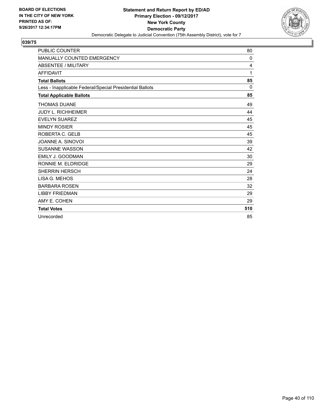

| <b>PUBLIC COUNTER</b>                                    | 80           |
|----------------------------------------------------------|--------------|
| MANUALLY COUNTED EMERGENCY                               | $\mathbf{0}$ |
| <b>ABSENTEE / MILITARY</b>                               | 4            |
| <b>AFFIDAVIT</b>                                         | 1            |
| <b>Total Ballots</b>                                     | 85           |
| Less - Inapplicable Federal/Special Presidential Ballots | $\mathbf{0}$ |
| <b>Total Applicable Ballots</b>                          | 85           |
| <b>THOMAS DUANE</b>                                      | 49           |
| <b>JUDY L. RICHHEIMER</b>                                | 44           |
| <b>EVELYN SUAREZ</b>                                     | 45           |
| <b>MINDY ROSIER</b>                                      | 45           |
| ROBERTA C. GELB                                          | 45           |
| JOANNE A. SINOVOI                                        | 39           |
| <b>SUSANNE WASSON</b>                                    | 42           |
| <b>EMILY J. GOODMAN</b>                                  | 30           |
| RONNIE M. ELDRIDGE                                       | 29           |
| <b>SHERRIN HERSCH</b>                                    | 24           |
| LISA G. MEHOS                                            | 28           |
| <b>BARBARA ROSEN</b>                                     | 32           |
| <b>LIBBY FRIEDMAN</b>                                    | 29           |
| AMY E. COHEN                                             | 29           |
| <b>Total Votes</b>                                       | 510          |
| Unrecorded                                               | 85           |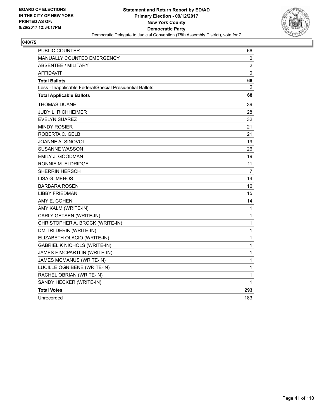

| PUBLIC COUNTER                                           | 66           |
|----------------------------------------------------------|--------------|
| MANUALLY COUNTED EMERGENCY                               | 0            |
| <b>ABSENTEE / MILITARY</b>                               | 2            |
| <b>AFFIDAVIT</b>                                         | 0            |
| <b>Total Ballots</b>                                     | 68           |
| Less - Inapplicable Federal/Special Presidential Ballots | 0            |
| <b>Total Applicable Ballots</b>                          | 68           |
| THOMAS DUANE                                             | 39           |
| JUDY L. RICHHEIMER                                       | 28           |
| <b>EVELYN SUAREZ</b>                                     | 32           |
| <b>MINDY ROSIER</b>                                      | 21           |
| ROBERTA C. GELB                                          | 21           |
| JOANNE A. SINOVOI                                        | 19           |
| SUSANNE WASSON                                           | 26           |
| EMILY J. GOODMAN                                         | 19           |
| RONNIE M. ELDRIDGE                                       | 11           |
| <b>SHERRIN HERSCH</b>                                    | 7            |
| LISA G. MEHOS                                            | 14           |
| <b>BARBARA ROSEN</b>                                     | 16           |
| LIBBY FRIEDMAN                                           | 15           |
| AMY E. COHEN                                             | 14           |
| AMY KALM (WRITE-IN)                                      | 1            |
| CARLY GETSEN (WRITE-IN)                                  | 1            |
| CHRISTOPHER A. BROCK (WRITE-IN)                          | 1            |
| DMITRI DERIK (WRITE-IN)                                  | $\mathbf{1}$ |
| ELIZABETH OLACIO (WRITE-IN)                              | 1            |
| <b>GABRIEL K NICHOLS (WRITE-IN)</b>                      | 1            |
| JAMES F MCPARTLIN (WRITE-IN)                             | 1            |
| JAMES MCMANUS (WRITE-IN)                                 | 1            |
| LUCILLE OGNIBENE (WRITE-IN)                              | 1            |
| RACHEL OBRIAN (WRITE-IN)                                 | 1            |
| SANDY HECKER (WRITE-IN)                                  | 1            |
| <b>Total Votes</b>                                       | 293          |
| Unrecorded                                               | 183          |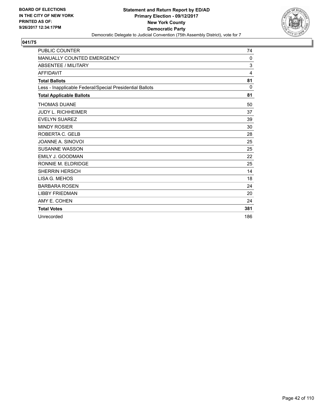

| <b>PUBLIC COUNTER</b>                                    | 74           |
|----------------------------------------------------------|--------------|
| <b>MANUALLY COUNTED EMERGENCY</b>                        | $\mathbf{0}$ |
| <b>ABSENTEE / MILITARY</b>                               | 3            |
| <b>AFFIDAVIT</b>                                         | 4            |
| <b>Total Ballots</b>                                     | 81           |
| Less - Inapplicable Federal/Special Presidential Ballots | $\Omega$     |
| <b>Total Applicable Ballots</b>                          | 81           |
| <b>THOMAS DUANE</b>                                      | 50           |
| <b>JUDY L. RICHHEIMER</b>                                | 37           |
| <b>EVELYN SUAREZ</b>                                     | 39           |
| <b>MINDY ROSIER</b>                                      | 30           |
| ROBERTA C. GELB                                          | 28           |
| JOANNE A. SINOVOI                                        | 25           |
| <b>SUSANNE WASSON</b>                                    | 25           |
| EMILY J. GOODMAN                                         | 22           |
| RONNIE M. ELDRIDGE                                       | 25           |
| <b>SHERRIN HERSCH</b>                                    | 14           |
| LISA G. MEHOS                                            | 18           |
| <b>BARBARA ROSEN</b>                                     | 24           |
| <b>LIBBY FRIEDMAN</b>                                    | 20           |
| AMY E. COHEN                                             | 24           |
| <b>Total Votes</b>                                       | 381          |
| Unrecorded                                               | 186          |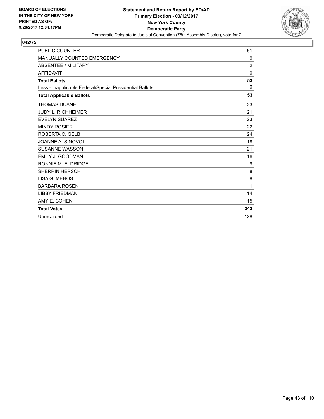

| <b>PUBLIC COUNTER</b>                                    | 51             |
|----------------------------------------------------------|----------------|
| MANUALLY COUNTED EMERGENCY                               | $\mathbf{0}$   |
| <b>ABSENTEE / MILITARY</b>                               | $\overline{c}$ |
| <b>AFFIDAVIT</b>                                         | $\Omega$       |
| <b>Total Ballots</b>                                     | 53             |
| Less - Inapplicable Federal/Special Presidential Ballots | $\Omega$       |
| <b>Total Applicable Ballots</b>                          | 53             |
| <b>THOMAS DUANE</b>                                      | 33             |
| <b>JUDY L. RICHHEIMER</b>                                | 21             |
| <b>EVELYN SUAREZ</b>                                     | 23             |
| <b>MINDY ROSIER</b>                                      | 22             |
| ROBERTA C. GELB                                          | 24             |
| JOANNE A. SINOVOI                                        | 18             |
| <b>SUSANNE WASSON</b>                                    | 21             |
| <b>EMILY J. GOODMAN</b>                                  | 16             |
| RONNIE M. ELDRIDGE                                       | 9              |
| <b>SHERRIN HERSCH</b>                                    | 8              |
| LISA G. MEHOS                                            | 8              |
| <b>BARBARA ROSEN</b>                                     | 11             |
| <b>LIBBY FRIEDMAN</b>                                    | 14             |
| AMY E. COHEN                                             | 15             |
| <b>Total Votes</b>                                       | 243            |
| Unrecorded                                               | 128            |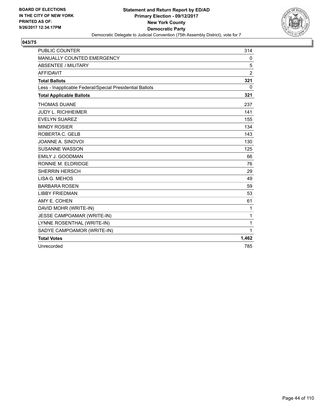

| <b>PUBLIC COUNTER</b>                                    | 314            |
|----------------------------------------------------------|----------------|
| MANUALLY COUNTED EMERGENCY                               | 0              |
| <b>ABSENTEE / MILITARY</b>                               | 5              |
| <b>AFFIDAVIT</b>                                         | $\overline{2}$ |
| <b>Total Ballots</b>                                     | 321            |
| Less - Inapplicable Federal/Special Presidential Ballots | $\mathbf{0}$   |
| <b>Total Applicable Ballots</b>                          | 321            |
| <b>THOMAS DUANE</b>                                      | 237            |
| <b>JUDY L. RICHHEIMER</b>                                | 141            |
| <b>EVELYN SUAREZ</b>                                     | 155            |
| <b>MINDY ROSIER</b>                                      | 134            |
| ROBERTA C. GELB                                          | 143            |
| JOANNE A. SINOVOI                                        | 130            |
| <b>SUSANNE WASSON</b>                                    | 125            |
| EMILY J. GOODMAN                                         | 66             |
| RONNIE M. ELDRIDGE                                       | 76             |
| <b>SHERRIN HERSCH</b>                                    | 29             |
| LISA G. MEHOS                                            | 49             |
| <b>BARBARA ROSEN</b>                                     | 59             |
| <b>LIBBY FRIEDMAN</b>                                    | 53             |
| AMY E. COHEN                                             | 61             |
| DAVID MOHR (WRITE-IN)                                    | $\mathbf{1}$   |
| JESSE CAMPOAMAR (WRITE-IN)                               | 1              |
| LYNNE ROSENTHAL (WRITE-IN)                               | $\mathbf{1}$   |
| SADYE CAMPOAMOR (WRITE-IN)                               | $\mathbf{1}$   |
| <b>Total Votes</b>                                       | 1,462          |
| Unrecorded                                               | 785            |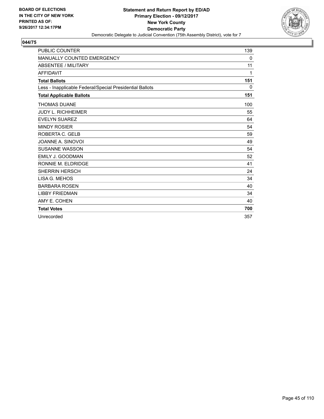

| <b>PUBLIC COUNTER</b>                                    | 139 |
|----------------------------------------------------------|-----|
| MANUALLY COUNTED EMERGENCY                               | 0   |
| <b>ABSENTEE / MILITARY</b>                               | 11  |
| <b>AFFIDAVIT</b>                                         | 1   |
| <b>Total Ballots</b>                                     | 151 |
| Less - Inapplicable Federal/Special Presidential Ballots | 0   |
| <b>Total Applicable Ballots</b>                          | 151 |
| <b>THOMAS DUANE</b>                                      | 100 |
| <b>JUDY L. RICHHEIMER</b>                                | 55  |
| <b>EVELYN SUAREZ</b>                                     | 64  |
| <b>MINDY ROSIER</b>                                      | 54  |
| ROBERTA C. GELB                                          | 59  |
| JOANNE A. SINOVOI                                        | 49  |
| <b>SUSANNE WASSON</b>                                    | 54  |
| <b>EMILY J. GOODMAN</b>                                  | 52  |
| RONNIE M. ELDRIDGE                                       | 41  |
| <b>SHERRIN HERSCH</b>                                    | 24  |
| LISA G. MEHOS                                            | 34  |
| <b>BARBARA ROSEN</b>                                     | 40  |
| <b>LIBBY FRIEDMAN</b>                                    | 34  |
| AMY E. COHEN                                             | 40  |
| <b>Total Votes</b>                                       | 700 |
| Unrecorded                                               | 357 |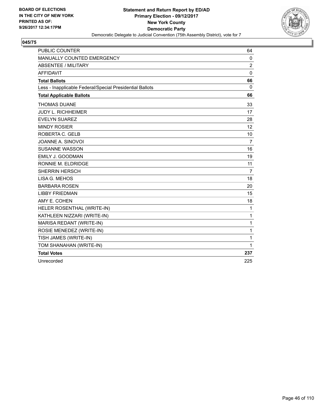

| <b>PUBLIC COUNTER</b>                                    | 64                |
|----------------------------------------------------------|-------------------|
| MANUALLY COUNTED EMERGENCY                               | $\mathbf{0}$      |
| <b>ABSENTEE / MILITARY</b>                               | 2                 |
| <b>AFFIDAVIT</b>                                         | $\mathbf{0}$      |
| <b>Total Ballots</b>                                     | 66                |
| Less - Inapplicable Federal/Special Presidential Ballots | $\Omega$          |
| <b>Total Applicable Ballots</b>                          | 66                |
| <b>THOMAS DUANE</b>                                      | 33                |
| <b>JUDY L. RICHHEIMER</b>                                | 17                |
| <b>EVELYN SUAREZ</b>                                     | 28                |
| <b>MINDY ROSIER</b>                                      | $12 \overline{ }$ |
| ROBERTA C. GELB                                          | 10 <sup>1</sup>   |
| JOANNE A. SINOVOI                                        | 7                 |
| <b>SUSANNE WASSON</b>                                    | 16                |
| <b>EMILY J. GOODMAN</b>                                  | 19                |
| RONNIE M. ELDRIDGE                                       | 11                |
| <b>SHERRIN HERSCH</b>                                    | $\overline{7}$    |
| <b>LISA G. MEHOS</b>                                     | 18                |
| <b>BARBARA ROSEN</b>                                     | 20                |
| <b>LIBBY FRIEDMAN</b>                                    | 15                |
| AMY E. COHEN                                             | 18                |
| HELER ROSENTHAL (WRITE-IN)                               | $\mathbf{1}$      |
| KATHLEEN NIZZARI (WRITE-IN)                              | $\mathbf{1}$      |
| MARISA REDANT (WRITE-IN)                                 | 1                 |
| ROSIE MENEDEZ (WRITE-IN)                                 | $\mathbf{1}$      |
| TISH JAMES (WRITE-IN)                                    | $\mathbf{1}$      |
| TOM SHANAHAN (WRITE-IN)                                  | 1                 |
| <b>Total Votes</b>                                       | 237               |
| Unrecorded                                               | 225               |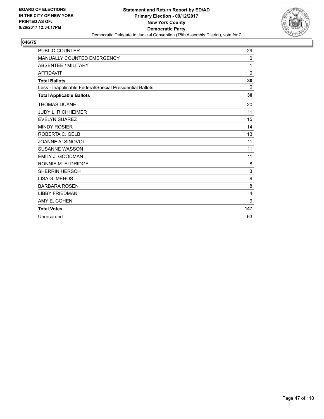

| <b>PUBLIC COUNTER</b>                                    | 29           |
|----------------------------------------------------------|--------------|
| <b>MANUALLY COUNTED EMERGENCY</b>                        | 0            |
| <b>ABSENTEE / MILITARY</b>                               | 1            |
| <b>AFFIDAVIT</b>                                         | 0            |
| <b>Total Ballots</b>                                     | 30           |
| Less - Inapplicable Federal/Special Presidential Ballots | 0            |
| <b>Total Applicable Ballots</b>                          | 30           |
| <b>THOMAS DUANE</b>                                      | 20           |
| <b>JUDY L. RICHHEIMER</b>                                | 11           |
| <b>EVELYN SUAREZ</b>                                     | 15           |
| <b>MINDY ROSIER</b>                                      | 14           |
| ROBERTA C. GELB                                          | 13           |
| JOANNE A. SINOVOI                                        | 11           |
| <b>SUSANNE WASSON</b>                                    | 11           |
| EMILY J. GOODMAN                                         | 11           |
| RONNIE M. ELDRIDGE                                       | 8            |
| <b>SHERRIN HERSCH</b>                                    | $\mathbf{3}$ |
| LISA G. MEHOS                                            | 9            |
| <b>BARBARA ROSEN</b>                                     | 8            |
| <b>LIBBY FRIEDMAN</b>                                    | 4            |
| AMY E. COHEN                                             | 9            |
| <b>Total Votes</b>                                       | 147          |
| Unrecorded                                               | 63           |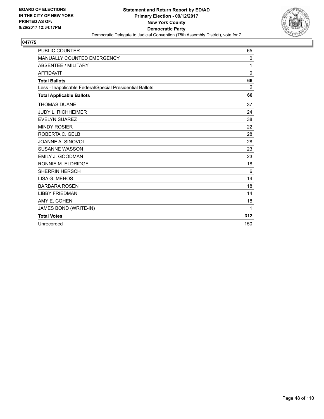

| <b>PUBLIC COUNTER</b>                                    | 65           |
|----------------------------------------------------------|--------------|
| MANUALLY COUNTED EMERGENCY                               | 0            |
| <b>ABSENTEE / MILITARY</b>                               | 1            |
| <b>AFFIDAVIT</b>                                         | $\mathbf{0}$ |
| <b>Total Ballots</b>                                     | 66           |
| Less - Inapplicable Federal/Special Presidential Ballots | $\Omega$     |
| <b>Total Applicable Ballots</b>                          | 66           |
| <b>THOMAS DUANE</b>                                      | 37           |
| <b>JUDY L. RICHHEIMER</b>                                | 24           |
| <b>EVELYN SUAREZ</b>                                     | 38           |
| <b>MINDY ROSIER</b>                                      | 22           |
| ROBERTA C. GELB                                          | 28           |
| JOANNE A. SINOVOI                                        | 28           |
| <b>SUSANNE WASSON</b>                                    | 23           |
| EMILY J. GOODMAN                                         | 23           |
| RONNIE M. ELDRIDGE                                       | 18           |
| <b>SHERRIN HERSCH</b>                                    | 6            |
| LISA G. MEHOS                                            | 14           |
| <b>BARBARA ROSEN</b>                                     | 18           |
| <b>LIBBY FRIEDMAN</b>                                    | 14           |
| AMY E. COHEN                                             | 18           |
| JAMES BOND (WRITE-IN)                                    | 1            |
| <b>Total Votes</b>                                       | 312          |
| Unrecorded                                               | 150          |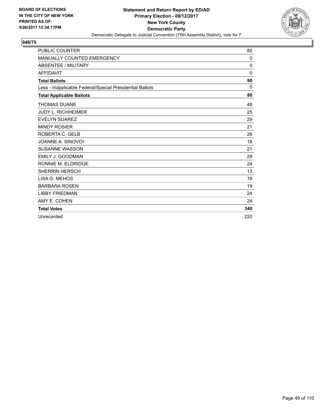

| <b>PUBLIC COUNTER</b>                                    | 80           |
|----------------------------------------------------------|--------------|
| <b>MANUALLY COUNTED EMERGENCY</b>                        | $\mathbf{0}$ |
| <b>ABSENTEE / MILITARY</b>                               | $\mathbf{0}$ |
| <b>AFFIDAVIT</b>                                         | $\Omega$     |
| <b>Total Ballots</b>                                     | 80           |
| Less - Inapplicable Federal/Special Presidential Ballots | 0            |
| <b>Total Applicable Ballots</b>                          | 80           |
| <b>THOMAS DUANE</b>                                      | 48           |
| <b>JUDY L. RICHHEIMER</b>                                | 25           |
| <b>EVELYN SUAREZ</b>                                     | 29           |
| <b>MINDY ROSIER</b>                                      | 21           |
| ROBERTA C. GELB                                          | 26           |
| JOANNE A. SINOVOI                                        | 18           |
| <b>SUSANNE WASSON</b>                                    | 21           |
| EMILY J. GOODMAN                                         | 29           |
| RONNIE M. ELDRIDGE                                       | 24           |
| <b>SHERRIN HERSCH</b>                                    | 13           |
| LISA G. MEHOS                                            | 19           |
| <b>BARBARA ROSEN</b>                                     | 19           |
| <b>LIBBY FRIEDMAN</b>                                    | 24           |
| AMY E. COHEN                                             | 24           |
| <b>Total Votes</b>                                       | 340          |
| Unrecorded                                               | 220          |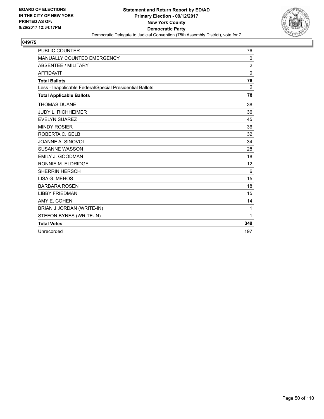

| <b>PUBLIC COUNTER</b>                                    | 76       |
|----------------------------------------------------------|----------|
| MANUALLY COUNTED EMERGENCY                               | 0        |
| <b>ABSENTEE / MILITARY</b>                               | 2        |
| <b>AFFIDAVIT</b>                                         | $\Omega$ |
| <b>Total Ballots</b>                                     | 78       |
| Less - Inapplicable Federal/Special Presidential Ballots | 0        |
| <b>Total Applicable Ballots</b>                          | 78       |
| <b>THOMAS DUANE</b>                                      | 38       |
| <b>JUDY L. RICHHEIMER</b>                                | 36       |
| <b>EVELYN SUAREZ</b>                                     | 45       |
| <b>MINDY ROSIER</b>                                      | 36       |
| ROBERTA C. GELB                                          | 32       |
| JOANNE A. SINOVOI                                        | 34       |
| <b>SUSANNE WASSON</b>                                    | 28       |
| <b>EMILY J. GOODMAN</b>                                  | 18       |
| RONNIE M. ELDRIDGE                                       | 12       |
| <b>SHERRIN HERSCH</b>                                    | 6        |
| LISA G. MEHOS                                            | 15       |
| <b>BARBARA ROSEN</b>                                     | 18       |
| <b>LIBBY FRIEDMAN</b>                                    | 15       |
| AMY E. COHEN                                             | 14       |
| BRIAN J JORDAN (WRITE-IN)                                | 1        |
| STEFON BYNES (WRITE-IN)                                  | 1        |
| <b>Total Votes</b>                                       | 349      |
| Unrecorded                                               | 197      |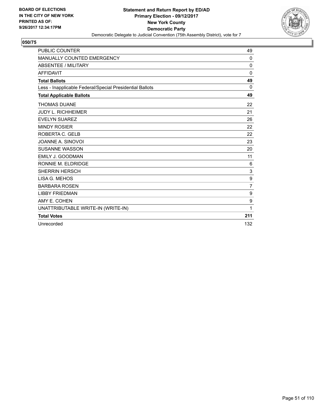

| <b>PUBLIC COUNTER</b>                                    | 49             |
|----------------------------------------------------------|----------------|
| MANUALLY COUNTED EMERGENCY                               | $\mathbf{0}$   |
| <b>ABSENTEE / MILITARY</b>                               | 0              |
| <b>AFFIDAVIT</b>                                         | $\Omega$       |
| <b>Total Ballots</b>                                     | 49             |
| Less - Inapplicable Federal/Special Presidential Ballots | $\Omega$       |
| <b>Total Applicable Ballots</b>                          | 49             |
| <b>THOMAS DUANE</b>                                      | 22             |
| <b>JUDY L. RICHHEIMER</b>                                | 21             |
| <b>EVELYN SUAREZ</b>                                     | 26             |
| <b>MINDY ROSIER</b>                                      | 22             |
| ROBERTA C. GELB                                          | 22             |
| JOANNE A. SINOVOI                                        | 23             |
| <b>SUSANNE WASSON</b>                                    | 20             |
| <b>EMILY J. GOODMAN</b>                                  | 11             |
| RONNIE M. ELDRIDGE                                       | 6              |
| <b>SHERRIN HERSCH</b>                                    | 3              |
| LISA G. MEHOS                                            | 9              |
| <b>BARBARA ROSEN</b>                                     | $\overline{7}$ |
| <b>LIBBY FRIEDMAN</b>                                    | 9              |
| AMY E. COHEN                                             | 9              |
| UNATTRIBUTABLE WRITE-IN (WRITE-IN)                       | 1              |
| <b>Total Votes</b>                                       | 211            |
| Unrecorded                                               | 132            |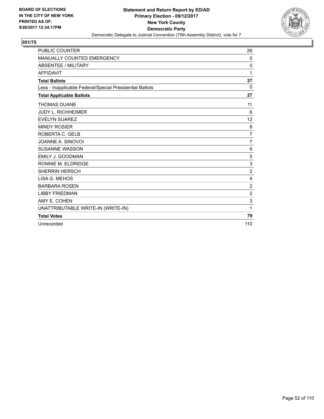

| <b>PUBLIC COUNTER</b>                                    | 26             |
|----------------------------------------------------------|----------------|
| <b>MANUALLY COUNTED EMERGENCY</b>                        | 0              |
| <b>ABSENTEE / MILITARY</b>                               | 0              |
| <b>AFFIDAVIT</b>                                         | 1              |
| <b>Total Ballots</b>                                     | 27             |
| Less - Inapplicable Federal/Special Presidential Ballots | $\Omega$       |
| <b>Total Applicable Ballots</b>                          | 27             |
| <b>THOMAS DUANE</b>                                      | 11             |
| <b>JUDY L. RICHHEIMER</b>                                | 6              |
| <b>EVELYN SUAREZ</b>                                     | 12             |
| <b>MINDY ROSIER</b>                                      | 8              |
| ROBERTA C. GELB                                          | $\overline{7}$ |
| JOANNE A. SINOVOI                                        | 7              |
| <b>SUSANNE WASSON</b>                                    | 6              |
| <b>EMILY J. GOODMAN</b>                                  | 5              |
| RONNIE M. ELDRIDGE                                       | 3              |
| <b>SHERRIN HERSCH</b>                                    | $\overline{2}$ |
| LISA G. MEHOS                                            | 4              |
| <b>BARBARA ROSEN</b>                                     | $\overline{2}$ |
| <b>LIBBY FRIEDMAN</b>                                    | $\overline{2}$ |
| AMY E. COHEN                                             | 3              |
| UNATTRIBUTABLE WRITE-IN (WRITE-IN)                       | 1              |
| <b>Total Votes</b>                                       | 79             |
| Unrecorded                                               | 110            |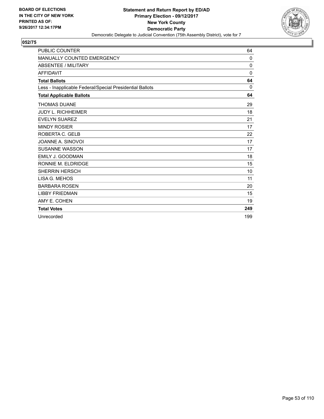

| <b>PUBLIC COUNTER</b>                                    | 64           |
|----------------------------------------------------------|--------------|
| <b>MANUALLY COUNTED EMERGENCY</b>                        | 0            |
| <b>ABSENTEE / MILITARY</b>                               | $\mathbf{0}$ |
| <b>AFFIDAVIT</b>                                         | $\mathbf{0}$ |
| <b>Total Ballots</b>                                     | 64           |
| Less - Inapplicable Federal/Special Presidential Ballots | 0            |
| <b>Total Applicable Ballots</b>                          | 64           |
| <b>THOMAS DUANE</b>                                      | 29           |
| <b>JUDY L. RICHHEIMER</b>                                | 18           |
| <b>EVELYN SUAREZ</b>                                     | 21           |
| <b>MINDY ROSIER</b>                                      | 17           |
| ROBERTA C. GELB                                          | 22           |
| JOANNE A. SINOVOI                                        | 17           |
| <b>SUSANNE WASSON</b>                                    | 17           |
| EMILY J. GOODMAN                                         | 18           |
| RONNIE M. ELDRIDGE                                       | 15           |
| <b>SHERRIN HERSCH</b>                                    | 10           |
| LISA G. MEHOS                                            | 11           |
| <b>BARBARA ROSEN</b>                                     | 20           |
| <b>LIBBY FRIEDMAN</b>                                    | 15           |
| AMY E. COHEN                                             | 19           |
| <b>Total Votes</b>                                       | 249          |
| Unrecorded                                               | 199          |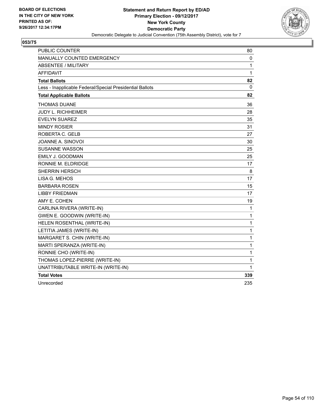

| <b>PUBLIC COUNTER</b>                                    | 80           |
|----------------------------------------------------------|--------------|
| MANUALLY COUNTED EMERGENCY                               | 0            |
| <b>ABSENTEE / MILITARY</b>                               | 1            |
| <b>AFFIDAVIT</b>                                         | $\mathbf 1$  |
| <b>Total Ballots</b>                                     | 82           |
| Less - Inapplicable Federal/Special Presidential Ballots | $\mathbf{0}$ |
| <b>Total Applicable Ballots</b>                          | 82           |
| <b>THOMAS DUANE</b>                                      | 36           |
| <b>JUDY L. RICHHEIMER</b>                                | 28           |
| <b>EVELYN SUAREZ</b>                                     | 35           |
| <b>MINDY ROSIER</b>                                      | 31           |
| ROBERTA C. GELB                                          | 27           |
| JOANNE A. SINOVOI                                        | 30           |
| <b>SUSANNE WASSON</b>                                    | 25           |
| <b>EMILY J. GOODMAN</b>                                  | 25           |
| RONNIE M. ELDRIDGE                                       | 17           |
| <b>SHERRIN HERSCH</b>                                    | 8            |
| LISA G. MEHOS                                            | 17           |
| <b>BARBARA ROSEN</b>                                     | 15           |
| LIBBY FRIEDMAN                                           | 17           |
| AMY E. COHEN                                             | 19           |
| CARLINA RIVERA (WRITE-IN)                                | 1            |
| GWEN E. GOODWIN (WRITE-IN)                               | 1            |
| HELEN ROSENTHAL (WRITE-IN)                               | 1            |
| LETITIA JAMES (WRITE-IN)                                 | 1            |
| MARGARET S. CHIN (WRITE-IN)                              | 1            |
| MARTI SPERANZA (WRITE-IN)                                | 1            |
| RONNIE CHO (WRITE-IN)                                    | $\mathbf 1$  |
| THOMAS LOPEZ-PIERRE (WRITE-IN)                           | 1            |
| UNATTRIBUTABLE WRITE-IN (WRITE-IN)                       | 1            |
| <b>Total Votes</b>                                       | 339          |
| Unrecorded                                               | 235          |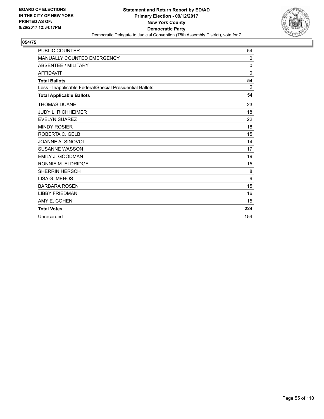

| <b>PUBLIC COUNTER</b>                                    | 54           |
|----------------------------------------------------------|--------------|
| MANUALLY COUNTED EMERGENCY                               | $\mathbf{0}$ |
| <b>ABSENTEE / MILITARY</b>                               | 0            |
| <b>AFFIDAVIT</b>                                         | $\Omega$     |
| <b>Total Ballots</b>                                     | 54           |
| Less - Inapplicable Federal/Special Presidential Ballots | $\mathbf{0}$ |
| <b>Total Applicable Ballots</b>                          | 54           |
| <b>THOMAS DUANE</b>                                      | 23           |
| <b>JUDY L. RICHHEIMER</b>                                | 18           |
| <b>EVELYN SUAREZ</b>                                     | 22           |
| <b>MINDY ROSIER</b>                                      | 18           |
| ROBERTA C. GELB                                          | 15           |
| JOANNE A. SINOVOI                                        | 14           |
| <b>SUSANNE WASSON</b>                                    | 17           |
| <b>EMILY J. GOODMAN</b>                                  | 19           |
| RONNIE M. ELDRIDGE                                       | 15           |
| <b>SHERRIN HERSCH</b>                                    | 8            |
| LISA G. MEHOS                                            | 9            |
| <b>BARBARA ROSEN</b>                                     | 15           |
| <b>LIBBY FRIEDMAN</b>                                    | 16           |
| AMY E. COHEN                                             | 15           |
| <b>Total Votes</b>                                       | 224          |
| Unrecorded                                               | 154          |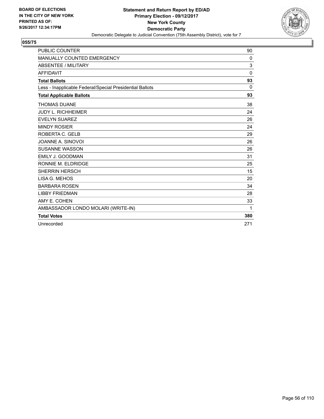

| PUBLIC COUNTER                                           | 90           |
|----------------------------------------------------------|--------------|
| MANUALLY COUNTED EMERGENCY                               | 0            |
| <b>ABSENTEE / MILITARY</b>                               | 3            |
| <b>AFFIDAVIT</b>                                         | $\mathbf{0}$ |
| <b>Total Ballots</b>                                     | 93           |
| Less - Inapplicable Federal/Special Presidential Ballots | $\mathbf{0}$ |
| <b>Total Applicable Ballots</b>                          | 93           |
| <b>THOMAS DUANE</b>                                      | 38           |
| <b>JUDY L. RICHHEIMER</b>                                | 24           |
| <b>EVELYN SUAREZ</b>                                     | 26           |
| <b>MINDY ROSIER</b>                                      | 24           |
| ROBERTA C. GELB                                          | 29           |
| JOANNE A. SINOVOI                                        | 26           |
| <b>SUSANNE WASSON</b>                                    | 26           |
| EMILY J. GOODMAN                                         | 31           |
| RONNIE M. ELDRIDGE                                       | 25           |
| <b>SHERRIN HERSCH</b>                                    | 15           |
| LISA G. MEHOS                                            | 20           |
| <b>BARBARA ROSEN</b>                                     | 34           |
| <b>LIBBY FRIEDMAN</b>                                    | 28           |
| AMY E. COHEN                                             | 33           |
| AMBASSADOR LONDO MOLARI (WRITE-IN)                       | 1            |
| <b>Total Votes</b>                                       | 380          |
| Unrecorded                                               | 271          |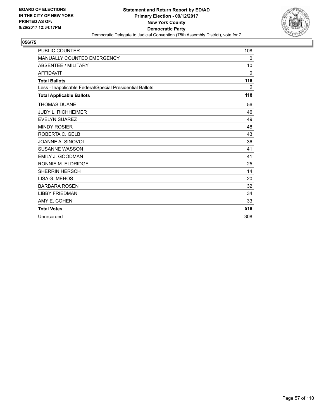

| <b>PUBLIC COUNTER</b>                                    | 108          |
|----------------------------------------------------------|--------------|
| MANUALLY COUNTED EMERGENCY                               | 0            |
| <b>ABSENTEE / MILITARY</b>                               | 10           |
| <b>AFFIDAVIT</b>                                         | $\mathbf{0}$ |
| <b>Total Ballots</b>                                     | 118          |
| Less - Inapplicable Federal/Special Presidential Ballots | 0            |
| <b>Total Applicable Ballots</b>                          | 118          |
| <b>THOMAS DUANE</b>                                      | 56           |
| <b>JUDY L. RICHHEIMER</b>                                | 46           |
| <b>EVELYN SUAREZ</b>                                     | 49           |
| <b>MINDY ROSIER</b>                                      | 48           |
| ROBERTA C. GELB                                          | 43           |
| JOANNE A. SINOVOI                                        | 36           |
| <b>SUSANNE WASSON</b>                                    | 41           |
| <b>EMILY J. GOODMAN</b>                                  | 41           |
| RONNIE M. ELDRIDGE                                       | 25           |
| <b>SHERRIN HERSCH</b>                                    | 14           |
| LISA G. MEHOS                                            | 20           |
| <b>BARBARA ROSEN</b>                                     | 32           |
| <b>LIBBY FRIEDMAN</b>                                    | 34           |
| AMY E. COHEN                                             | 33           |
| <b>Total Votes</b>                                       | 518          |
| Unrecorded                                               | 308          |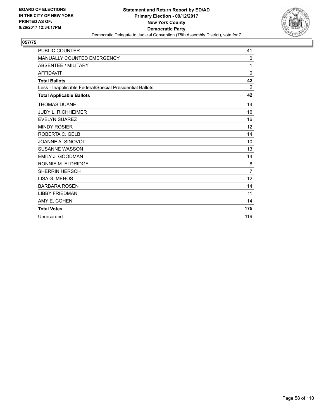

| <b>PUBLIC COUNTER</b>                                    | 41             |
|----------------------------------------------------------|----------------|
| <b>MANUALLY COUNTED EMERGENCY</b>                        | 0              |
| <b>ABSENTEE / MILITARY</b>                               | 1              |
| <b>AFFIDAVIT</b>                                         | $\mathbf{0}$   |
| <b>Total Ballots</b>                                     | 42             |
| Less - Inapplicable Federal/Special Presidential Ballots | 0              |
| <b>Total Applicable Ballots</b>                          | 42             |
| <b>THOMAS DUANE</b>                                      | 14             |
| <b>JUDY L. RICHHEIMER</b>                                | 16             |
| <b>EVELYN SUAREZ</b>                                     | 16             |
| <b>MINDY ROSIER</b>                                      | 12             |
| ROBERTA C. GELB                                          | 14             |
| JOANNE A. SINOVOI                                        | 10             |
| <b>SUSANNE WASSON</b>                                    | 13             |
| <b>EMILY J. GOODMAN</b>                                  | 14             |
| RONNIE M. ELDRIDGE                                       | 8              |
| <b>SHERRIN HERSCH</b>                                    | $\overline{7}$ |
| LISA G. MEHOS                                            | 12             |
| <b>BARBARA ROSEN</b>                                     | 14             |
| <b>LIBBY FRIEDMAN</b>                                    | 11             |
| AMY E. COHEN                                             | 14             |
| <b>Total Votes</b>                                       | 175            |
| Unrecorded                                               | 119            |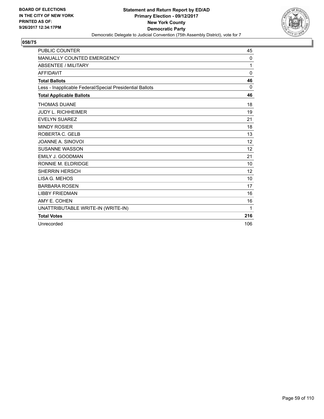

| <b>PUBLIC COUNTER</b>                                    | 45       |
|----------------------------------------------------------|----------|
| <b>MANUALLY COUNTED EMERGENCY</b>                        | 0        |
| <b>ABSENTEE / MILITARY</b>                               | 1        |
| <b>AFFIDAVIT</b>                                         | $\Omega$ |
| <b>Total Ballots</b>                                     | 46       |
| Less - Inapplicable Federal/Special Presidential Ballots | $\Omega$ |
| <b>Total Applicable Ballots</b>                          | 46       |
| <b>THOMAS DUANE</b>                                      | 18       |
| <b>JUDY L. RICHHEIMER</b>                                | 19       |
| <b>EVELYN SUAREZ</b>                                     | 21       |
| <b>MINDY ROSIER</b>                                      | 18       |
| ROBERTA C. GELB                                          | 13       |
| JOANNE A. SINOVOI                                        | 12       |
| <b>SUSANNE WASSON</b>                                    | 12       |
| <b>EMILY J. GOODMAN</b>                                  | 21       |
| RONNIE M. ELDRIDGE                                       | 10       |
| <b>SHERRIN HERSCH</b>                                    | 12       |
| LISA G. MEHOS                                            | 10       |
| <b>BARBARA ROSEN</b>                                     | 17       |
| <b>LIBBY FRIEDMAN</b>                                    | 16       |
| AMY E. COHEN                                             | 16       |
| UNATTRIBUTABLE WRITE-IN (WRITE-IN)                       | 1        |
| <b>Total Votes</b>                                       | 216      |
| Unrecorded                                               | 106      |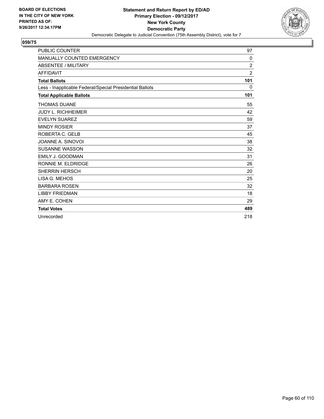

| <b>PUBLIC COUNTER</b>                                    | 97             |
|----------------------------------------------------------|----------------|
| MANUALLY COUNTED EMERGENCY                               | $\mathbf{0}$   |
| <b>ABSENTEE / MILITARY</b>                               | $\overline{2}$ |
| <b>AFFIDAVIT</b>                                         | $\overline{2}$ |
| <b>Total Ballots</b>                                     | 101            |
| Less - Inapplicable Federal/Special Presidential Ballots | 0              |
| <b>Total Applicable Ballots</b>                          | 101            |
| <b>THOMAS DUANE</b>                                      | 55             |
| <b>JUDY L. RICHHEIMER</b>                                | 42             |
| <b>EVELYN SUAREZ</b>                                     | 59             |
| <b>MINDY ROSIER</b>                                      | 37             |
| ROBERTA C. GELB                                          | 45             |
| JOANNE A. SINOVOI                                        | 38             |
| <b>SUSANNE WASSON</b>                                    | 32             |
| <b>EMILY J. GOODMAN</b>                                  | 31             |
| RONNIE M. ELDRIDGE                                       | 26             |
| <b>SHERRIN HERSCH</b>                                    | 20             |
| LISA G. MEHOS                                            | 25             |
| <b>BARBARA ROSEN</b>                                     | 32             |
| <b>LIBBY FRIEDMAN</b>                                    | 18             |
| AMY E. COHEN                                             | 29             |
| <b>Total Votes</b>                                       | 489            |
| Unrecorded                                               | 218            |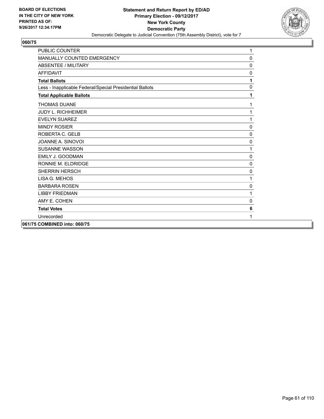

| <b>PUBLIC COUNTER</b>                                    | 1            |
|----------------------------------------------------------|--------------|
| MANUALLY COUNTED EMERGENCY                               | $\mathbf 0$  |
| <b>ABSENTEE / MILITARY</b>                               | 0            |
| <b>AFFIDAVIT</b>                                         | $\mathbf 0$  |
| <b>Total Ballots</b>                                     | 1            |
| Less - Inapplicable Federal/Special Presidential Ballots | $\mathbf 0$  |
| <b>Total Applicable Ballots</b>                          | 1            |
| <b>THOMAS DUANE</b>                                      | 1            |
| <b>JUDY L. RICHHEIMER</b>                                | 1            |
| <b>EVELYN SUAREZ</b>                                     | 1            |
| <b>MINDY ROSIER</b>                                      | $\mathbf{0}$ |
| ROBERTA C. GELB                                          | 0            |
| JOANNE A. SINOVOI                                        | 0            |
| <b>SUSANNE WASSON</b>                                    | 1            |
| EMILY J. GOODMAN                                         | $\mathbf 0$  |
| RONNIE M. ELDRIDGE                                       | 0            |
| <b>SHERRIN HERSCH</b>                                    | 0            |
| LISA G. MEHOS                                            | 1            |
| <b>BARBARA ROSEN</b>                                     | 0            |
| <b>LIBBY FRIEDMAN</b>                                    | 1            |
| AMY E. COHEN                                             | 0            |
| <b>Total Votes</b>                                       | 6            |
| Unrecorded                                               | 1            |
| 061/75 COMBINED into: 060/75                             |              |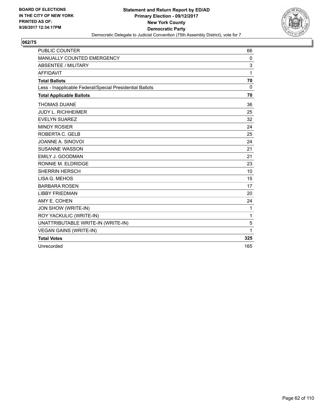

| <b>PUBLIC COUNTER</b>                                    | 66           |
|----------------------------------------------------------|--------------|
| MANUALLY COUNTED EMERGENCY                               | 0            |
| <b>ABSENTEE / MILITARY</b>                               | 3            |
| <b>AFFIDAVIT</b>                                         | 1            |
| <b>Total Ballots</b>                                     | 70           |
| Less - Inapplicable Federal/Special Presidential Ballots | $\Omega$     |
| <b>Total Applicable Ballots</b>                          | 70           |
| <b>THOMAS DUANE</b>                                      | 36           |
| <b>JUDY L. RICHHEIMER</b>                                | 25           |
| <b>EVELYN SUAREZ</b>                                     | 32           |
| <b>MINDY ROSIER</b>                                      | 24           |
| ROBERTA C. GELB                                          | 25           |
| JOANNE A. SINOVOI                                        | 24           |
| <b>SUSANNE WASSON</b>                                    | 21           |
| EMILY J. GOODMAN                                         | 21           |
| RONNIE M. ELDRIDGE                                       | 23           |
| <b>SHERRIN HERSCH</b>                                    | 10           |
| LISA G. MEHOS                                            | 15           |
| <b>BARBARA ROSEN</b>                                     | 17           |
| <b>LIBBY FRIEDMAN</b>                                    | 20           |
| AMY E. COHEN                                             | 24           |
| JON SHOW (WRITE-IN)                                      | 1            |
| ROY YACKULIC (WRITE-IN)                                  | $\mathbf{1}$ |
| UNATTRIBUTABLE WRITE-IN (WRITE-IN)                       | 5            |
| <b>VEGAN GAINS (WRITE-IN)</b>                            | 1            |
| <b>Total Votes</b>                                       | 325          |
| Unrecorded                                               | 165          |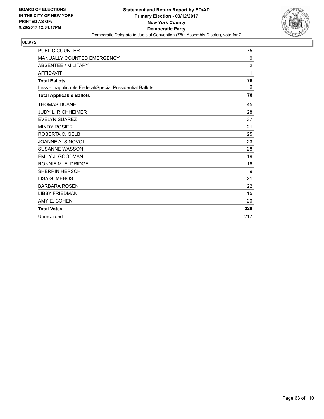

| <b>PUBLIC COUNTER</b>                                    | 75  |
|----------------------------------------------------------|-----|
| <b>MANUALLY COUNTED EMERGENCY</b>                        | 0   |
| <b>ABSENTEE / MILITARY</b>                               | 2   |
| <b>AFFIDAVIT</b>                                         | 1   |
| <b>Total Ballots</b>                                     | 78  |
| Less - Inapplicable Federal/Special Presidential Ballots | 0   |
| <b>Total Applicable Ballots</b>                          | 78  |
| <b>THOMAS DUANE</b>                                      | 45  |
| <b>JUDY L. RICHHEIMER</b>                                | 28  |
| <b>EVELYN SUAREZ</b>                                     | 37  |
| <b>MINDY ROSIER</b>                                      | 21  |
| ROBERTA C. GELB                                          | 25  |
| JOANNE A. SINOVOI                                        | 23  |
| <b>SUSANNE WASSON</b>                                    | 28  |
| EMILY J. GOODMAN                                         | 19  |
| RONNIE M. ELDRIDGE                                       | 16  |
| <b>SHERRIN HERSCH</b>                                    | 9   |
| LISA G. MEHOS                                            | 21  |
| <b>BARBARA ROSEN</b>                                     | 22  |
| <b>LIBBY FRIEDMAN</b>                                    | 15  |
| AMY E. COHEN                                             | 20  |
| <b>Total Votes</b>                                       | 329 |
| Unrecorded                                               | 217 |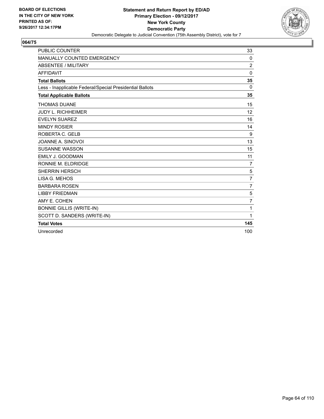

| <b>PUBLIC COUNTER</b>                                    | 33             |
|----------------------------------------------------------|----------------|
| MANUALLY COUNTED EMERGENCY                               | 0              |
| <b>ABSENTEE / MILITARY</b>                               | $\overline{2}$ |
| <b>AFFIDAVIT</b>                                         | $\mathbf 0$    |
| <b>Total Ballots</b>                                     | 35             |
| Less - Inapplicable Federal/Special Presidential Ballots | $\mathbf{0}$   |
| <b>Total Applicable Ballots</b>                          | 35             |
| <b>THOMAS DUANE</b>                                      | 15             |
| <b>JUDY L. RICHHEIMER</b>                                | 12             |
| <b>EVELYN SUAREZ</b>                                     | 16             |
| <b>MINDY ROSIER</b>                                      | 14             |
| ROBERTA C. GELB                                          | 9              |
| JOANNE A. SINOVOI                                        | 13             |
| <b>SUSANNE WASSON</b>                                    | 15             |
| <b>EMILY J. GOODMAN</b>                                  | 11             |
| RONNIE M. ELDRIDGE                                       | $\overline{7}$ |
| <b>SHERRIN HERSCH</b>                                    | 5              |
| LISA G. MEHOS                                            | $\overline{7}$ |
| <b>BARBARA ROSEN</b>                                     | $\overline{7}$ |
| <b>LIBBY FRIEDMAN</b>                                    | 5              |
| AMY E. COHEN                                             | $\overline{7}$ |
| <b>BONNIE GILLIS (WRITE-IN)</b>                          | 1              |
| SCOTT D. SANDERS (WRITE-IN)                              | 1              |
| <b>Total Votes</b>                                       | 145            |
| Unrecorded                                               | 100            |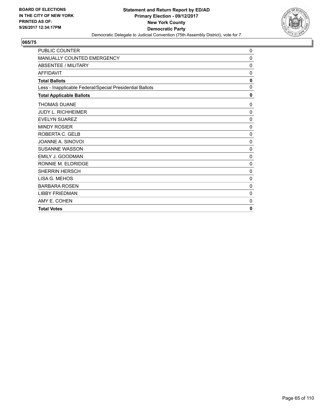

| PUBLIC COUNTER                                           | 0            |
|----------------------------------------------------------|--------------|
| MANUALLY COUNTED EMERGENCY                               | 0            |
| <b>ABSENTEE / MILITARY</b>                               | 0            |
| <b>AFFIDAVIT</b>                                         | $\mathbf 0$  |
| <b>Total Ballots</b>                                     | $\mathbf{0}$ |
| Less - Inapplicable Federal/Special Presidential Ballots | 0            |
| <b>Total Applicable Ballots</b>                          | 0            |
| <b>THOMAS DUANE</b>                                      | 0            |
| <b>JUDY L. RICHHEIMER</b>                                | 0            |
| <b>EVELYN SUAREZ</b>                                     | 0            |
| <b>MINDY ROSIER</b>                                      | 0            |
| ROBERTA C. GELB                                          | $\mathbf 0$  |
| JOANNE A. SINOVOI                                        | 0            |
| SUSANNE WASSON                                           | 0            |
| EMILY J. GOODMAN                                         | 0            |
| RONNIE M. ELDRIDGE                                       | 0            |
| <b>SHERRIN HERSCH</b>                                    | 0            |
| LISA G. MEHOS                                            | $\mathbf 0$  |
| <b>BARBARA ROSEN</b>                                     | 0            |
| <b>LIBBY FRIEDMAN</b>                                    | 0            |
| AMY E. COHEN                                             | 0            |
| <b>Total Votes</b>                                       | $\mathbf{0}$ |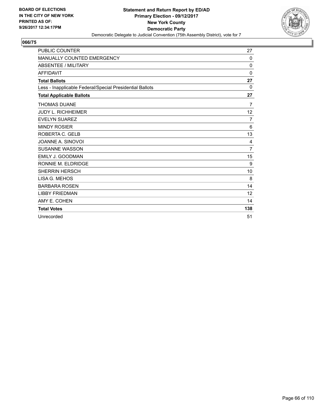

| <b>PUBLIC COUNTER</b>                                    | 27             |
|----------------------------------------------------------|----------------|
| MANUALLY COUNTED EMERGENCY                               | 0              |
| <b>ABSENTEE / MILITARY</b>                               | 0              |
| <b>AFFIDAVIT</b>                                         | $\mathbf{0}$   |
| <b>Total Ballots</b>                                     | 27             |
| Less - Inapplicable Federal/Special Presidential Ballots | $\Omega$       |
| <b>Total Applicable Ballots</b>                          | 27             |
| <b>THOMAS DUANE</b>                                      | $\overline{7}$ |
| <b>JUDY L. RICHHEIMER</b>                                | 12             |
| <b>EVELYN SUAREZ</b>                                     | 7              |
| <b>MINDY ROSIER</b>                                      | 6              |
| ROBERTA C. GELB                                          | 13             |
| JOANNE A. SINOVOI                                        | 4              |
| <b>SUSANNE WASSON</b>                                    | $\overline{7}$ |
| EMILY J. GOODMAN                                         | 15             |
| RONNIE M. ELDRIDGE                                       | 9              |
| <b>SHERRIN HERSCH</b>                                    | 10             |
| LISA G. MEHOS                                            | 8              |
| <b>BARBARA ROSEN</b>                                     | 14             |
| <b>LIBBY FRIEDMAN</b>                                    | 12             |
| AMY E. COHEN                                             | 14             |
| <b>Total Votes</b>                                       | 138            |
| Unrecorded                                               | 51             |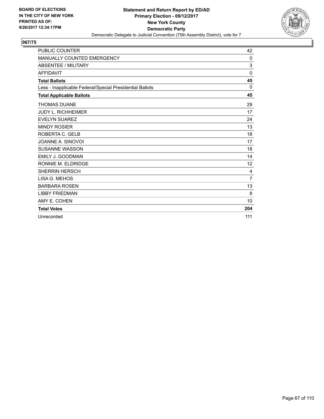

| <b>PUBLIC COUNTER</b>                                    | 42             |
|----------------------------------------------------------|----------------|
| MANUALLY COUNTED EMERGENCY                               | 0              |
| <b>ABSENTEE / MILITARY</b>                               | 3              |
| <b>AFFIDAVIT</b>                                         | $\mathbf{0}$   |
| <b>Total Ballots</b>                                     | 45             |
| Less - Inapplicable Federal/Special Presidential Ballots | 0              |
| <b>Total Applicable Ballots</b>                          | 45             |
| <b>THOMAS DUANE</b>                                      | 29             |
| <b>JUDY L. RICHHEIMER</b>                                | 17             |
| <b>EVELYN SUAREZ</b>                                     | 24             |
| <b>MINDY ROSIER</b>                                      | 13             |
| ROBERTA C. GELB                                          | 18             |
| JOANNE A. SINOVOI                                        | 17             |
| <b>SUSANNE WASSON</b>                                    | 18             |
| <b>EMILY J. GOODMAN</b>                                  | 14             |
| RONNIE M. ELDRIDGE                                       | 12             |
| <b>SHERRIN HERSCH</b>                                    | 4              |
| LISA G. MEHOS                                            | $\overline{7}$ |
| <b>BARBARA ROSEN</b>                                     | 13             |
| <b>LIBBY FRIEDMAN</b>                                    | 8              |
| AMY E. COHEN                                             | 10             |
| <b>Total Votes</b>                                       | 204            |
| Unrecorded                                               | 111            |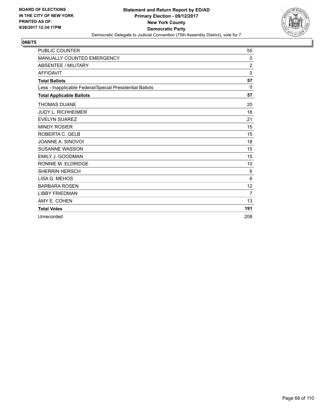

| <b>PUBLIC COUNTER</b>                                    | 55             |
|----------------------------------------------------------|----------------|
| MANUALLY COUNTED EMERGENCY                               | 0              |
| <b>ABSENTEE / MILITARY</b>                               | $\overline{2}$ |
| <b>AFFIDAVIT</b>                                         | $\mathbf{0}$   |
| <b>Total Ballots</b>                                     | 57             |
| Less - Inapplicable Federal/Special Presidential Ballots | 0              |
| <b>Total Applicable Ballots</b>                          | 57             |
| <b>THOMAS DUANE</b>                                      | 20             |
| <b>JUDY L. RICHHEIMER</b>                                | 18             |
| <b>EVELYN SUAREZ</b>                                     | 21             |
| <b>MINDY ROSIER</b>                                      | 15             |
| ROBERTA C. GELB                                          | 15             |
| JOANNE A. SINOVOI                                        | 18             |
| <b>SUSANNE WASSON</b>                                    | 15             |
| <b>EMILY J. GOODMAN</b>                                  | 15             |
| RONNIE M. ELDRIDGE                                       | 10             |
| <b>SHERRIN HERSCH</b>                                    | 6              |
| LISA G. MEHOS                                            | 6              |
| <b>BARBARA ROSEN</b>                                     | 12             |
| <b>LIBBY FRIEDMAN</b>                                    | 7              |
| AMY E. COHEN                                             | 13             |
| <b>Total Votes</b>                                       | 191            |
| Unrecorded                                               | 208            |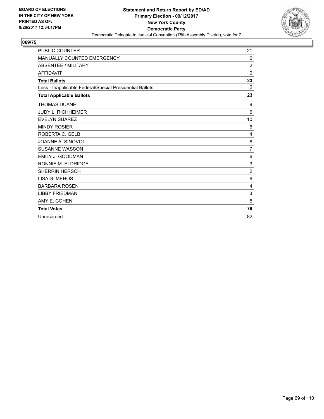

| <b>PUBLIC COUNTER</b>                                    | 21             |
|----------------------------------------------------------|----------------|
| MANUALLY COUNTED EMERGENCY                               | 0              |
| <b>ABSENTEE / MILITARY</b>                               | $\overline{c}$ |
| <b>AFFIDAVIT</b>                                         | $\mathbf{0}$   |
| <b>Total Ballots</b>                                     | 23             |
| Less - Inapplicable Federal/Special Presidential Ballots | $\Omega$       |
| <b>Total Applicable Ballots</b>                          | 23             |
| <b>THOMAS DUANE</b>                                      | 9              |
| <b>JUDY L. RICHHEIMER</b>                                | 6              |
| <b>EVELYN SUAREZ</b>                                     | 10             |
| <b>MINDY ROSIER</b>                                      | 6              |
| ROBERTA C. GELB                                          | 4              |
| JOANNE A. SINOVOI                                        | 8              |
| <b>SUSANNE WASSON</b>                                    | $\overline{7}$ |
| <b>EMILY J. GOODMAN</b>                                  | 6              |
| RONNIE M. ELDRIDGE                                       | 3              |
| <b>SHERRIN HERSCH</b>                                    | $\overline{2}$ |
| LISA G. MEHOS                                            | 6              |
| <b>BARBARA ROSEN</b>                                     | 4              |
| <b>LIBBY FRIEDMAN</b>                                    | 3              |
| AMY E. COHEN                                             | 5              |
| <b>Total Votes</b>                                       | 79             |
| Unrecorded                                               | 82             |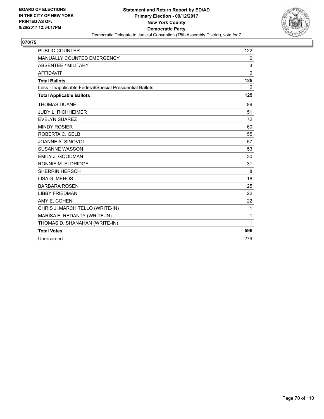

| <b>PUBLIC COUNTER</b>                                    | 122          |
|----------------------------------------------------------|--------------|
| <b>MANUALLY COUNTED EMERGENCY</b>                        | 0            |
| <b>ABSENTEE / MILITARY</b>                               | 3            |
| <b>AFFIDAVIT</b>                                         | 0            |
| <b>Total Ballots</b>                                     | 125          |
| Less - Inapplicable Federal/Special Presidential Ballots | $\Omega$     |
| <b>Total Applicable Ballots</b>                          | 125          |
| <b>THOMAS DUANE</b>                                      | 89           |
| <b>JUDY L. RICHHEIMER</b>                                | 51           |
| <b>EVELYN SUAREZ</b>                                     | 72           |
| <b>MINDY ROSIER</b>                                      | 60           |
| ROBERTA C. GELB                                          | 55           |
| JOANNE A. SINOVOI                                        | 57           |
| <b>SUSANNE WASSON</b>                                    | 53           |
| EMILY J. GOODMAN                                         | 30           |
| RONNIE M. ELDRIDGE                                       | 31           |
| <b>SHERRIN HERSCH</b>                                    | 8            |
| LISA G. MEHOS                                            | 18           |
| <b>BARBARA ROSEN</b>                                     | 25           |
| <b>LIBBY FRIEDMAN</b>                                    | 22           |
| AMY E. COHEN                                             | 22           |
| CHRIS J. MARCHITELLO (WRITE-IN)                          | 1            |
| MARISA E. REDANTY (WRITE-IN)                             | $\mathbf{1}$ |
| THOMAS D. SHANAHAN (WRITE-IN)                            | 1            |
| <b>Total Votes</b>                                       | 596          |
| Unrecorded                                               | 279          |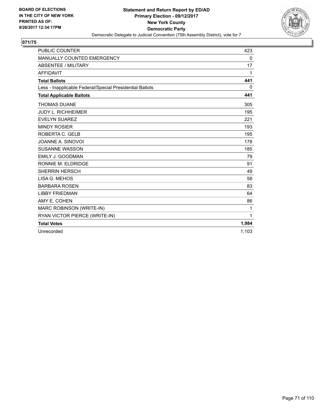

| <b>PUBLIC COUNTER</b>                                    | 423          |
|----------------------------------------------------------|--------------|
| MANUALLY COUNTED EMERGENCY                               | 0            |
| <b>ABSENTEE / MILITARY</b>                               | 17           |
| <b>AFFIDAVIT</b>                                         | 1            |
| <b>Total Ballots</b>                                     | 441          |
| Less - Inapplicable Federal/Special Presidential Ballots | $\mathbf{0}$ |
| <b>Total Applicable Ballots</b>                          | 441          |
| <b>THOMAS DUANE</b>                                      | 305          |
| <b>JUDY L. RICHHEIMER</b>                                | 195          |
| <b>EVELYN SUAREZ</b>                                     | 221          |
| <b>MINDY ROSIER</b>                                      | 193          |
| ROBERTA C. GELB                                          | 195          |
| JOANNE A. SINOVOI                                        | 178          |
| <b>SUSANNE WASSON</b>                                    | 185          |
| <b>EMILY J. GOODMAN</b>                                  | 79           |
| RONNIE M. ELDRIDGE                                       | 91           |
| <b>SHERRIN HERSCH</b>                                    | 49           |
| LISA G. MEHOS                                            | 58           |
| <b>BARBARA ROSEN</b>                                     | 83           |
| <b>LIBBY FRIEDMAN</b>                                    | 64           |
| AMY E. COHEN                                             | 86           |
| MARC ROBINSON (WRITE-IN)                                 | 1            |
| RYAN VICTOR PIERCE (WRITE-IN)                            | 1            |
| <b>Total Votes</b>                                       | 1,984        |
| Unrecorded                                               | 1.103        |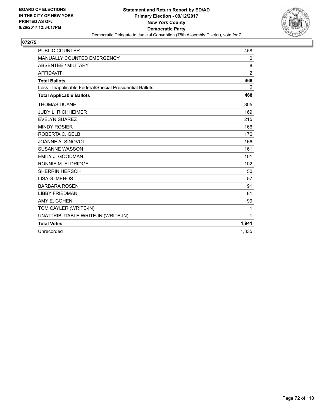

| <b>PUBLIC COUNTER</b>                                    | 458            |
|----------------------------------------------------------|----------------|
| MANUALLY COUNTED EMERGENCY                               | 0              |
| <b>ABSENTEE / MILITARY</b>                               | 8              |
| <b>AFFIDAVIT</b>                                         | $\overline{2}$ |
| <b>Total Ballots</b>                                     | 468            |
| Less - Inapplicable Federal/Special Presidential Ballots | 0              |
| <b>Total Applicable Ballots</b>                          | 468            |
| <b>THOMAS DUANE</b>                                      | 305            |
| <b>JUDY L. RICHHEIMER</b>                                | 169            |
| <b>EVELYN SUAREZ</b>                                     | 215            |
| <b>MINDY ROSIER</b>                                      | 166            |
| ROBERTA C. GELB                                          | 176            |
| JOANNE A. SINOVOI                                        | 166            |
| <b>SUSANNE WASSON</b>                                    | 161            |
| <b>EMILY J. GOODMAN</b>                                  | 101            |
| RONNIE M. ELDRIDGE                                       | 102            |
| <b>SHERRIN HERSCH</b>                                    | 50             |
| LISA G. MEHOS                                            | 57             |
| <b>BARBARA ROSEN</b>                                     | 91             |
| <b>LIBBY FRIEDMAN</b>                                    | 81             |
| AMY E. COHEN                                             | 99             |
| TOM CAYLER (WRITE-IN)                                    | 1              |
| UNATTRIBUTABLE WRITE-IN (WRITE-IN)                       | 1              |
| <b>Total Votes</b>                                       | 1,941          |
| Unrecorded                                               | 1.335          |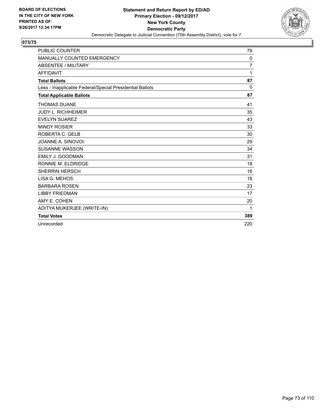

| <b>PUBLIC COUNTER</b>                                    | 79  |
|----------------------------------------------------------|-----|
| <b>MANUALLY COUNTED EMERGENCY</b>                        | 0   |
| <b>ABSENTEE / MILITARY</b>                               | 7   |
| <b>AFFIDAVIT</b>                                         | 1   |
| <b>Total Ballots</b>                                     | 87  |
| Less - Inapplicable Federal/Special Presidential Ballots | 0   |
| <b>Total Applicable Ballots</b>                          | 87  |
| <b>THOMAS DUANE</b>                                      | 41  |
| <b>JUDY L. RICHHEIMER</b>                                | 35  |
| <b>EVELYN SUAREZ</b>                                     | 43  |
| <b>MINDY ROSIER</b>                                      | 33  |
| ROBERTA C. GELB                                          | 30  |
| JOANNE A. SINOVOI                                        | 29  |
| <b>SUSANNE WASSON</b>                                    | 34  |
| <b>EMILY J. GOODMAN</b>                                  | 31  |
| RONNIE M. ELDRIDGE                                       | 18  |
| <b>SHERRIN HERSCH</b>                                    | 16  |
| LISA G. MEHOS                                            | 18  |
| <b>BARBARA ROSEN</b>                                     | 23  |
| <b>LIBBY FRIEDMAN</b>                                    | 17  |
| AMY E. COHEN                                             | 20  |
| ADITYA MUKERJEE (WRITE-IN)                               | 1   |
| <b>Total Votes</b>                                       | 389 |
| Unrecorded                                               | 220 |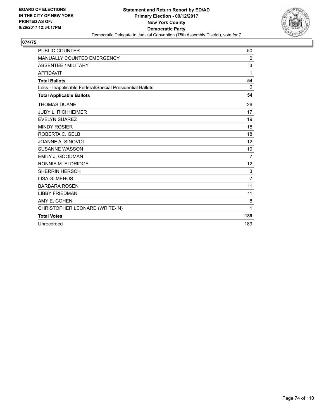

| <b>PUBLIC COUNTER</b>                                    | 50             |
|----------------------------------------------------------|----------------|
| MANUALLY COUNTED EMERGENCY                               | 0              |
| <b>ABSENTEE / MILITARY</b>                               | 3              |
| <b>AFFIDAVIT</b>                                         | 1              |
| <b>Total Ballots</b>                                     | 54             |
| Less - Inapplicable Federal/Special Presidential Ballots | $\Omega$       |
| <b>Total Applicable Ballots</b>                          | 54             |
| <b>THOMAS DUANE</b>                                      | 26             |
| <b>JUDY L. RICHHEIMER</b>                                | 17             |
| <b>EVELYN SUAREZ</b>                                     | 19             |
| <b>MINDY ROSIER</b>                                      | 18             |
| ROBERTA C. GELB                                          | 18             |
| JOANNE A. SINOVOI                                        | 12             |
| <b>SUSANNE WASSON</b>                                    | 19             |
| <b>EMILY J. GOODMAN</b>                                  | $\overline{7}$ |
| RONNIE M. ELDRIDGE                                       | 12             |
| <b>SHERRIN HERSCH</b>                                    | 3              |
| LISA G. MEHOS                                            | $\overline{7}$ |
| <b>BARBARA ROSEN</b>                                     | 11             |
| <b>LIBBY FRIEDMAN</b>                                    | 11             |
| AMY E. COHEN                                             | 8              |
| CHRISTOPHER LEONARD (WRITE-IN)                           | 1              |
| <b>Total Votes</b>                                       | 189            |
| Unrecorded                                               | 189            |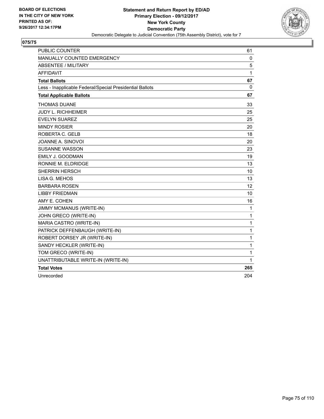

| <b>PUBLIC COUNTER</b>                                    | 61  |
|----------------------------------------------------------|-----|
| <b>MANUALLY COUNTED EMERGENCY</b>                        | 0   |
| <b>ABSENTEE / MILITARY</b>                               | 5   |
| <b>AFFIDAVIT</b>                                         | 1   |
| <b>Total Ballots</b>                                     | 67  |
| Less - Inapplicable Federal/Special Presidential Ballots | 0   |
| <b>Total Applicable Ballots</b>                          | 67  |
| <b>THOMAS DUANE</b>                                      | 33  |
| <b>JUDY L. RICHHEIMER</b>                                | 25  |
| <b>EVELYN SUAREZ</b>                                     | 25  |
| <b>MINDY ROSIER</b>                                      | 20  |
| ROBERTA C. GELB                                          | 18  |
| JOANNE A. SINOVOI                                        | 20  |
| <b>SUSANNE WASSON</b>                                    | 23  |
| <b>EMILY J. GOODMAN</b>                                  | 19  |
| RONNIE M. ELDRIDGE                                       | 13  |
| <b>SHERRIN HERSCH</b>                                    | 10  |
| LISA G. MEHOS                                            | 13  |
| <b>BARBARA ROSEN</b>                                     | 12  |
| <b>LIBBY FRIEDMAN</b>                                    | 10  |
| AMY E. COHEN                                             | 16  |
| JIMMY MCMANUS (WRITE-IN)                                 | 1   |
| JOHN GRECO (WRITE-IN)                                    | 1   |
| MARIA CASTRO (WRITE-IN)                                  | 1   |
| PATRICK DEFFENBAUGH (WRITE-IN)                           | 1   |
| ROBERT DORSEY JR (WRITE-IN)                              | 1   |
| SANDY HECKLER (WRITE-IN)                                 | 1   |
| TOM GRECO (WRITE-IN)                                     | 1   |
| UNATTRIBUTABLE WRITE-IN (WRITE-IN)                       | 1   |
| <b>Total Votes</b>                                       | 265 |
| Unrecorded                                               | 204 |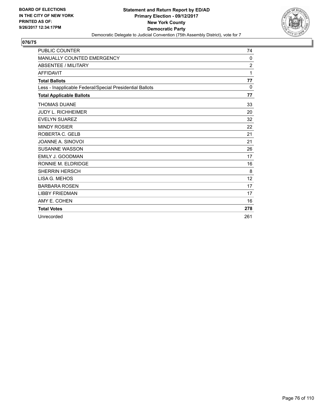

| <b>PUBLIC COUNTER</b>                                    | 74             |
|----------------------------------------------------------|----------------|
| MANUALLY COUNTED EMERGENCY                               | 0              |
| <b>ABSENTEE / MILITARY</b>                               | $\overline{2}$ |
| <b>AFFIDAVIT</b>                                         | 1              |
| <b>Total Ballots</b>                                     | 77             |
| Less - Inapplicable Federal/Special Presidential Ballots | $\mathbf{0}$   |
| <b>Total Applicable Ballots</b>                          | 77             |
| <b>THOMAS DUANE</b>                                      | 33             |
| <b>JUDY L. RICHHEIMER</b>                                | 20             |
| <b>EVELYN SUAREZ</b>                                     | 32             |
| <b>MINDY ROSIER</b>                                      | 22             |
| ROBERTA C. GELB                                          | 21             |
| JOANNE A. SINOVOI                                        | 21             |
| <b>SUSANNE WASSON</b>                                    | 26             |
| <b>EMILY J. GOODMAN</b>                                  | 17             |
| RONNIE M. ELDRIDGE                                       | 16             |
| <b>SHERRIN HERSCH</b>                                    | 8              |
| LISA G. MEHOS                                            | 12             |
| <b>BARBARA ROSEN</b>                                     | 17             |
| <b>LIBBY FRIEDMAN</b>                                    | 17             |
| AMY E. COHEN                                             | 16             |
| <b>Total Votes</b>                                       | 278            |
| Unrecorded                                               | 261            |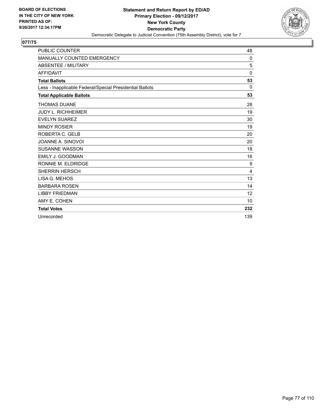

| <b>PUBLIC COUNTER</b>                                    | 48           |
|----------------------------------------------------------|--------------|
| <b>MANUALLY COUNTED EMERGENCY</b>                        | 0            |
| <b>ABSENTEE / MILITARY</b>                               | 5            |
| <b>AFFIDAVIT</b>                                         | $\mathbf{0}$ |
| <b>Total Ballots</b>                                     | 53           |
| Less - Inapplicable Federal/Special Presidential Ballots | 0            |
| <b>Total Applicable Ballots</b>                          | 53           |
| <b>THOMAS DUANE</b>                                      | 28           |
| <b>JUDY L. RICHHEIMER</b>                                | 19           |
| <b>EVELYN SUAREZ</b>                                     | 30           |
| <b>MINDY ROSIER</b>                                      | 19           |
| ROBERTA C. GELB                                          | 20           |
| JOANNE A. SINOVOI                                        | 20           |
| <b>SUSANNE WASSON</b>                                    | 18           |
| EMILY J. GOODMAN                                         | 16           |
| RONNIE M. ELDRIDGE                                       | 9            |
| <b>SHERRIN HERSCH</b>                                    | 4            |
| LISA G. MEHOS                                            | 13           |
| <b>BARBARA ROSEN</b>                                     | 14           |
| <b>LIBBY FRIEDMAN</b>                                    | 12           |
| AMY E. COHEN                                             | 10           |
| <b>Total Votes</b>                                       | 232          |
| Unrecorded                                               | 139          |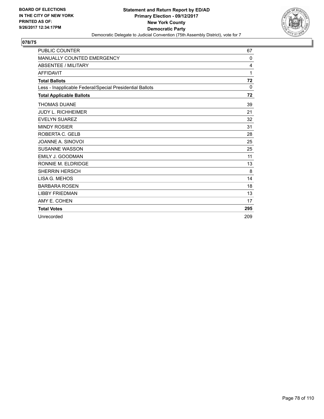

| <b>PUBLIC COUNTER</b>                                    | 67       |
|----------------------------------------------------------|----------|
| MANUALLY COUNTED EMERGENCY                               | 0        |
| <b>ABSENTEE / MILITARY</b>                               | 4        |
| <b>AFFIDAVIT</b>                                         | 1        |
| <b>Total Ballots</b>                                     | 72       |
| Less - Inapplicable Federal/Special Presidential Ballots | $\Omega$ |
| <b>Total Applicable Ballots</b>                          | 72       |
| <b>THOMAS DUANE</b>                                      | 39       |
| <b>JUDY L. RICHHEIMER</b>                                | 21       |
| <b>EVELYN SUAREZ</b>                                     | 32       |
| <b>MINDY ROSIER</b>                                      | 31       |
| ROBERTA C. GELB                                          | 28       |
| JOANNE A. SINOVOI                                        | 25       |
| <b>SUSANNE WASSON</b>                                    | 25       |
| <b>EMILY J. GOODMAN</b>                                  | 11       |
| RONNIE M. ELDRIDGE                                       | 13       |
| <b>SHERRIN HERSCH</b>                                    | 8        |
| LISA G. MEHOS                                            | 14       |
| <b>BARBARA ROSEN</b>                                     | 18       |
| <b>LIBBY FRIEDMAN</b>                                    | 13       |
| AMY E. COHEN                                             | 17       |
| <b>Total Votes</b>                                       | 295      |
| Unrecorded                                               | 209      |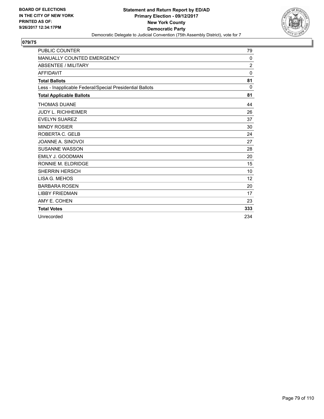

| <b>PUBLIC COUNTER</b>                                    | 79             |
|----------------------------------------------------------|----------------|
| <b>MANUALLY COUNTED EMERGENCY</b>                        | 0              |
| <b>ABSENTEE / MILITARY</b>                               | $\overline{2}$ |
| <b>AFFIDAVIT</b>                                         | $\Omega$       |
| <b>Total Ballots</b>                                     | 81             |
| Less - Inapplicable Federal/Special Presidential Ballots | 0              |
| <b>Total Applicable Ballots</b>                          | 81             |
| <b>THOMAS DUANE</b>                                      | 44             |
| <b>JUDY L. RICHHEIMER</b>                                | 26             |
| <b>EVELYN SUAREZ</b>                                     | 37             |
| <b>MINDY ROSIER</b>                                      | 30             |
| ROBERTA C. GELB                                          | 24             |
| JOANNE A. SINOVOI                                        | 27             |
| <b>SUSANNE WASSON</b>                                    | 28             |
| <b>EMILY J. GOODMAN</b>                                  | 20             |
| RONNIE M. ELDRIDGE                                       | 15             |
| <b>SHERRIN HERSCH</b>                                    | 10             |
| LISA G. MEHOS                                            | 12             |
| <b>BARBARA ROSEN</b>                                     | 20             |
| <b>LIBBY FRIEDMAN</b>                                    | 17             |
| AMY E. COHEN                                             | 23             |
| <b>Total Votes</b>                                       | 333            |
| Unrecorded                                               | 234            |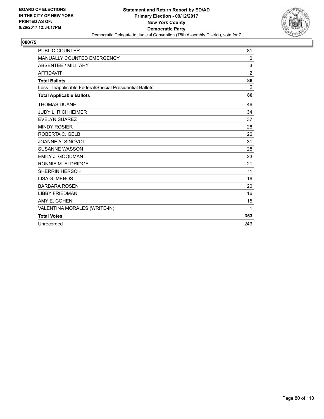

| <b>PUBLIC COUNTER</b>                                    | 81             |
|----------------------------------------------------------|----------------|
| <b>MANUALLY COUNTED EMERGENCY</b>                        | 0              |
| <b>ABSENTEE / MILITARY</b>                               | 3              |
| <b>AFFIDAVIT</b>                                         | $\overline{2}$ |
| <b>Total Ballots</b>                                     | 86             |
| Less - Inapplicable Federal/Special Presidential Ballots | $\Omega$       |
| <b>Total Applicable Ballots</b>                          | 86             |
| <b>THOMAS DUANE</b>                                      | 46             |
| <b>JUDY L. RICHHEIMER</b>                                | 34             |
| <b>EVELYN SUAREZ</b>                                     | 37             |
| <b>MINDY ROSIER</b>                                      | 28             |
| ROBERTA C. GELB                                          | 26             |
| JOANNE A. SINOVOI                                        | 31             |
| <b>SUSANNE WASSON</b>                                    | 28             |
| <b>EMILY J. GOODMAN</b>                                  | 23             |
| RONNIE M. ELDRIDGE                                       | 21             |
| <b>SHERRIN HERSCH</b>                                    | 11             |
| LISA G. MEHOS                                            | 16             |
| <b>BARBARA ROSEN</b>                                     | 20             |
| <b>LIBBY FRIEDMAN</b>                                    | 16             |
| AMY E. COHEN                                             | 15             |
| VALENTINA MORALES (WRITE-IN)                             | 1              |
| <b>Total Votes</b>                                       | 353            |
| Unrecorded                                               | 249            |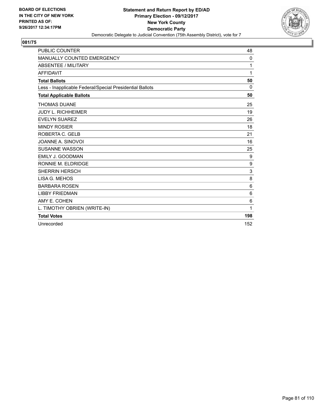

| <b>PUBLIC COUNTER</b>                                    | 48  |
|----------------------------------------------------------|-----|
| <b>MANUALLY COUNTED EMERGENCY</b>                        | 0   |
| <b>ABSENTEE / MILITARY</b>                               | 1   |
| <b>AFFIDAVIT</b>                                         | 1   |
| <b>Total Ballots</b>                                     | 50  |
| Less - Inapplicable Federal/Special Presidential Ballots | 0   |
| <b>Total Applicable Ballots</b>                          | 50  |
| <b>THOMAS DUANE</b>                                      | 25  |
| <b>JUDY L. RICHHEIMER</b>                                | 19  |
| <b>EVELYN SUAREZ</b>                                     | 26  |
| <b>MINDY ROSIER</b>                                      | 18  |
| ROBERTA C. GELB                                          | 21  |
| JOANNE A. SINOVOI                                        | 16  |
| <b>SUSANNE WASSON</b>                                    | 25  |
| EMILY J. GOODMAN                                         | 9   |
| RONNIE M. ELDRIDGE                                       | 9   |
| <b>SHERRIN HERSCH</b>                                    | 3   |
| LISA G. MEHOS                                            | 8   |
| <b>BARBARA ROSEN</b>                                     | 6   |
| <b>LIBBY FRIEDMAN</b>                                    | 6   |
| AMY E. COHEN                                             | 6   |
| L. TIMOTHY OBRIEN (WRITE-IN)                             | 1   |
| <b>Total Votes</b>                                       | 198 |
| Unrecorded                                               | 152 |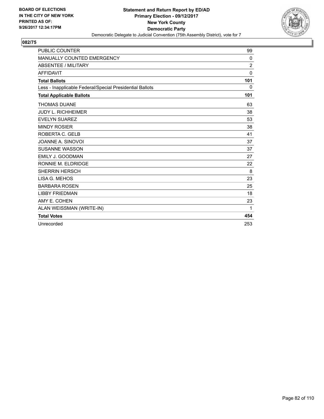

| <b>PUBLIC COUNTER</b>                                    | 99             |
|----------------------------------------------------------|----------------|
| <b>MANUALLY COUNTED EMERGENCY</b>                        | 0              |
| <b>ABSENTEE / MILITARY</b>                               | $\overline{2}$ |
| <b>AFFIDAVIT</b>                                         | $\Omega$       |
| <b>Total Ballots</b>                                     | 101            |
| Less - Inapplicable Federal/Special Presidential Ballots | 0              |
| <b>Total Applicable Ballots</b>                          | 101            |
| <b>THOMAS DUANE</b>                                      | 63             |
| <b>JUDY L. RICHHEIMER</b>                                | 38             |
| <b>EVELYN SUAREZ</b>                                     | 53             |
| <b>MINDY ROSIER</b>                                      | 38             |
| ROBERTA C. GELB                                          | 41             |
| JOANNE A. SINOVOI                                        | 37             |
| <b>SUSANNE WASSON</b>                                    | 37             |
| <b>EMILY J. GOODMAN</b>                                  | 27             |
| RONNIE M. ELDRIDGE                                       | 22             |
| <b>SHERRIN HERSCH</b>                                    | 8              |
| LISA G. MEHOS                                            | 23             |
| <b>BARBARA ROSEN</b>                                     | 25             |
| <b>LIBBY FRIEDMAN</b>                                    | 18             |
| AMY E. COHEN                                             | 23             |
| ALAN WEISSMAN (WRITE-IN)                                 | 1              |
| <b>Total Votes</b>                                       | 454            |
| Unrecorded                                               | 253            |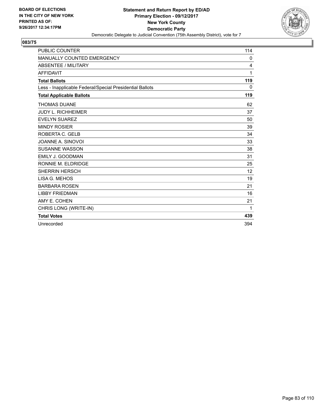

| <b>PUBLIC COUNTER</b>                                    | 114 |
|----------------------------------------------------------|-----|
| <b>MANUALLY COUNTED EMERGENCY</b>                        | 0   |
| <b>ABSENTEE / MILITARY</b>                               | 4   |
| <b>AFFIDAVIT</b>                                         | 1   |
| <b>Total Ballots</b>                                     | 119 |
| Less - Inapplicable Federal/Special Presidential Ballots | 0   |
| <b>Total Applicable Ballots</b>                          | 119 |
| <b>THOMAS DUANE</b>                                      | 62  |
| <b>JUDY L. RICHHEIMER</b>                                | 37  |
| <b>EVELYN SUAREZ</b>                                     | 50  |
| <b>MINDY ROSIER</b>                                      | 39  |
| ROBERTA C. GELB                                          | 34  |
| JOANNE A. SINOVOI                                        | 33  |
| <b>SUSANNE WASSON</b>                                    | 38  |
| <b>EMILY J. GOODMAN</b>                                  | 31  |
| RONNIE M. ELDRIDGE                                       | 25  |
| <b>SHERRIN HERSCH</b>                                    | 12  |
| LISA G. MEHOS                                            | 19  |
| <b>BARBARA ROSEN</b>                                     | 21  |
| <b>LIBBY FRIEDMAN</b>                                    | 16  |
| AMY E. COHEN                                             | 21  |
| CHRIS LONG (WRITE-IN)                                    | 1   |
| <b>Total Votes</b>                                       | 439 |
| Unrecorded                                               | 394 |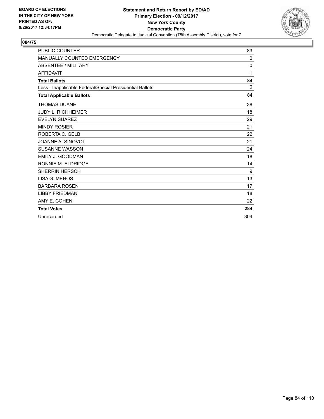

| <b>PUBLIC COUNTER</b>                                    | 83  |
|----------------------------------------------------------|-----|
| <b>MANUALLY COUNTED EMERGENCY</b>                        | 0   |
| <b>ABSENTEE / MILITARY</b>                               | 0   |
| <b>AFFIDAVIT</b>                                         | 1   |
| <b>Total Ballots</b>                                     | 84  |
| Less - Inapplicable Federal/Special Presidential Ballots | 0   |
| <b>Total Applicable Ballots</b>                          | 84  |
| <b>THOMAS DUANE</b>                                      | 38  |
| <b>JUDY L. RICHHEIMER</b>                                | 18  |
| <b>EVELYN SUAREZ</b>                                     | 29  |
| <b>MINDY ROSIER</b>                                      | 21  |
| ROBERTA C. GELB                                          | 22  |
| JOANNE A. SINOVOI                                        | 21  |
| <b>SUSANNE WASSON</b>                                    | 24  |
| EMILY J. GOODMAN                                         | 18  |
| RONNIE M. ELDRIDGE                                       | 14  |
| <b>SHERRIN HERSCH</b>                                    | 9   |
| LISA G. MEHOS                                            | 13  |
| <b>BARBARA ROSEN</b>                                     | 17  |
| <b>LIBBY FRIEDMAN</b>                                    | 18  |
| AMY E. COHEN                                             | 22  |
| <b>Total Votes</b>                                       | 284 |
| Unrecorded                                               | 304 |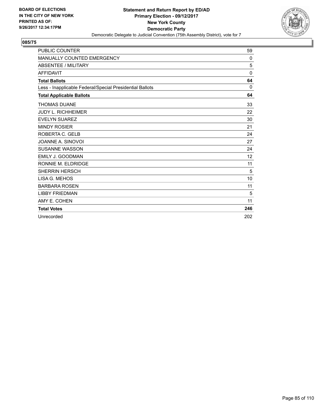

| <b>PUBLIC COUNTER</b>                                    | 59           |
|----------------------------------------------------------|--------------|
| <b>MANUALLY COUNTED EMERGENCY</b>                        | 0            |
| <b>ABSENTEE / MILITARY</b>                               | 5            |
| <b>AFFIDAVIT</b>                                         | $\mathbf{0}$ |
| <b>Total Ballots</b>                                     | 64           |
| Less - Inapplicable Federal/Special Presidential Ballots | 0            |
| <b>Total Applicable Ballots</b>                          | 64           |
| <b>THOMAS DUANE</b>                                      | 33           |
| <b>JUDY L. RICHHEIMER</b>                                | 22           |
| <b>EVELYN SUAREZ</b>                                     | 30           |
| <b>MINDY ROSIER</b>                                      | 21           |
| ROBERTA C. GELB                                          | 24           |
| JOANNE A. SINOVOI                                        | 27           |
| <b>SUSANNE WASSON</b>                                    | 24           |
| EMILY J. GOODMAN                                         | 12           |
| RONNIE M. ELDRIDGE                                       | 11           |
| <b>SHERRIN HERSCH</b>                                    | 5            |
| LISA G. MEHOS                                            | 10           |
| <b>BARBARA ROSEN</b>                                     | 11           |
| <b>LIBBY FRIEDMAN</b>                                    | 5            |
| AMY E. COHEN                                             | 11           |
| <b>Total Votes</b>                                       | 246          |
| Unrecorded                                               | 202          |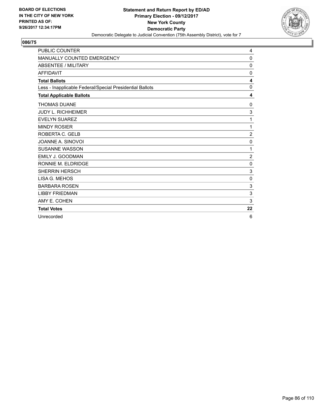

| <b>PUBLIC COUNTER</b>                                    | 4              |
|----------------------------------------------------------|----------------|
| MANUALLY COUNTED EMERGENCY                               | 0              |
| <b>ABSENTEE / MILITARY</b>                               | 0              |
| <b>AFFIDAVIT</b>                                         | $\mathbf{0}$   |
| <b>Total Ballots</b>                                     | 4              |
| Less - Inapplicable Federal/Special Presidential Ballots | 0              |
| <b>Total Applicable Ballots</b>                          | 4              |
| <b>THOMAS DUANE</b>                                      | 0              |
| <b>JUDY L. RICHHEIMER</b>                                | 3              |
| <b>EVELYN SUAREZ</b>                                     | 1              |
| <b>MINDY ROSIER</b>                                      | 1              |
| ROBERTA C. GELB                                          | $\overline{2}$ |
| JOANNE A. SINOVOI                                        | 0              |
| <b>SUSANNE WASSON</b>                                    | 1              |
| <b>EMILY J. GOODMAN</b>                                  | $\overline{2}$ |
| RONNIE M. ELDRIDGE                                       | 0              |
| <b>SHERRIN HERSCH</b>                                    | $\mathbf{3}$   |
| LISA G. MEHOS                                            | $\mathbf 0$    |
| <b>BARBARA ROSEN</b>                                     | 3              |
| <b>LIBBY FRIEDMAN</b>                                    | 3              |
| AMY E. COHEN                                             | 3              |
| <b>Total Votes</b>                                       | 22             |
| Unrecorded                                               | 6              |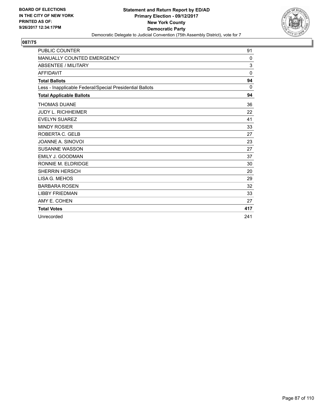

| <b>PUBLIC COUNTER</b>                                    | 91           |
|----------------------------------------------------------|--------------|
| MANUALLY COUNTED EMERGENCY                               | 0            |
| <b>ABSENTEE / MILITARY</b>                               | 3            |
| <b>AFFIDAVIT</b>                                         | $\mathbf{0}$ |
| <b>Total Ballots</b>                                     | 94           |
| Less - Inapplicable Federal/Special Presidential Ballots | 0            |
| <b>Total Applicable Ballots</b>                          | 94           |
| <b>THOMAS DUANE</b>                                      | 36           |
| <b>JUDY L. RICHHEIMER</b>                                | 22           |
| <b>EVELYN SUAREZ</b>                                     | 41           |
| <b>MINDY ROSIER</b>                                      | 33           |
| ROBERTA C. GELB                                          | 27           |
| JOANNE A. SINOVOI                                        | 23           |
| <b>SUSANNE WASSON</b>                                    | 27           |
| <b>EMILY J. GOODMAN</b>                                  | 37           |
| RONNIE M. ELDRIDGE                                       | 30           |
| <b>SHERRIN HERSCH</b>                                    | 20           |
| LISA G. MEHOS                                            | 29           |
| <b>BARBARA ROSEN</b>                                     | 32           |
| <b>LIBBY FRIEDMAN</b>                                    | 33           |
| AMY E. COHEN                                             | 27           |
| <b>Total Votes</b>                                       | 417          |
| Unrecorded                                               | 241          |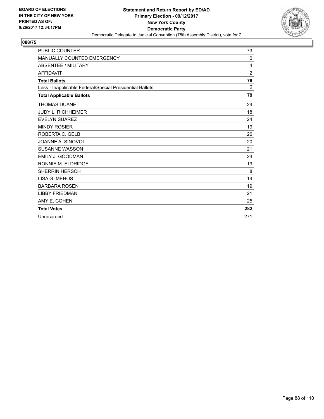

| <b>PUBLIC COUNTER</b>                                    | 73  |
|----------------------------------------------------------|-----|
| <b>MANUALLY COUNTED EMERGENCY</b>                        | 0   |
| <b>ABSENTEE / MILITARY</b>                               | 4   |
| <b>AFFIDAVIT</b>                                         | 2   |
| <b>Total Ballots</b>                                     | 79  |
| Less - Inapplicable Federal/Special Presidential Ballots | 0   |
| <b>Total Applicable Ballots</b>                          | 79  |
| <b>THOMAS DUANE</b>                                      | 24  |
| <b>JUDY L. RICHHEIMER</b>                                | 18  |
| <b>EVELYN SUAREZ</b>                                     | 24  |
| <b>MINDY ROSIER</b>                                      | 19  |
| ROBERTA C. GELB                                          | 26  |
| JOANNE A. SINOVOI                                        | 20  |
| <b>SUSANNE WASSON</b>                                    | 21  |
| <b>EMILY J. GOODMAN</b>                                  | 24  |
| RONNIE M. ELDRIDGE                                       | 19  |
| <b>SHERRIN HERSCH</b>                                    | 8   |
| LISA G. MEHOS                                            | 14  |
| <b>BARBARA ROSEN</b>                                     | 19  |
| <b>LIBBY FRIEDMAN</b>                                    | 21  |
| AMY E. COHEN                                             | 25  |
| <b>Total Votes</b>                                       | 282 |
| Unrecorded                                               | 271 |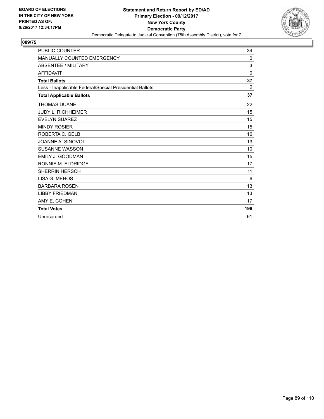

| <b>PUBLIC COUNTER</b>                                    | 34       |
|----------------------------------------------------------|----------|
| <b>MANUALLY COUNTED EMERGENCY</b>                        | 0        |
| <b>ABSENTEE / MILITARY</b>                               | 3        |
| <b>AFFIDAVIT</b>                                         | $\Omega$ |
| <b>Total Ballots</b>                                     | 37       |
| Less - Inapplicable Federal/Special Presidential Ballots | 0        |
| <b>Total Applicable Ballots</b>                          | 37       |
| <b>THOMAS DUANE</b>                                      | 22       |
| <b>JUDY L. RICHHEIMER</b>                                | 15       |
| <b>EVELYN SUAREZ</b>                                     | 15       |
| <b>MINDY ROSIER</b>                                      | 15       |
| ROBERTA C. GELB                                          | 16       |
| JOANNE A. SINOVOI                                        | 13       |
| <b>SUSANNE WASSON</b>                                    | 10       |
| <b>EMILY J. GOODMAN</b>                                  | 15       |
| RONNIE M. ELDRIDGE                                       | 17       |
| <b>SHERRIN HERSCH</b>                                    | 11       |
| LISA G. MEHOS                                            | 6        |
| <b>BARBARA ROSEN</b>                                     | 13       |
| <b>LIBBY FRIEDMAN</b>                                    | 13       |
| AMY E. COHEN                                             | 17       |
| <b>Total Votes</b>                                       | 198      |
| Unrecorded                                               | 61       |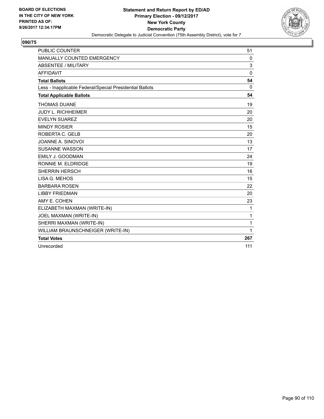

| <b>PUBLIC COUNTER</b>                                    | 51           |
|----------------------------------------------------------|--------------|
| MANUALLY COUNTED EMERGENCY                               | 0            |
| <b>ABSENTEE / MILITARY</b>                               | 3            |
| <b>AFFIDAVIT</b>                                         | $\Omega$     |
| <b>Total Ballots</b>                                     | 54           |
| Less - Inapplicable Federal/Special Presidential Ballots | $\mathbf{0}$ |
| <b>Total Applicable Ballots</b>                          | 54           |
| <b>THOMAS DUANE</b>                                      | 19           |
| <b>JUDY L. RICHHEIMER</b>                                | 20           |
| <b>EVELYN SUAREZ</b>                                     | 20           |
| <b>MINDY ROSIER</b>                                      | 15           |
| ROBERTA C. GELB                                          | 20           |
| JOANNE A. SINOVOI                                        | 13           |
| <b>SUSANNE WASSON</b>                                    | 17           |
| <b>EMILY J. GOODMAN</b>                                  | 24           |
| RONNIE M. ELDRIDGE                                       | 19           |
| <b>SHERRIN HERSCH</b>                                    | 16           |
| LISA G. MEHOS                                            | 15           |
| <b>BARBARA ROSEN</b>                                     | 22           |
| <b>LIBBY FRIEDMAN</b>                                    | 20           |
| AMY E. COHEN                                             | 23           |
| ELIZABETH MAXMAN (WRITE-IN)                              | 1            |
| JOEL MAXMAN (WRITE-IN)                                   | 1            |
| SHERRI MAXMAN (WRITE-IN)                                 | 1            |
| WILLIAM BRAUNSCHNEIGER (WRITE-IN)                        | 1            |
| <b>Total Votes</b>                                       | 267          |
| Unrecorded                                               | 111          |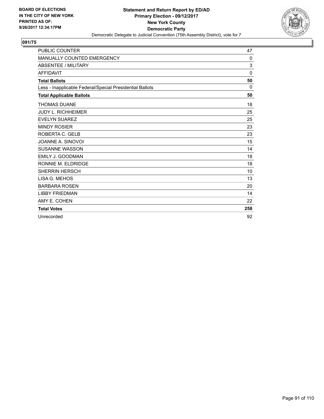

| <b>PUBLIC COUNTER</b>                                    | 47           |
|----------------------------------------------------------|--------------|
| MANUALLY COUNTED EMERGENCY                               | 0            |
| <b>ABSENTEE / MILITARY</b>                               | 3            |
| <b>AFFIDAVIT</b>                                         | $\mathbf{0}$ |
| <b>Total Ballots</b>                                     | 50           |
| Less - Inapplicable Federal/Special Presidential Ballots | $\Omega$     |
| <b>Total Applicable Ballots</b>                          | 50           |
| <b>THOMAS DUANE</b>                                      | 18           |
| <b>JUDY L. RICHHEIMER</b>                                | 25           |
| <b>EVELYN SUAREZ</b>                                     | 25           |
| <b>MINDY ROSIER</b>                                      | 23           |
| ROBERTA C. GELB                                          | 23           |
| JOANNE A. SINOVOI                                        | 15           |
| <b>SUSANNE WASSON</b>                                    | 14           |
| <b>EMILY J. GOODMAN</b>                                  | 18           |
| RONNIE M. ELDRIDGE                                       | 18           |
| <b>SHERRIN HERSCH</b>                                    | 10           |
| LISA G. MEHOS                                            | 13           |
| <b>BARBARA ROSEN</b>                                     | 20           |
| <b>LIBBY FRIEDMAN</b>                                    | 14           |
| AMY E. COHEN                                             | 22           |
| <b>Total Votes</b>                                       | 258          |
| Unrecorded                                               | 92           |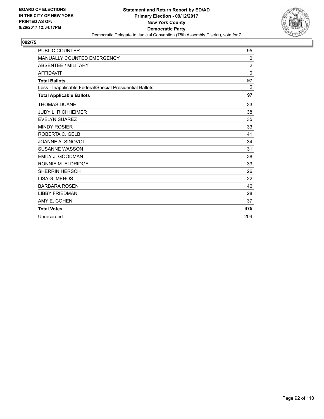

| <b>PUBLIC COUNTER</b>                                    | 95           |
|----------------------------------------------------------|--------------|
| <b>MANUALLY COUNTED EMERGENCY</b>                        | 0            |
| <b>ABSENTEE / MILITARY</b>                               | 2            |
| <b>AFFIDAVIT</b>                                         | $\mathbf{0}$ |
| <b>Total Ballots</b>                                     | 97           |
| Less - Inapplicable Federal/Special Presidential Ballots | 0            |
| <b>Total Applicable Ballots</b>                          | 97           |
| <b>THOMAS DUANE</b>                                      | 33           |
| <b>JUDY L. RICHHEIMER</b>                                | 38           |
| <b>EVELYN SUAREZ</b>                                     | 35           |
| <b>MINDY ROSIER</b>                                      | 33           |
| ROBERTA C. GELB                                          | 41           |
| JOANNE A. SINOVOI                                        | 34           |
| <b>SUSANNE WASSON</b>                                    | 31           |
| EMILY J. GOODMAN                                         | 38           |
| RONNIE M. ELDRIDGE                                       | 33           |
| <b>SHERRIN HERSCH</b>                                    | 26           |
| LISA G. MEHOS                                            | 22           |
| <b>BARBARA ROSEN</b>                                     | 46           |
| <b>LIBBY FRIEDMAN</b>                                    | 28           |
| AMY E. COHEN                                             | 37           |
| <b>Total Votes</b>                                       | 475          |
| Unrecorded                                               | 204          |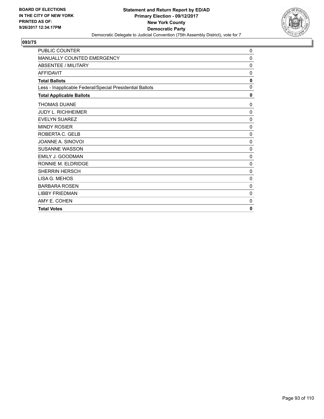

| PUBLIC COUNTER                                           | 0            |
|----------------------------------------------------------|--------------|
| MANUALLY COUNTED EMERGENCY                               | 0            |
| <b>ABSENTEE / MILITARY</b>                               | 0            |
| <b>AFFIDAVIT</b>                                         | $\mathbf 0$  |
| <b>Total Ballots</b>                                     | $\mathbf{0}$ |
| Less - Inapplicable Federal/Special Presidential Ballots | 0            |
| <b>Total Applicable Ballots</b>                          | 0            |
| <b>THOMAS DUANE</b>                                      | 0            |
| <b>JUDY L. RICHHEIMER</b>                                | 0            |
| <b>EVELYN SUAREZ</b>                                     | 0            |
| <b>MINDY ROSIER</b>                                      | 0            |
| ROBERTA C. GELB                                          | $\mathbf 0$  |
| JOANNE A. SINOVOI                                        | 0            |
| SUSANNE WASSON                                           | 0            |
| EMILY J. GOODMAN                                         | 0            |
| RONNIE M. ELDRIDGE                                       | 0            |
| <b>SHERRIN HERSCH</b>                                    | 0            |
| LISA G. MEHOS                                            | $\mathbf 0$  |
| <b>BARBARA ROSEN</b>                                     | 0            |
| <b>LIBBY FRIEDMAN</b>                                    | 0            |
| AMY E. COHEN                                             | 0            |
| <b>Total Votes</b>                                       | $\mathbf{0}$ |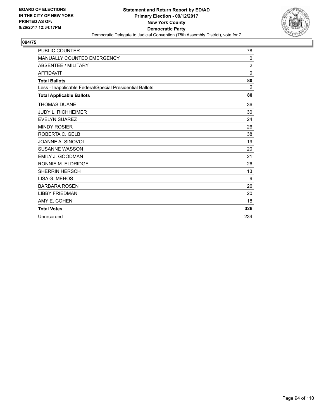

| <b>PUBLIC COUNTER</b>                                    | 78             |
|----------------------------------------------------------|----------------|
| MANUALLY COUNTED EMERGENCY                               | 0              |
| <b>ABSENTEE / MILITARY</b>                               | $\overline{c}$ |
| <b>AFFIDAVIT</b>                                         | $\Omega$       |
| <b>Total Ballots</b>                                     | 80             |
| Less - Inapplicable Federal/Special Presidential Ballots | $\mathbf{0}$   |
| <b>Total Applicable Ballots</b>                          | 80             |
| <b>THOMAS DUANE</b>                                      | 36             |
| <b>JUDY L. RICHHEIMER</b>                                | 30             |
| <b>EVELYN SUAREZ</b>                                     | 24             |
| <b>MINDY ROSIER</b>                                      | 26             |
| ROBERTA C. GELB                                          | 38             |
| JOANNE A. SINOVOI                                        | 19             |
| <b>SUSANNE WASSON</b>                                    | 20             |
| <b>EMILY J. GOODMAN</b>                                  | 21             |
| RONNIE M. ELDRIDGE                                       | 26             |
| <b>SHERRIN HERSCH</b>                                    | 13             |
| LISA G. MEHOS                                            | 9              |
| <b>BARBARA ROSEN</b>                                     | 26             |
| <b>LIBBY FRIEDMAN</b>                                    | 20             |
| AMY E. COHEN                                             | 18             |
| <b>Total Votes</b>                                       | 326            |
| Unrecorded                                               | 234            |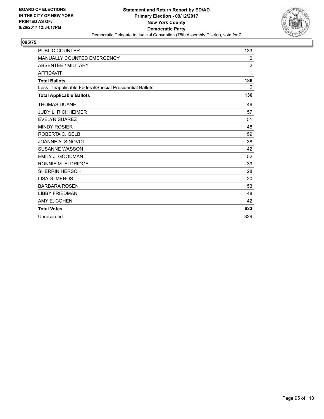

| <b>PUBLIC COUNTER</b>                                    | 133            |
|----------------------------------------------------------|----------------|
| MANUALLY COUNTED EMERGENCY                               | 0              |
| <b>ABSENTEE / MILITARY</b>                               | $\overline{2}$ |
| <b>AFFIDAVIT</b>                                         | 1              |
| <b>Total Ballots</b>                                     | 136            |
| Less - Inapplicable Federal/Special Presidential Ballots | 0              |
| <b>Total Applicable Ballots</b>                          | 136            |
| <b>THOMAS DUANE</b>                                      | 46             |
| <b>JUDY L. RICHHEIMER</b>                                | 57             |
| <b>EVELYN SUAREZ</b>                                     | 51             |
| <b>MINDY ROSIER</b>                                      | 48             |
| ROBERTA C. GELB                                          | 59             |
| JOANNE A. SINOVOI                                        | 38             |
| <b>SUSANNE WASSON</b>                                    | 42             |
| <b>EMILY J. GOODMAN</b>                                  | 52             |
| RONNIE M. ELDRIDGE                                       | 39             |
| <b>SHERRIN HERSCH</b>                                    | 28             |
| LISA G. MEHOS                                            | 20             |
| <b>BARBARA ROSEN</b>                                     | 53             |
| <b>LIBBY FRIEDMAN</b>                                    | 48             |
| AMY E. COHEN                                             | 42             |
| <b>Total Votes</b>                                       | 623            |
| Unrecorded                                               | 329            |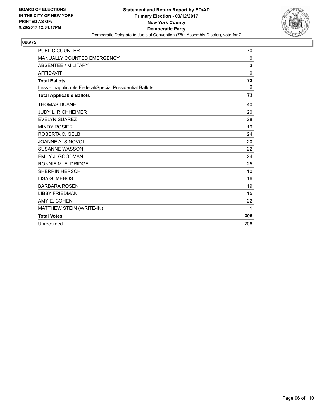

| <b>PUBLIC COUNTER</b>                                    | 70       |
|----------------------------------------------------------|----------|
| MANUALLY COUNTED EMERGENCY                               | 0        |
| <b>ABSENTEE / MILITARY</b>                               | 3        |
| <b>AFFIDAVIT</b>                                         | 0        |
| <b>Total Ballots</b>                                     | 73       |
| Less - Inapplicable Federal/Special Presidential Ballots | $\Omega$ |
| <b>Total Applicable Ballots</b>                          | 73       |
| <b>THOMAS DUANE</b>                                      | 40       |
| <b>JUDY L. RICHHEIMER</b>                                | 20       |
| <b>EVELYN SUAREZ</b>                                     | 28       |
| <b>MINDY ROSIER</b>                                      | 19       |
| ROBERTA C. GELB                                          | 24       |
| JOANNE A. SINOVOI                                        | 20       |
| <b>SUSANNE WASSON</b>                                    | 22       |
| EMILY J. GOODMAN                                         | 24       |
| RONNIE M. ELDRIDGE                                       | 25       |
| <b>SHERRIN HERSCH</b>                                    | 10       |
| LISA G. MEHOS                                            | 16       |
| <b>BARBARA ROSEN</b>                                     | 19       |
| <b>LIBBY FRIEDMAN</b>                                    | 15       |
| AMY E. COHEN                                             | 22       |
| MATTHEW STEIN (WRITE-IN)                                 | 1        |
| <b>Total Votes</b>                                       | 305      |
| Unrecorded                                               | 206      |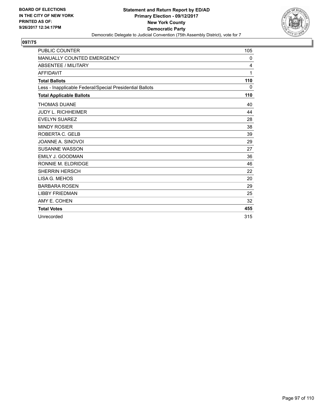

| <b>PUBLIC COUNTER</b>                                    | 105 |
|----------------------------------------------------------|-----|
| <b>MANUALLY COUNTED EMERGENCY</b>                        | 0   |
| <b>ABSENTEE / MILITARY</b>                               | 4   |
| <b>AFFIDAVIT</b>                                         | 1   |
| <b>Total Ballots</b>                                     | 110 |
| Less - Inapplicable Federal/Special Presidential Ballots | 0   |
| <b>Total Applicable Ballots</b>                          | 110 |
| <b>THOMAS DUANE</b>                                      | 40  |
| <b>JUDY L. RICHHEIMER</b>                                | 44  |
| <b>EVELYN SUAREZ</b>                                     | 28  |
| <b>MINDY ROSIER</b>                                      | 38  |
| ROBERTA C. GELB                                          | 39  |
| JOANNE A. SINOVOI                                        | 29  |
| <b>SUSANNE WASSON</b>                                    | 27  |
| <b>EMILY J. GOODMAN</b>                                  | 36  |
| RONNIE M. ELDRIDGE                                       | 46  |
| <b>SHERRIN HERSCH</b>                                    | 22  |
| LISA G. MEHOS                                            | 20  |
| <b>BARBARA ROSEN</b>                                     | 29  |
| <b>LIBBY FRIEDMAN</b>                                    | 25  |
| AMY E. COHEN                                             | 32  |
| <b>Total Votes</b>                                       | 455 |
| Unrecorded                                               | 315 |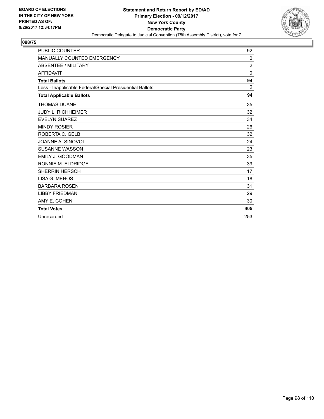

| <b>PUBLIC COUNTER</b>                                    | 92           |
|----------------------------------------------------------|--------------|
| <b>MANUALLY COUNTED EMERGENCY</b>                        | 0            |
| <b>ABSENTEE / MILITARY</b>                               | 2            |
| <b>AFFIDAVIT</b>                                         | $\mathbf{0}$ |
| <b>Total Ballots</b>                                     | 94           |
| Less - Inapplicable Federal/Special Presidential Ballots | 0            |
| <b>Total Applicable Ballots</b>                          | 94           |
| <b>THOMAS DUANE</b>                                      | 35           |
| <b>JUDY L. RICHHEIMER</b>                                | 32           |
| <b>EVELYN SUAREZ</b>                                     | 34           |
| <b>MINDY ROSIER</b>                                      | 26           |
| ROBERTA C. GELB                                          | 32           |
| JOANNE A. SINOVOI                                        | 24           |
| <b>SUSANNE WASSON</b>                                    | 23           |
| <b>EMILY J. GOODMAN</b>                                  | 35           |
| RONNIE M. ELDRIDGE                                       | 39           |
| <b>SHERRIN HERSCH</b>                                    | 17           |
| LISA G. MEHOS                                            | 18           |
| <b>BARBARA ROSEN</b>                                     | 31           |
| <b>LIBBY FRIEDMAN</b>                                    | 29           |
| AMY E. COHEN                                             | 30           |
| <b>Total Votes</b>                                       | 405          |
| Unrecorded                                               | 253          |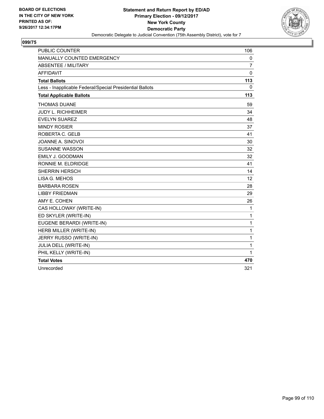

| <b>PUBLIC COUNTER</b>                                    | 106            |
|----------------------------------------------------------|----------------|
| MANUALLY COUNTED EMERGENCY                               | 0              |
| <b>ABSENTEE / MILITARY</b>                               | $\overline{7}$ |
| <b>AFFIDAVIT</b>                                         | $\Omega$       |
| <b>Total Ballots</b>                                     | 113            |
| Less - Inapplicable Federal/Special Presidential Ballots | $\Omega$       |
| <b>Total Applicable Ballots</b>                          | 113            |
| <b>THOMAS DUANE</b>                                      | 59             |
| <b>JUDY L. RICHHEIMER</b>                                | 34             |
| <b>EVELYN SUAREZ</b>                                     | 48             |
| <b>MINDY ROSIER</b>                                      | 37             |
| ROBERTA C. GELB                                          | 41             |
| JOANNE A. SINOVOI                                        | 30             |
| <b>SUSANNE WASSON</b>                                    | 32             |
| EMILY J. GOODMAN                                         | 32             |
| RONNIE M. ELDRIDGE                                       | 41             |
| <b>SHERRIN HERSCH</b>                                    | 14             |
| LISA G. MEHOS                                            | 12             |
| <b>BARBARA ROSEN</b>                                     | 28             |
| <b>LIBBY FRIEDMAN</b>                                    | 29             |
| AMY E. COHEN                                             | 26             |
| CAS HOLLOWAY (WRITE-IN)                                  | $\mathbf{1}$   |
| ED SKYLER (WRITE-IN)                                     | 1              |
| EUGENE BERARDI (WRITE-IN)                                | 1              |
| HERB MILLER (WRITE-IN)                                   | 1              |
| JERRY RUSSO (WRITE-IN)                                   | 1              |
| JULIA DELL (WRITE-IN)                                    | 1              |
| PHIL KELLY (WRITE-IN)                                    | 1              |
| <b>Total Votes</b>                                       | 470            |
| Unrecorded                                               | 321            |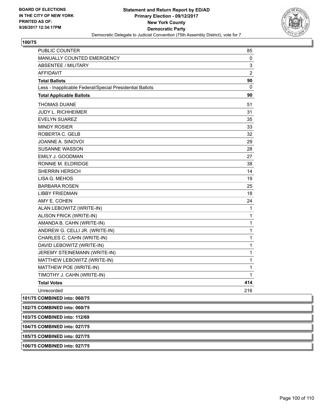

| PUBLIC COUNTER                                           | 85             |
|----------------------------------------------------------|----------------|
| <b>MANUALLY COUNTED EMERGENCY</b>                        | 0              |
| ABSENTEE / MILITARY                                      | 3              |
| <b>AFFIDAVIT</b>                                         | $\overline{2}$ |
| <b>Total Ballots</b>                                     | 90             |
| Less - Inapplicable Federal/Special Presidential Ballots | 0              |
| <b>Total Applicable Ballots</b>                          | 90             |
| <b>THOMAS DUANE</b>                                      | 51             |
| <b>JUDY L. RICHHEIMER</b>                                | 31             |
| <b>EVELYN SUAREZ</b>                                     | 35             |
| <b>MINDY ROSIER</b>                                      | 33             |
| ROBERTA C. GELB                                          | 32             |
| JOANNE A. SINOVOI                                        | 29             |
| <b>SUSANNE WASSON</b>                                    | 28             |
| <b>EMILY J. GOODMAN</b>                                  | 27             |
| RONNIE M. ELDRIDGE                                       | 38             |
| <b>SHERRIN HERSCH</b>                                    | 14             |
| LISA G. MEHOS                                            | 19             |
| <b>BARBARA ROSEN</b>                                     | 25             |
| <b>LIBBY FRIEDMAN</b>                                    | 18             |
| AMY E. COHEN                                             | 24             |
| ALAN LEBOWITZ (WRITE-IN)                                 | 1              |
| ALISON FRICK (WRITE-IN)                                  | 1              |
| AMANDA B. CAHN (WRITE-IN)                                | 1              |
| ANDREW G. CELLI JR. (WRITE-IN)                           | 1              |
| CHARLES C. CAHN (WRITE-IN)                               | $\mathbf{1}$   |
| DAVID LEBOWITZ (WRITE-IN)                                | 1              |
| JEREMY STEINEMANN (WRITE-IN)                             | 1              |
| MATTHEW LEBOWITZ (WRITE-IN)                              | 1              |
| MATTHEW POE (WRITE-IN)                                   | 1              |
| TIMOTHY J. CAHN (WRITE-IN)                               | 1              |
| <b>Total Votes</b>                                       | 414            |
| Unrecorded                                               | 216            |
| 101/75 COMBINED into: 060/75                             |                |
| 102/75 COMBINED into: 060/75                             |                |
| 103/75 COMBINED into: 112/69                             |                |
| 104/75 COMBINED into: 027/75                             |                |

**105/75 COMBINED into: 027/75**

**106/75 COMBINED into: 027/75**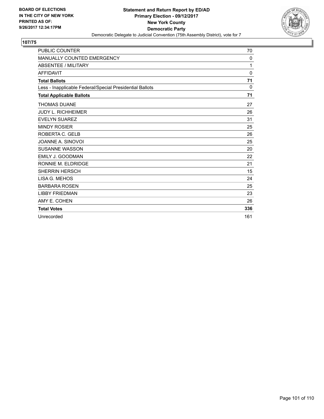

| <b>PUBLIC COUNTER</b>                                    | 70           |
|----------------------------------------------------------|--------------|
| MANUALLY COUNTED EMERGENCY                               | 0            |
| <b>ABSENTEE / MILITARY</b>                               | 1            |
| <b>AFFIDAVIT</b>                                         | $\mathbf{0}$ |
| <b>Total Ballots</b>                                     | 71           |
| Less - Inapplicable Federal/Special Presidential Ballots | $\Omega$     |
| <b>Total Applicable Ballots</b>                          | 71           |
| <b>THOMAS DUANE</b>                                      | 27           |
| <b>JUDY L. RICHHEIMER</b>                                | 26           |
| <b>EVELYN SUAREZ</b>                                     | 31           |
| <b>MINDY ROSIER</b>                                      | 25           |
| ROBERTA C. GELB                                          | 26           |
| JOANNE A. SINOVOI                                        | 25           |
| <b>SUSANNE WASSON</b>                                    | 20           |
| <b>EMILY J. GOODMAN</b>                                  | 22           |
| RONNIE M. ELDRIDGE                                       | 21           |
| <b>SHERRIN HERSCH</b>                                    | 15           |
| LISA G. MEHOS                                            | 24           |
| <b>BARBARA ROSEN</b>                                     | 25           |
| <b>LIBBY FRIEDMAN</b>                                    | 23           |
| AMY E. COHEN                                             | 26           |
| <b>Total Votes</b>                                       | 336          |
| Unrecorded                                               | 161          |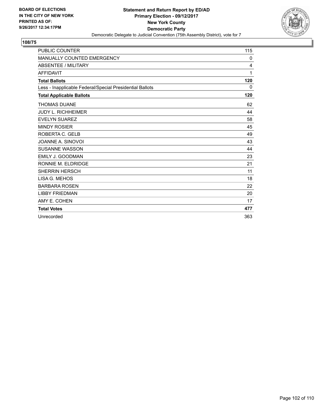

| <b>PUBLIC COUNTER</b>                                    | 115 |
|----------------------------------------------------------|-----|
| <b>MANUALLY COUNTED EMERGENCY</b>                        | 0   |
| <b>ABSENTEE / MILITARY</b>                               | 4   |
| <b>AFFIDAVIT</b>                                         | 1   |
| <b>Total Ballots</b>                                     | 120 |
| Less - Inapplicable Federal/Special Presidential Ballots | 0   |
| <b>Total Applicable Ballots</b>                          | 120 |
| <b>THOMAS DUANE</b>                                      | 62  |
| <b>JUDY L. RICHHEIMER</b>                                | 44  |
| <b>EVELYN SUAREZ</b>                                     | 58  |
| <b>MINDY ROSIER</b>                                      | 45  |
| ROBERTA C. GELB                                          | 49  |
| JOANNE A. SINOVOI                                        | 43  |
| <b>SUSANNE WASSON</b>                                    | 44  |
| EMILY J. GOODMAN                                         | 23  |
| RONNIE M. ELDRIDGE                                       | 21  |
| <b>SHERRIN HERSCH</b>                                    | 11  |
| LISA G. MEHOS                                            | 18  |
| <b>BARBARA ROSEN</b>                                     | 22  |
| <b>LIBBY FRIEDMAN</b>                                    | 20  |
| AMY E. COHEN                                             | 17  |
| <b>Total Votes</b>                                       | 477 |
| Unrecorded                                               | 363 |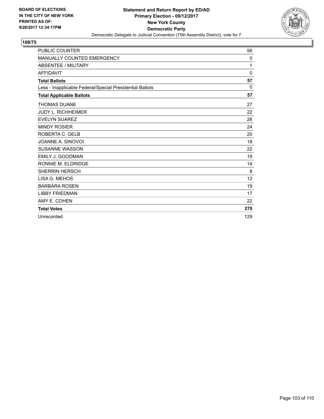

| <b>PUBLIC COUNTER</b>                                    | 56       |
|----------------------------------------------------------|----------|
| MANUALLY COUNTED EMERGENCY                               | 0        |
| <b>ABSENTEE / MILITARY</b>                               | 1        |
| <b>AFFIDAVIT</b>                                         | $\Omega$ |
| <b>Total Ballots</b>                                     | 57       |
| Less - Inapplicable Federal/Special Presidential Ballots | $\Omega$ |
| <b>Total Applicable Ballots</b>                          | 57       |
| <b>THOMAS DUANE</b>                                      | 27       |
| <b>JUDY L. RICHHEIMER</b>                                | 22       |
| <b>EVELYN SUAREZ</b>                                     | 26       |
| <b>MINDY ROSIER</b>                                      | 24       |
| ROBERTA C. GELB                                          | 20       |
| JOANNE A. SINOVOI                                        | 18       |
| <b>SUSANNE WASSON</b>                                    | 22       |
| <b>EMILY J. GOODMAN</b>                                  | 19       |
| RONNIE M. ELDRIDGE                                       | 14       |
| <b>SHERRIN HERSCH</b>                                    | 8        |
| LISA G. MEHOS                                            | 12       |
| <b>BARBARA ROSEN</b>                                     | 19       |
| <b>LIBBY FRIEDMAN</b>                                    | 17       |
| AMY E. COHEN                                             | 22       |
| <b>Total Votes</b>                                       | 270      |
| Unrecorded                                               | 129      |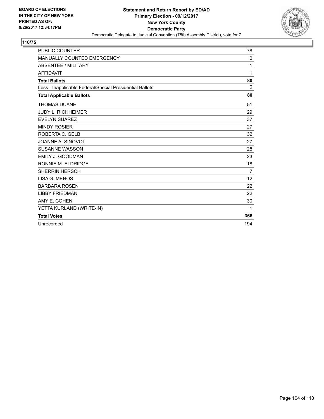

| <b>PUBLIC COUNTER</b>                                    | 78             |
|----------------------------------------------------------|----------------|
| MANUALLY COUNTED EMERGENCY                               | 0              |
| <b>ABSENTEE / MILITARY</b>                               | 1              |
| <b>AFFIDAVIT</b>                                         | 1              |
| <b>Total Ballots</b>                                     | 80             |
| Less - Inapplicable Federal/Special Presidential Ballots | 0              |
| <b>Total Applicable Ballots</b>                          | 80             |
| <b>THOMAS DUANE</b>                                      | 51             |
| <b>JUDY L. RICHHEIMER</b>                                | 29             |
| <b>EVELYN SUAREZ</b>                                     | 37             |
| <b>MINDY ROSIER</b>                                      | 27             |
| ROBERTA C. GELB                                          | 32             |
| JOANNE A. SINOVOI                                        | 27             |
| <b>SUSANNE WASSON</b>                                    | 28             |
| EMILY J. GOODMAN                                         | 23             |
| RONNIE M. ELDRIDGE                                       | 18             |
| <b>SHERRIN HERSCH</b>                                    | $\overline{7}$ |
| LISA G. MEHOS                                            | 12             |
| <b>BARBARA ROSEN</b>                                     | 22             |
| <b>LIBBY FRIEDMAN</b>                                    | 22             |
| AMY E. COHEN                                             | 30             |
| YETTA KURLAND (WRITE-IN)                                 | 1              |
| <b>Total Votes</b>                                       | 366            |
| Unrecorded                                               | 194            |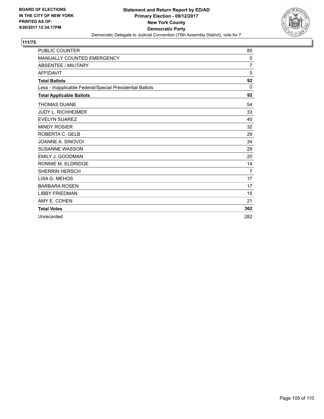

| <b>PUBLIC COUNTER</b>                                    | 85             |
|----------------------------------------------------------|----------------|
| <b>MANUALLY COUNTED EMERGENCY</b>                        | 0              |
| <b>ABSENTEE / MILITARY</b>                               | $\overline{7}$ |
| <b>AFFIDAVIT</b>                                         | $\mathbf{0}$   |
| <b>Total Ballots</b>                                     | 92             |
| Less - Inapplicable Federal/Special Presidential Ballots | 0              |
| <b>Total Applicable Ballots</b>                          | 92             |
| <b>THOMAS DUANE</b>                                      | 54             |
| <b>JUDY L. RICHHEIMER</b>                                | 33             |
| <b>EVELYN SUAREZ</b>                                     | 40             |
| <b>MINDY ROSIER</b>                                      | 32             |
| ROBERTA C. GELB                                          | 29             |
| JOANNE A. SINOVOI                                        | 34             |
| <b>SUSANNE WASSON</b>                                    | 29             |
| <b>EMILY J. GOODMAN</b>                                  | 20             |
| RONNIE M. ELDRIDGE                                       | 14             |
| <b>SHERRIN HERSCH</b>                                    | $\overline{7}$ |
| LISA G. MEHOS                                            | 17             |
| <b>BARBARA ROSEN</b>                                     | 17             |
| <b>LIBBY FRIEDMAN</b>                                    | 15             |
| AMY E. COHEN                                             | 21             |
| <b>Total Votes</b>                                       | 362            |
| Unrecorded                                               | 282            |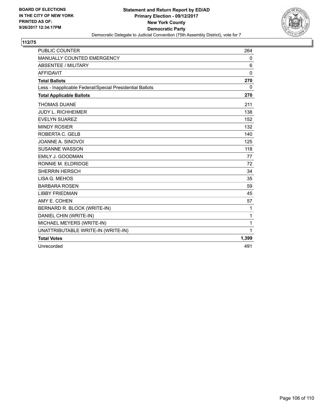

| <b>PUBLIC COUNTER</b>                                    | 264          |
|----------------------------------------------------------|--------------|
| MANUALLY COUNTED EMERGENCY                               | 0            |
| <b>ABSENTEE / MILITARY</b>                               | 6            |
| <b>AFFIDAVIT</b>                                         | 0            |
| <b>Total Ballots</b>                                     | 270          |
| Less - Inapplicable Federal/Special Presidential Ballots | 0            |
| <b>Total Applicable Ballots</b>                          | 270          |
| <b>THOMAS DUANE</b>                                      | 211          |
| <b>JUDY L. RICHHEIMER</b>                                | 138          |
| <b>EVELYN SUAREZ</b>                                     | 152          |
| <b>MINDY ROSIER</b>                                      | 132          |
| ROBERTA C. GELB                                          | 140          |
| JOANNE A. SINOVOI                                        | 125          |
| <b>SUSANNE WASSON</b>                                    | 118          |
| <b>EMILY J. GOODMAN</b>                                  | 77           |
| RONNIE M. ELDRIDGE                                       | 72           |
| <b>SHERRIN HERSCH</b>                                    | 34           |
| LISA G. MEHOS                                            | 35           |
| <b>BARBARA ROSEN</b>                                     | 59           |
| <b>LIBBY FRIEDMAN</b>                                    | 45           |
| AMY E. COHEN                                             | 57           |
| BERNARD R. BLOCK (WRITE-IN)                              | 1            |
| DANIEL CHIN (WRITE-IN)                                   | $\mathbf{1}$ |
| MICHAEL MEYERS (WRITE-IN)                                | $\mathbf{1}$ |
| UNATTRIBUTABLE WRITE-IN (WRITE-IN)                       | $\mathbf{1}$ |
| <b>Total Votes</b>                                       | 1,399        |
| Unrecorded                                               | 491          |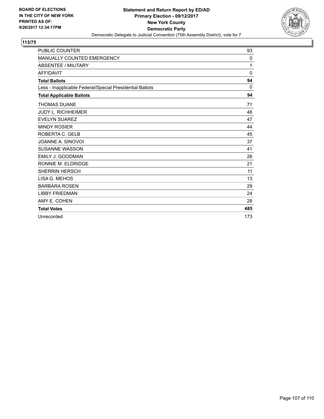

| <b>PUBLIC COUNTER</b>                                    | 93           |
|----------------------------------------------------------|--------------|
| MANUALLY COUNTED EMERGENCY                               | 0            |
| <b>ABSENTEE / MILITARY</b>                               | 1            |
| <b>AFFIDAVIT</b>                                         | $\mathbf{0}$ |
| <b>Total Ballots</b>                                     | 94           |
| Less - Inapplicable Federal/Special Presidential Ballots | $\mathbf{0}$ |
| <b>Total Applicable Ballots</b>                          | 94           |
| <b>THOMAS DUANE</b>                                      | 71           |
| <b>JUDY L. RICHHEIMER</b>                                | 48           |
| <b>EVELYN SUAREZ</b>                                     | 47           |
| <b>MINDY ROSIER</b>                                      | 44           |
| ROBERTA C. GELB                                          | 45           |
| JOANNE A. SINOVOI                                        | 37           |
| <b>SUSANNE WASSON</b>                                    | 41           |
| <b>EMILY J. GOODMAN</b>                                  | 26           |
| RONNIE M. ELDRIDGE                                       | 21           |
| <b>SHERRIN HERSCH</b>                                    | 11           |
| LISA G. MEHOS                                            | 13           |
| <b>BARBARA ROSEN</b>                                     | 29           |
| <b>LIBBY FRIEDMAN</b>                                    | 24           |
| AMY E. COHEN                                             | 28           |
| <b>Total Votes</b>                                       | 485          |
| Unrecorded                                               | 173          |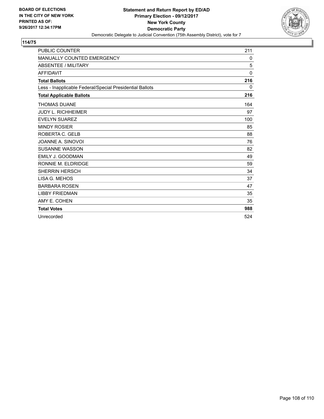

| <b>PUBLIC COUNTER</b>                                    | 211          |
|----------------------------------------------------------|--------------|
| MANUALLY COUNTED EMERGENCY                               | 0            |
| <b>ABSENTEE / MILITARY</b>                               | 5            |
| <b>AFFIDAVIT</b>                                         | $\mathbf{0}$ |
| <b>Total Ballots</b>                                     | 216          |
| Less - Inapplicable Federal/Special Presidential Ballots | 0            |
| <b>Total Applicable Ballots</b>                          | 216          |
| <b>THOMAS DUANE</b>                                      | 164          |
| <b>JUDY L. RICHHEIMER</b>                                | 97           |
| <b>EVELYN SUAREZ</b>                                     | 100          |
| <b>MINDY ROSIER</b>                                      | 85           |
| ROBERTA C. GELB                                          | 88           |
| JOANNE A. SINOVOI                                        | 76           |
| <b>SUSANNE WASSON</b>                                    | 82           |
| EMILY J. GOODMAN                                         | 49           |
| RONNIE M. ELDRIDGE                                       | 59           |
| <b>SHERRIN HERSCH</b>                                    | 34           |
| LISA G. MEHOS                                            | 37           |
| <b>BARBARA ROSEN</b>                                     | 47           |
| <b>LIBBY FRIEDMAN</b>                                    | 35           |
| AMY E. COHEN                                             | 35           |
| <b>Total Votes</b>                                       | 988          |
| Unrecorded                                               | 524          |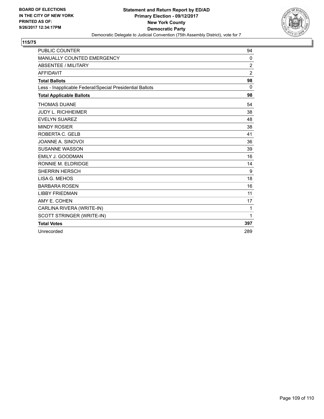

## **115/75**

| <b>PUBLIC COUNTER</b>                                    | 94             |
|----------------------------------------------------------|----------------|
| MANUALLY COUNTED EMERGENCY                               | 0              |
| <b>ABSENTEE / MILITARY</b>                               | $\overline{2}$ |
| <b>AFFIDAVIT</b>                                         | $\overline{2}$ |
| <b>Total Ballots</b>                                     | 98             |
| Less - Inapplicable Federal/Special Presidential Ballots | 0              |
| <b>Total Applicable Ballots</b>                          | 98             |
| <b>THOMAS DUANE</b>                                      | 54             |
| <b>JUDY L. RICHHEIMER</b>                                | 38             |
| <b>EVELYN SUAREZ</b>                                     | 48             |
| <b>MINDY ROSIER</b>                                      | 38             |
| ROBERTA C. GELB                                          | 41             |
| JOANNE A. SINOVOI                                        | 36             |
| <b>SUSANNE WASSON</b>                                    | 39             |
| EMILY J. GOODMAN                                         | 16             |
| RONNIE M. ELDRIDGE                                       | 14             |
| <b>SHERRIN HERSCH</b>                                    | 9              |
| LISA G. MEHOS                                            | 18             |
| <b>BARBARA ROSEN</b>                                     | 16             |
| <b>LIBBY FRIEDMAN</b>                                    | 11             |
| AMY E. COHEN                                             | 17             |
| CARLINA RIVERA (WRITE-IN)                                | 1              |
| SCOTT STRINGER (WRITE-IN)                                | 1              |
| <b>Total Votes</b>                                       | 397            |
| Unrecorded                                               | 289            |